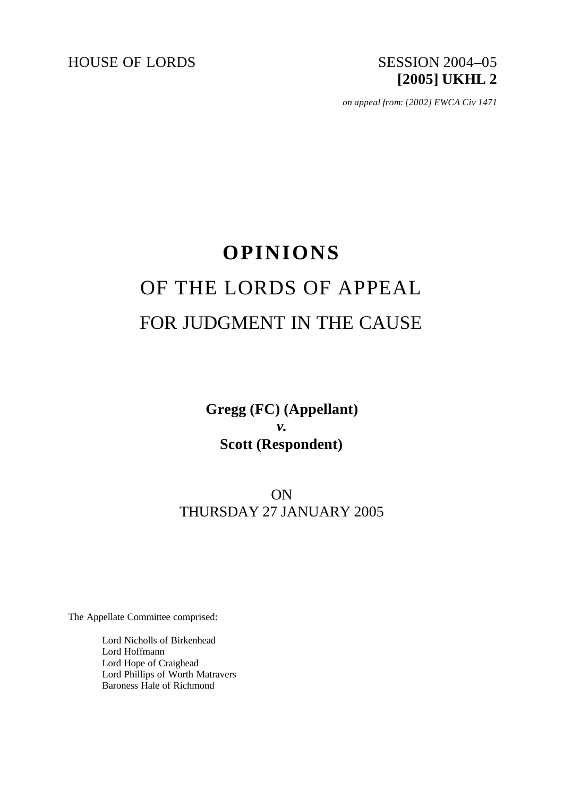

*on appeal from: [2002] EWCA Civ 1471*

# **OPINIONS** OF THE LORDS OF APPEAL FOR JUDGMENT IN THE CAUSE

**Gregg (FC) (Appellant)** *v.* **Scott (Respondent)**

ON THURSDAY 27 JANUARY 2005

The Appellate Committee comprised:

Lord Nicholls of Birkenhead Lord Hoffmann Lord Hope of Craighead Lord Phillips of Worth Matravers Baroness Hale of Richmond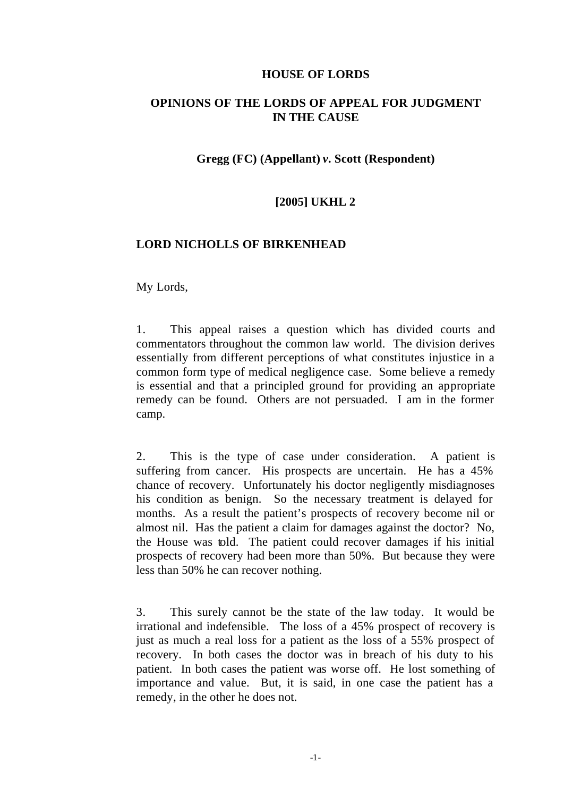#### **HOUSE OF LORDS**

# **OPINIONS OF THE LORDS OF APPEAL FOR JUDGMENT IN THE CAUSE**

#### **Gregg (FC) (Appellant)** *v.* **Scott (Respondent)**

# **[2005] UKHL 2**

## **LORD NICHOLLS OF BIRKENHEAD**

My Lords,

1. This appeal raises a question which has divided courts and commentators throughout the common law world. The division derives essentially from different perceptions of what constitutes injustice in a common form type of medical negligence case. Some believe a remedy is essential and that a principled ground for providing an appropriate remedy can be found. Others are not persuaded. I am in the former camp.

2. This is the type of case under consideration. A patient is suffering from cancer. His prospects are uncertain. He has a 45% chance of recovery. Unfortunately his doctor negligently misdiagnoses his condition as benign. So the necessary treatment is delayed for months. As a result the patient's prospects of recovery become nil or almost nil. Has the patient a claim for damages against the doctor? No, the House was told. The patient could recover damages if his initial prospects of recovery had been more than 50%. But because they were less than 50% he can recover nothing.

3. This surely cannot be the state of the law today. It would be irrational and indefensible. The loss of a 45% prospect of recovery is just as much a real loss for a patient as the loss of a 55% prospect of recovery. In both cases the doctor was in breach of his duty to his patient. In both cases the patient was worse off. He lost something of importance and value. But, it is said, in one case the patient has a remedy, in the other he does not.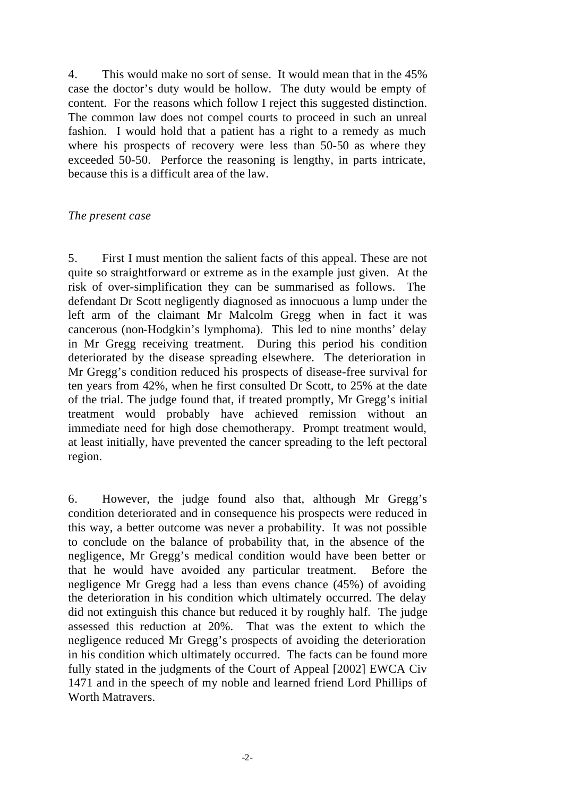4. This would make no sort of sense. It would mean that in the 45% case the doctor's duty would be hollow. The duty would be empty of content. For the reasons which follow I reject this suggested distinction. The common law does not compel courts to proceed in such an unreal fashion. I would hold that a patient has a right to a remedy as much where his prospects of recovery were less than 50-50 as where they exceeded 50-50. Perforce the reasoning is lengthy, in parts intricate, because this is a difficult area of the law.

## *The present case*

5. First I must mention the salient facts of this appeal. These are not quite so straightforward or extreme as in the example just given. At the risk of over-simplification they can be summarised as follows. The defendant Dr Scott negligently diagnosed as innocuous a lump under the left arm of the claimant Mr Malcolm Gregg when in fact it was cancerous (non-Hodgkin's lymphoma). This led to nine months' delay in Mr Gregg receiving treatment. During this period his condition deteriorated by the disease spreading elsewhere. The deterioration in Mr Gregg's condition reduced his prospects of disease-free survival for ten years from 42%, when he first consulted Dr Scott, to 25% at the date of the trial. The judge found that, if treated promptly, Mr Gregg's initial treatment would probably have achieved remission without an immediate need for high dose chemotherapy. Prompt treatment would, at least initially, have prevented the cancer spreading to the left pectoral region.

6. However, the judge found also that, although Mr Gregg's condition deteriorated and in consequence his prospects were reduced in this way, a better outcome was never a probability. It was not possible to conclude on the balance of probability that, in the absence of the negligence, Mr Gregg's medical condition would have been better or that he would have avoided any particular treatment. Before the negligence Mr Gregg had a less than evens chance (45%) of avoiding the deterioration in his condition which ultimately occurred. The delay did not extinguish this chance but reduced it by roughly half. The judge assessed this reduction at 20%. That was the extent to which the negligence reduced Mr Gregg's prospects of avoiding the deterioration in his condition which ultimately occurred. The facts can be found more fully stated in the judgments of the Court of Appeal [2002] EWCA Civ 1471 and in the speech of my noble and learned friend Lord Phillips of Worth Matravers.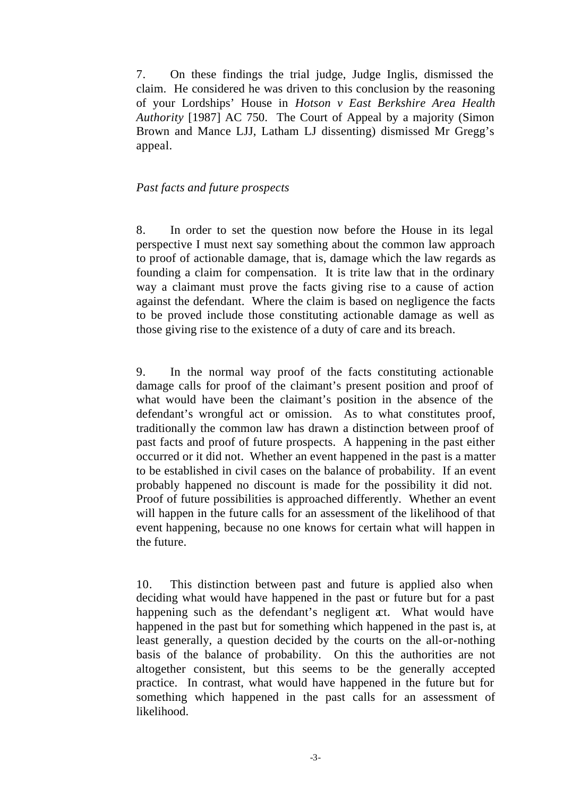7. On these findings the trial judge, Judge Inglis, dismissed the claim. He considered he was driven to this conclusion by the reasoning of your Lordships' House in *Hotson v East Berkshire Area Health Authority* [1987] AC 750. The Court of Appeal by a majority (Simon Brown and Mance LJJ, Latham LJ dissenting) dismissed Mr Gregg's appeal.

# *Past facts and future prospects*

8. In order to set the question now before the House in its legal perspective I must next say something about the common law approach to proof of actionable damage, that is, damage which the law regards as founding a claim for compensation. It is trite law that in the ordinary way a claimant must prove the facts giving rise to a cause of action against the defendant. Where the claim is based on negligence the facts to be proved include those constituting actionable damage as well as those giving rise to the existence of a duty of care and its breach.

9. In the normal way proof of the facts constituting actionable damage calls for proof of the claimant's present position and proof of what would have been the claimant's position in the absence of the defendant's wrongful act or omission. As to what constitutes proof, traditionally the common law has drawn a distinction between proof of past facts and proof of future prospects. A happening in the past either occurred or it did not. Whether an event happened in the past is a matter to be established in civil cases on the balance of probability. If an event probably happened no discount is made for the possibility it did not. Proof of future possibilities is approached differently. Whether an event will happen in the future calls for an assessment of the likelihood of that event happening, because no one knows for certain what will happen in the future.

10. This distinction between past and future is applied also when deciding what would have happened in the past or future but for a past happening such as the defendant's negligent act. What would have happened in the past but for something which happened in the past is, at least generally, a question decided by the courts on the all-or-nothing basis of the balance of probability. On this the authorities are not altogether consistent, but this seems to be the generally accepted practice. In contrast, what would have happened in the future but for something which happened in the past calls for an assessment of likelihood.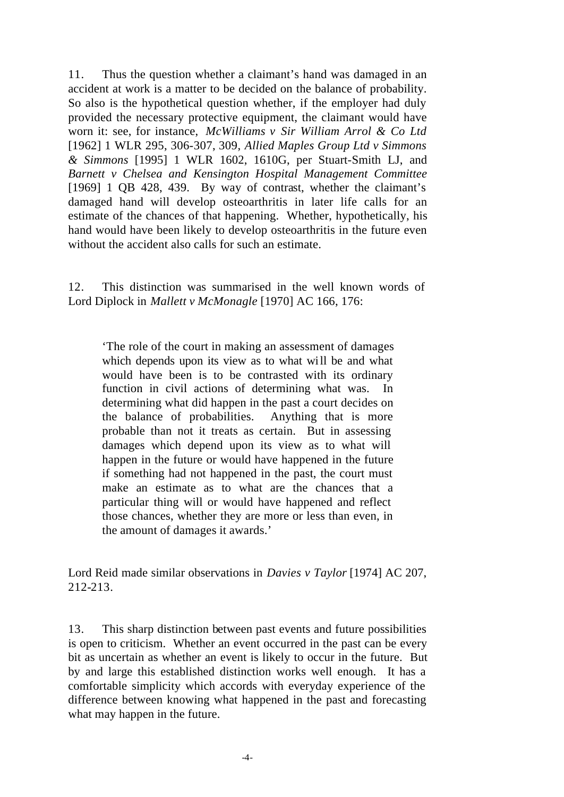11. Thus the question whether a claimant's hand was damaged in an accident at work is a matter to be decided on the balance of probability. So also is the hypothetical question whether, if the employer had duly provided the necessary protective equipment, the claimant would have worn it: see, for instance, *McWilliams v Sir William Arrol & Co Ltd*  [1962] 1 WLR 295, 306-307, 309, *Allied Maples Group Ltd v Simmons & Simmons* [1995] 1 WLR 1602, 1610G, per Stuart-Smith LJ, and *Barnett v Chelsea and Kensington Hospital Management Committee* [1969] 1 QB 428, 439. By way of contrast, whether the claimant's damaged hand will develop osteoarthritis in later life calls for an estimate of the chances of that happening. Whether, hypothetically, his hand would have been likely to develop osteoarthritis in the future even without the accident also calls for such an estimate.

12. This distinction was summarised in the well known words of Lord Diplock in *Mallett v McMonagle* [1970] AC 166, 176:

'The role of the court in making an assessment of damages which depends upon its view as to what will be and what would have been is to be contrasted with its ordinary function in civil actions of determining what was. In determining what did happen in the past a court decides on the balance of probabilities. Anything that is more probable than not it treats as certain. But in assessing damages which depend upon its view as to what will happen in the future or would have happened in the future if something had not happened in the past, the court must make an estimate as to what are the chances that a particular thing will or would have happened and reflect those chances, whether they are more or less than even, in the amount of damages it awards.'

Lord Reid made similar observations in *Davies v Taylor* [1974] AC 207, 212-213.

13. This sharp distinction between past events and future possibilities is open to criticism. Whether an event occurred in the past can be every bit as uncertain as whether an event is likely to occur in the future. But by and large this established distinction works well enough. It has a comfortable simplicity which accords with everyday experience of the difference between knowing what happened in the past and forecasting what may happen in the future.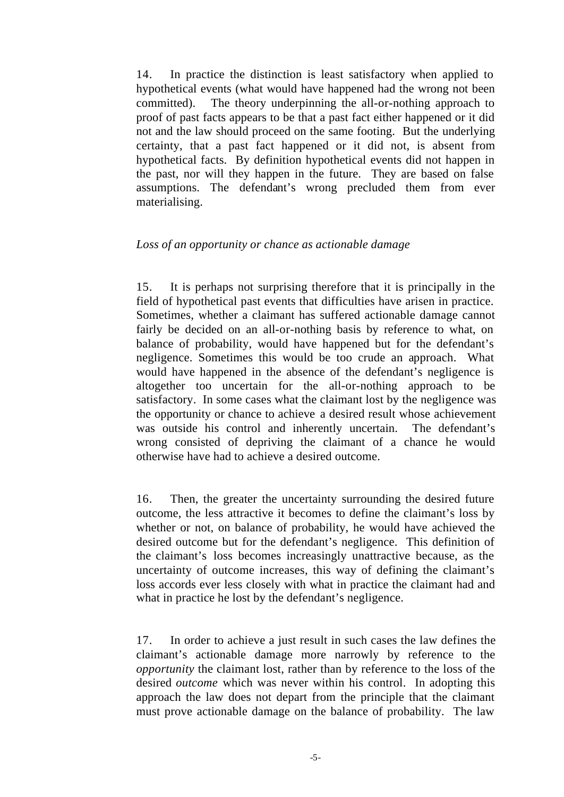14. In practice the distinction is least satisfactory when applied to hypothetical events (what would have happened had the wrong not been committed). The theory underpinning the all-or-nothing approach to proof of past facts appears to be that a past fact either happened or it did not and the law should proceed on the same footing. But the underlying certainty, that a past fact happened or it did not, is absent from hypothetical facts. By definition hypothetical events did not happen in the past, nor will they happen in the future. They are based on false assumptions. The defendant's wrong precluded them from ever materialising.

## *Loss of an opportunity or chance as actionable damage*

15. It is perhaps not surprising therefore that it is principally in the field of hypothetical past events that difficulties have arisen in practice. Sometimes, whether a claimant has suffered actionable damage cannot fairly be decided on an all-or-nothing basis by reference to what, on balance of probability, would have happened but for the defendant's negligence. Sometimes this would be too crude an approach. What would have happened in the absence of the defendant's negligence is altogether too uncertain for the all-or-nothing approach to be satisfactory. In some cases what the claimant lost by the negligence was the opportunity or chance to achieve a desired result whose achievement was outside his control and inherently uncertain. The defendant's wrong consisted of depriving the claimant of a chance he would otherwise have had to achieve a desired outcome.

16. Then, the greater the uncertainty surrounding the desired future outcome, the less attractive it becomes to define the claimant's loss by whether or not, on balance of probability, he would have achieved the desired outcome but for the defendant's negligence. This definition of the claimant's loss becomes increasingly unattractive because, as the uncertainty of outcome increases, this way of defining the claimant's loss accords ever less closely with what in practice the claimant had and what in practice he lost by the defendant's negligence.

17. In order to achieve a just result in such cases the law defines the claimant's actionable damage more narrowly by reference to the *opportunity* the claimant lost, rather than by reference to the loss of the desired *outcome* which was never within his control. In adopting this approach the law does not depart from the principle that the claimant must prove actionable damage on the balance of probability. The law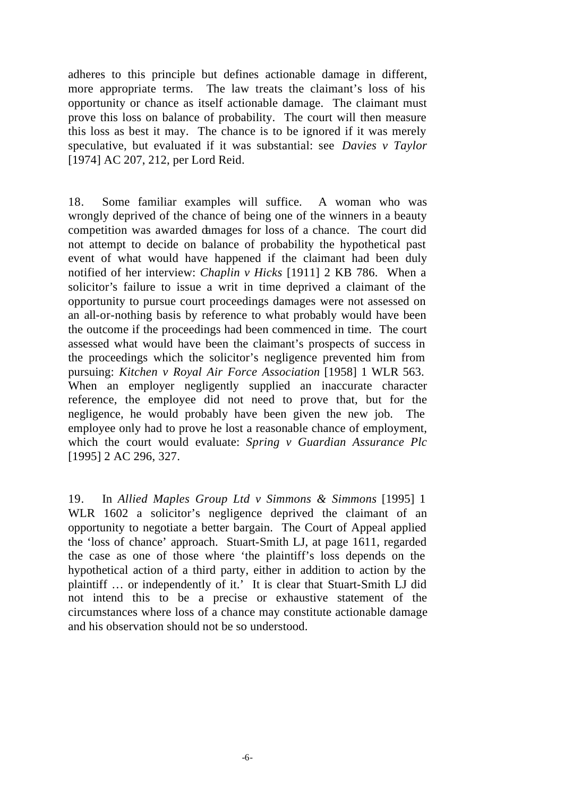adheres to this principle but defines actionable damage in different, more appropriate terms. The law treats the claimant's loss of his opportunity or chance as itself actionable damage. The claimant must prove this loss on balance of probability. The court will then measure this loss as best it may. The chance is to be ignored if it was merely speculative, but evaluated if it was substantial: see *Davies v Taylor* [1974] AC 207, 212, per Lord Reid.

18. Some familiar examples will suffice. A woman who was wrongly deprived of the chance of being one of the winners in a beauty competition was awarded damages for loss of a chance. The court did not attempt to decide on balance of probability the hypothetical past event of what would have happened if the claimant had been duly notified of her interview: *Chaplin v Hicks* [1911] 2 KB 786. When a solicitor's failure to issue a writ in time deprived a claimant of the opportunity to pursue court proceedings damages were not assessed on an all-or-nothing basis by reference to what probably would have been the outcome if the proceedings had been commenced in time. The court assessed what would have been the claimant's prospects of success in the proceedings which the solicitor's negligence prevented him from pursuing: *Kitchen v Royal Air Force Association* [1958] 1 WLR 563. When an employer negligently supplied an inaccurate character reference, the employee did not need to prove that, but for the negligence, he would probably have been given the new job. The employee only had to prove he lost a reasonable chance of employment, which the court would evaluate: *Spring v Guardian Assurance Plc* [1995] 2 AC 296, 327.

19. In *Allied Maples Group Ltd v Simmons & Simmons* [1995] 1 WLR 1602 a solicitor's negligence deprived the claimant of an opportunity to negotiate a better bargain. The Court of Appeal applied the 'loss of chance' approach. Stuart-Smith LJ, at page 1611, regarded the case as one of those where 'the plaintiff's loss depends on the hypothetical action of a third party, either in addition to action by the plaintiff … or independently of it.' It is clear that Stuart-Smith LJ did not intend this to be a precise or exhaustive statement of the circumstances where loss of a chance may constitute actionable damage and his observation should not be so understood.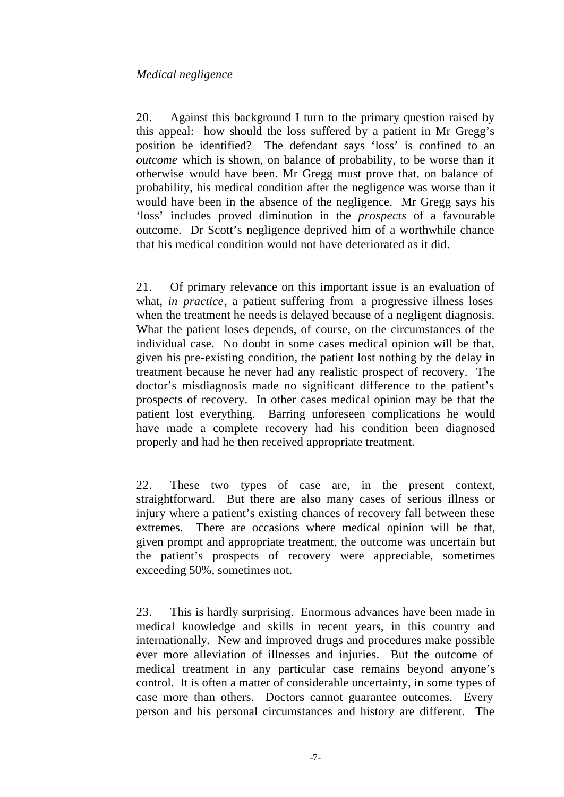# *Medical negligence*

20. Against this background I turn to the primary question raised by this appeal: how should the loss suffered by a patient in Mr Gregg's position be identified? The defendant says 'loss' is confined to an *outcome* which is shown, on balance of probability, to be worse than it otherwise would have been. Mr Gregg must prove that, on balance of probability, his medical condition after the negligence was worse than it would have been in the absence of the negligence. Mr Gregg says his 'loss' includes proved diminution in the *prospects* of a favourable outcome. Dr Scott's negligence deprived him of a worthwhile chance that his medical condition would not have deteriorated as it did.

21. Of primary relevance on this important issue is an evaluation of what, *in practice*, a patient suffering from a progressive illness loses when the treatment he needs is delayed because of a negligent diagnosis. What the patient loses depends, of course, on the circumstances of the individual case. No doubt in some cases medical opinion will be that, given his pre-existing condition, the patient lost nothing by the delay in treatment because he never had any realistic prospect of recovery. The doctor's misdiagnosis made no significant difference to the patient's prospects of recovery. In other cases medical opinion may be that the patient lost everything. Barring unforeseen complications he would have made a complete recovery had his condition been diagnosed properly and had he then received appropriate treatment.

22. These two types of case are, in the present context, straightforward. But there are also many cases of serious illness or injury where a patient's existing chances of recovery fall between these extremes. There are occasions where medical opinion will be that, given prompt and appropriate treatment, the outcome was uncertain but the patient's prospects of recovery were appreciable, sometimes exceeding 50%, sometimes not.

23. This is hardly surprising. Enormous advances have been made in medical knowledge and skills in recent years, in this country and internationally. New and improved drugs and procedures make possible ever more alleviation of illnesses and injuries. But the outcome of medical treatment in any particular case remains beyond anyone's control. It is often a matter of considerable uncertainty, in some types of case more than others. Doctors cannot guarantee outcomes. Every person and his personal circumstances and history are different. The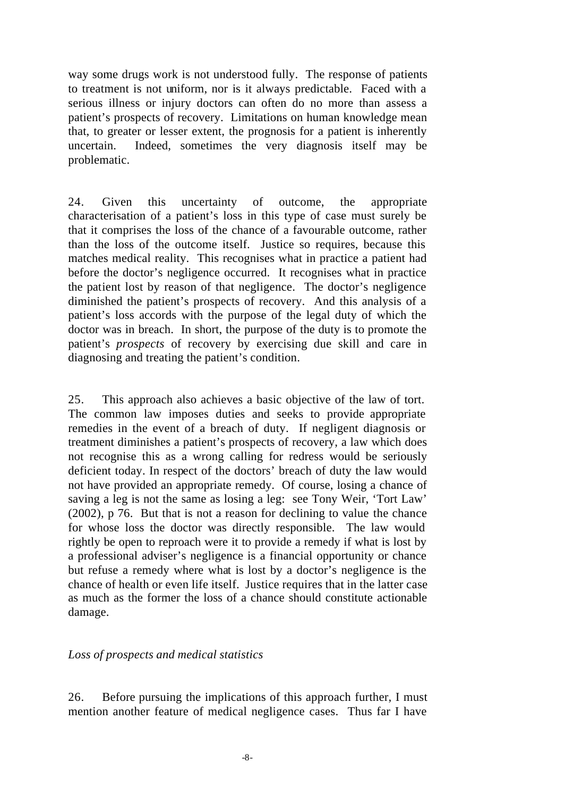way some drugs work is not understood fully. The response of patients to treatment is not uniform, nor is it always predictable. Faced with a serious illness or injury doctors can often do no more than assess a patient's prospects of recovery. Limitations on human knowledge mean that, to greater or lesser extent, the prognosis for a patient is inherently uncertain. Indeed, sometimes the very diagnosis itself may be problematic.

24. Given this uncertainty of outcome, the appropriate characterisation of a patient's loss in this type of case must surely be that it comprises the loss of the chance of a favourable outcome, rather than the loss of the outcome itself. Justice so requires, because this matches medical reality. This recognises what in practice a patient had before the doctor's negligence occurred. It recognises what in practice the patient lost by reason of that negligence. The doctor's negligence diminished the patient's prospects of recovery. And this analysis of a patient's loss accords with the purpose of the legal duty of which the doctor was in breach. In short, the purpose of the duty is to promote the patient's *prospects* of recovery by exercising due skill and care in diagnosing and treating the patient's condition.

25. This approach also achieves a basic objective of the law of tort. The common law imposes duties and seeks to provide appropriate remedies in the event of a breach of duty. If negligent diagnosis or treatment diminishes a patient's prospects of recovery, a law which does not recognise this as a wrong calling for redress would be seriously deficient today. In respect of the doctors' breach of duty the law would not have provided an appropriate remedy. Of course, losing a chance of saving a leg is not the same as losing a leg: see Tony Weir, 'Tort Law' (2002), p 76. But that is not a reason for declining to value the chance for whose loss the doctor was directly responsible. The law would rightly be open to reproach were it to provide a remedy if what is lost by a professional adviser's negligence is a financial opportunity or chance but refuse a remedy where what is lost by a doctor's negligence is the chance of health or even life itself. Justice requires that in the latter case as much as the former the loss of a chance should constitute actionable damage.

# *Loss of prospects and medical statistics*

26. Before pursuing the implications of this approach further, I must mention another feature of medical negligence cases. Thus far I have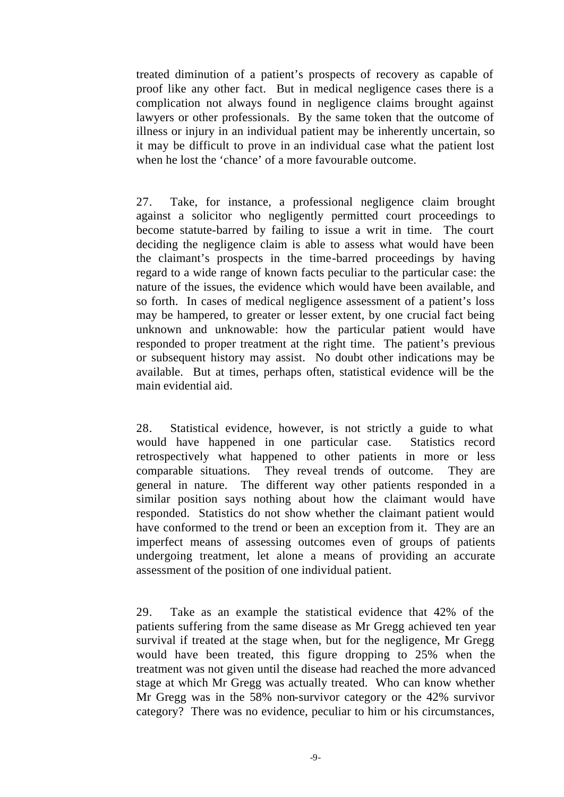treated diminution of a patient's prospects of recovery as capable of proof like any other fact. But in medical negligence cases there is a complication not always found in negligence claims brought against lawyers or other professionals. By the same token that the outcome of illness or injury in an individual patient may be inherently uncertain, so it may be difficult to prove in an individual case what the patient lost when he lost the 'chance' of a more favourable outcome.

27. Take, for instance, a professional negligence claim brought against a solicitor who negligently permitted court proceedings to become statute-barred by failing to issue a writ in time. The court deciding the negligence claim is able to assess what would have been the claimant's prospects in the time-barred proceedings by having regard to a wide range of known facts peculiar to the particular case: the nature of the issues, the evidence which would have been available, and so forth. In cases of medical negligence assessment of a patient's loss may be hampered, to greater or lesser extent, by one crucial fact being unknown and unknowable: how the particular patient would have responded to proper treatment at the right time. The patient's previous or subsequent history may assist. No doubt other indications may be available. But at times, perhaps often, statistical evidence will be the main evidential aid.

28. Statistical evidence, however, is not strictly a guide to what would have happened in one particular case. Statistics record retrospectively what happened to other patients in more or less comparable situations. They reveal trends of outcome. They are general in nature. The different way other patients responded in a similar position says nothing about how the claimant would have responded. Statistics do not show whether the claimant patient would have conformed to the trend or been an exception from it. They are an imperfect means of assessing outcomes even of groups of patients undergoing treatment, let alone a means of providing an accurate assessment of the position of one individual patient.

29. Take as an example the statistical evidence that 42% of the patients suffering from the same disease as Mr Gregg achieved ten year survival if treated at the stage when, but for the negligence, Mr Gregg would have been treated, this figure dropping to 25% when the treatment was not given until the disease had reached the more advanced stage at which Mr Gregg was actually treated. Who can know whether Mr Gregg was in the 58% non-survivor category or the 42% survivor category? There was no evidence, peculiar to him or his circumstances,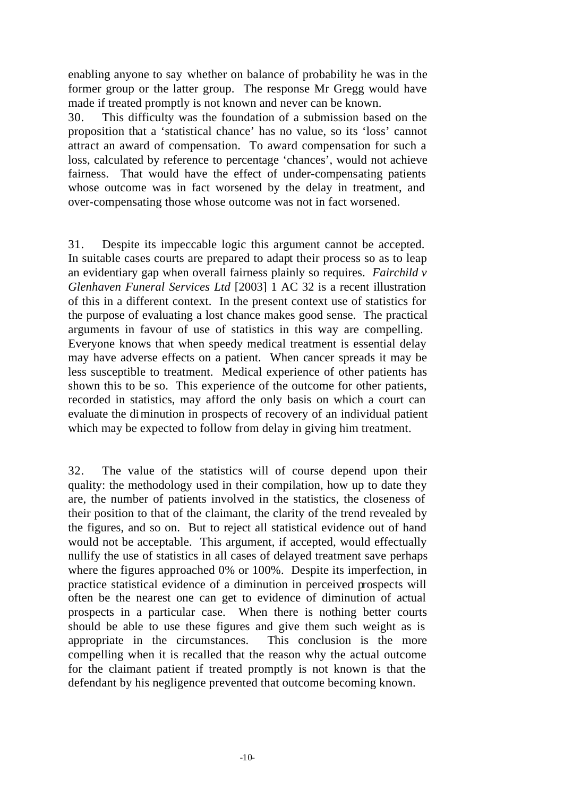enabling anyone to say whether on balance of probability he was in the former group or the latter group. The response Mr Gregg would have made if treated promptly is not known and never can be known.

30. This difficulty was the foundation of a submission based on the proposition that a 'statistical chance' has no value, so its 'loss' cannot attract an award of compensation. To award compensation for such a loss, calculated by reference to percentage 'chances', would not achieve fairness. That would have the effect of under-compensating patients whose outcome was in fact worsened by the delay in treatment, and over-compensating those whose outcome was not in fact worsened.

31. Despite its impeccable logic this argument cannot be accepted. In suitable cases courts are prepared to adapt their process so as to leap an evidentiary gap when overall fairness plainly so requires. *Fairchild v Glenhaven Funeral Services Ltd* [2003] 1 AC 32 is a recent illustration of this in a different context. In the present context use of statistics for the purpose of evaluating a lost chance makes good sense. The practical arguments in favour of use of statistics in this way are compelling. Everyone knows that when speedy medical treatment is essential delay may have adverse effects on a patient. When cancer spreads it may be less susceptible to treatment. Medical experience of other patients has shown this to be so. This experience of the outcome for other patients, recorded in statistics, may afford the only basis on which a court can evaluate the diminution in prospects of recovery of an individual patient which may be expected to follow from delay in giving him treatment.

32. The value of the statistics will of course depend upon their quality: the methodology used in their compilation, how up to date they are, the number of patients involved in the statistics, the closeness of their position to that of the claimant, the clarity of the trend revealed by the figures, and so on. But to reject all statistical evidence out of hand would not be acceptable. This argument, if accepted, would effectually nullify the use of statistics in all cases of delayed treatment save perhaps where the figures approached 0% or 100%. Despite its imperfection, in practice statistical evidence of a diminution in perceived prospects will often be the nearest one can get to evidence of diminution of actual prospects in a particular case. When there is nothing better courts should be able to use these figures and give them such weight as is appropriate in the circumstances. This conclusion is the more compelling when it is recalled that the reason why the actual outcome for the claimant patient if treated promptly is not known is that the defendant by his negligence prevented that outcome becoming known.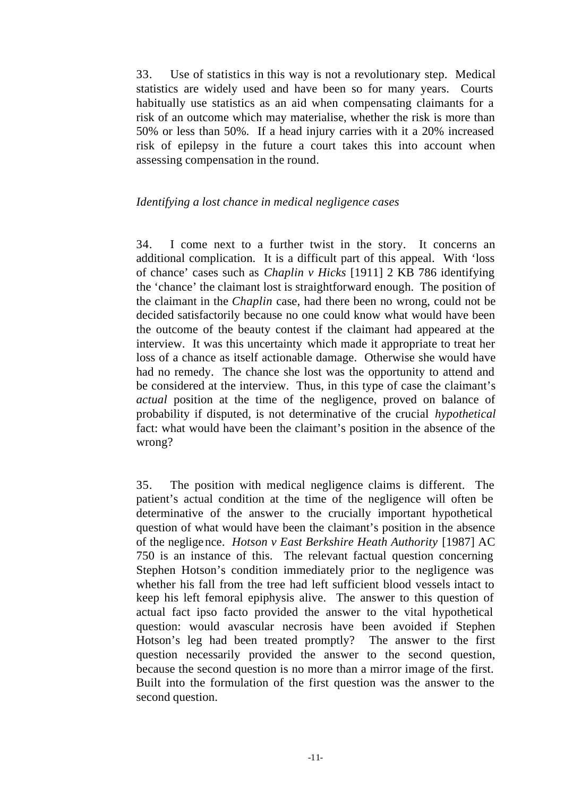33. Use of statistics in this way is not a revolutionary step. Medical statistics are widely used and have been so for many years. Courts habitually use statistics as an aid when compensating claimants for a risk of an outcome which may materialise, whether the risk is more than 50% or less than 50%. If a head injury carries with it a 20% increased risk of epilepsy in the future a court takes this into account when assessing compensation in the round.

## *Identifying a lost chance in medical negligence cases*

34. I come next to a further twist in the story. It concerns an additional complication. It is a difficult part of this appeal. With 'loss of chance' cases such as *Chaplin v Hicks* [1911] 2 KB 786 identifying the 'chance' the claimant lost is straightforward enough. The position of the claimant in the *Chaplin* case, had there been no wrong, could not be decided satisfactorily because no one could know what would have been the outcome of the beauty contest if the claimant had appeared at the interview. It was this uncertainty which made it appropriate to treat her loss of a chance as itself actionable damage. Otherwise she would have had no remedy. The chance she lost was the opportunity to attend and be considered at the interview. Thus, in this type of case the claimant's *actual* position at the time of the negligence, proved on balance of probability if disputed, is not determinative of the crucial *hypothetical* fact: what would have been the claimant's position in the absence of the wrong?

35. The position with medical negligence claims is different. The patient's actual condition at the time of the negligence will often be determinative of the answer to the crucially important hypothetical question of what would have been the claimant's position in the absence of the negligence. *Hotson v East Berkshire Heath Authority* [1987] AC 750 is an instance of this. The relevant factual question concerning Stephen Hotson's condition immediately prior to the negligence was whether his fall from the tree had left sufficient blood vessels intact to keep his left femoral epiphysis alive. The answer to this question of actual fact ipso facto provided the answer to the vital hypothetical question: would avascular necrosis have been avoided if Stephen Hotson's leg had been treated promptly? The answer to the first question necessarily provided the answer to the second question, because the second question is no more than a mirror image of the first. Built into the formulation of the first question was the answer to the second question.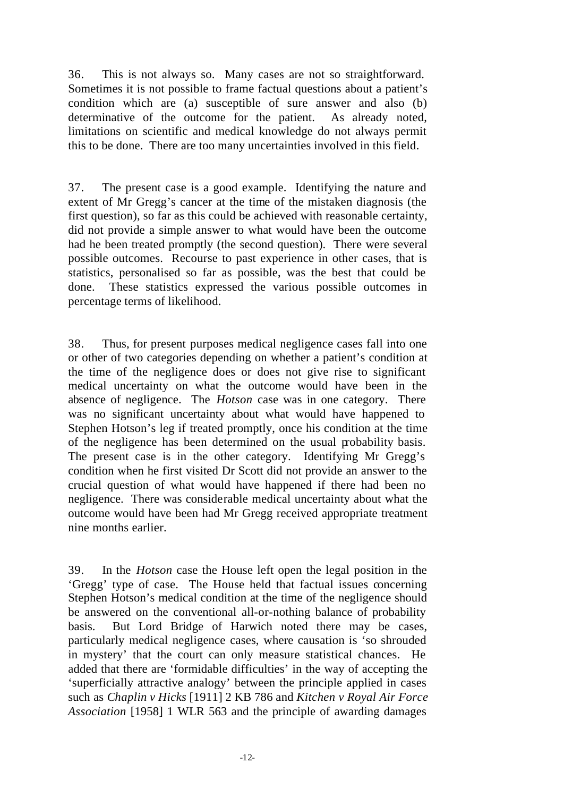36. This is not always so. Many cases are not so straightforward. Sometimes it is not possible to frame factual questions about a patient's condition which are (a) susceptible of sure answer and also (b) determinative of the outcome for the patient. As already noted, limitations on scientific and medical knowledge do not always permit this to be done. There are too many uncertainties involved in this field.

37. The present case is a good example. Identifying the nature and extent of Mr Gregg's cancer at the time of the mistaken diagnosis (the first question), so far as this could be achieved with reasonable certainty, did not provide a simple answer to what would have been the outcome had he been treated promptly (the second question). There were several possible outcomes. Recourse to past experience in other cases, that is statistics, personalised so far as possible, was the best that could be done. These statistics expressed the various possible outcomes in percentage terms of likelihood.

38. Thus, for present purposes medical negligence cases fall into one or other of two categories depending on whether a patient's condition at the time of the negligence does or does not give rise to significant medical uncertainty on what the outcome would have been in the absence of negligence. The *Hotson* case was in one category. There was no significant uncertainty about what would have happened to Stephen Hotson's leg if treated promptly, once his condition at the time of the negligence has been determined on the usual probability basis. The present case is in the other category. Identifying Mr Gregg's condition when he first visited Dr Scott did not provide an answer to the crucial question of what would have happened if there had been no negligence. There was considerable medical uncertainty about what the outcome would have been had Mr Gregg received appropriate treatment nine months earlier.

39. In the *Hotson* case the House left open the legal position in the 'Gregg' type of case. The House held that factual issues concerning Stephen Hotson's medical condition at the time of the negligence should be answered on the conventional all-or-nothing balance of probability basis. But Lord Bridge of Harwich noted there may be cases, particularly medical negligence cases, where causation is 'so shrouded in mystery' that the court can only measure statistical chances. He added that there are 'formidable difficulties' in the way of accepting the 'superficially attractive analogy' between the principle applied in cases such as *Chaplin v Hicks* [1911] 2 KB 786 and *Kitchen v Royal Air Force Association* [1958] 1 WLR 563 and the principle of awarding damages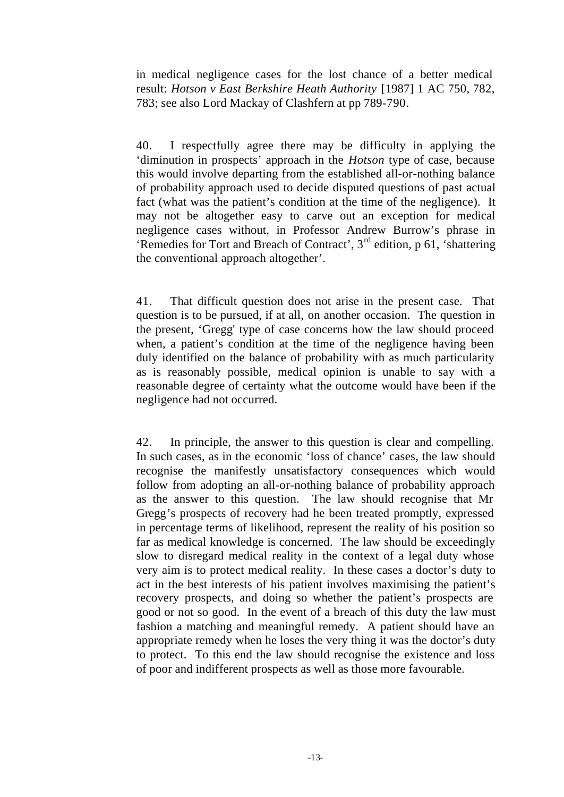in medical negligence cases for the lost chance of a better medical result: *Hotson v East Berkshire Heath Authority* [1987] 1 AC 750, 782, 783; see also Lord Mackay of Clashfern at pp 789-790.

40. I respectfully agree there may be difficulty in applying the 'diminution in prospects' approach in the *Hotson* type of case, because this would involve departing from the established all-or-nothing balance of probability approach used to decide disputed questions of past actual fact (what was the patient's condition at the time of the negligence). It may not be altogether easy to carve out an exception for medical negligence cases without, in Professor Andrew Burrow's phrase in 'Remedies for Tort and Breach of Contract', 3rd edition, p 61, 'shattering the conventional approach altogether'.

41. That difficult question does not arise in the present case. That question is to be pursued, if at all, on another occasion. The question in the present, 'Gregg' type of case concerns how the law should proceed when, a patient's condition at the time of the negligence having been duly identified on the balance of probability with as much particularity as is reasonably possible, medical opinion is unable to say with a reasonable degree of certainty what the outcome would have been if the negligence had not occurred.

42. In principle, the answer to this question is clear and compelling. In such cases, as in the economic 'loss of chance' cases, the law should recognise the manifestly unsatisfactory consequences which would follow from adopting an all-or-nothing balance of probability approach as the answer to this question. The law should recognise that Mr Gregg's prospects of recovery had he been treated promptly, expressed in percentage terms of likelihood, represent the reality of his position so far as medical knowledge is concerned. The law should be exceedingly slow to disregard medical reality in the context of a legal duty whose very aim is to protect medical reality. In these cases a doctor's duty to act in the best interests of his patient involves maximising the patient's recovery prospects, and doing so whether the patient's prospects are good or not so good. In the event of a breach of this duty the law must fashion a matching and meaningful remedy. A patient should have an appropriate remedy when he loses the very thing it was the doctor's duty to protect. To this end the law should recognise the existence and loss of poor and indifferent prospects as well as those more favourable.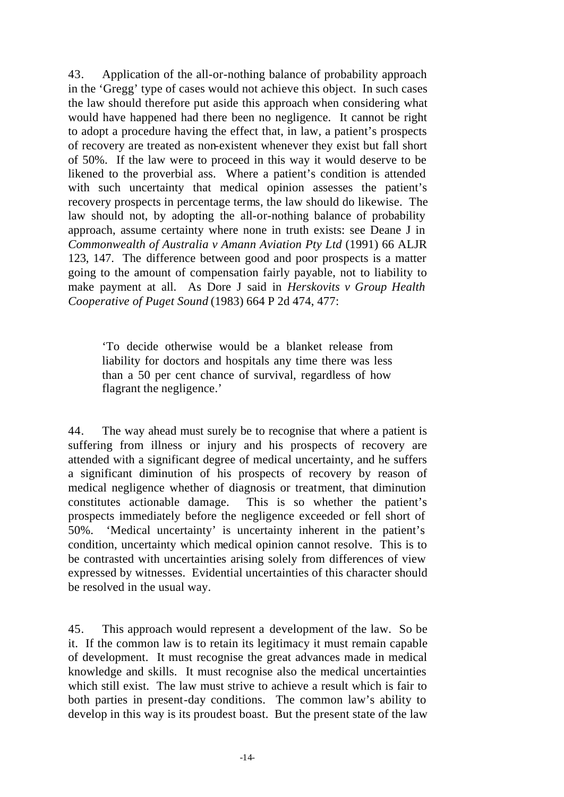43. Application of the all-or-nothing balance of probability approach in the 'Gregg' type of cases would not achieve this object. In such cases the law should therefore put aside this approach when considering what would have happened had there been no negligence. It cannot be right to adopt a procedure having the effect that, in law, a patient's prospects of recovery are treated as non-existent whenever they exist but fall short of 50%. If the law were to proceed in this way it would deserve to be likened to the proverbial ass. Where a patient's condition is attended with such uncertainty that medical opinion assesses the patient's recovery prospects in percentage terms, the law should do likewise. The law should not, by adopting the all-or-nothing balance of probability approach, assume certainty where none in truth exists: see Deane J in *Commonwealth of Australia v Amann Aviation Pty Ltd* (1991) 66 ALJR 123, 147. The difference between good and poor prospects is a matter going to the amount of compensation fairly payable, not to liability to make payment at all. As Dore J said in *Herskovits v Group Health Cooperative of Puget Sound* (1983) 664 P 2d 474, 477:

'To decide otherwise would be a blanket release from liability for doctors and hospitals any time there was less than a 50 per cent chance of survival, regardless of how flagrant the negligence.'

44. The way ahead must surely be to recognise that where a patient is suffering from illness or injury and his prospects of recovery are attended with a significant degree of medical uncertainty, and he suffers a significant diminution of his prospects of recovery by reason of medical negligence whether of diagnosis or treatment, that diminution constitutes actionable damage. This is so whether the patient's prospects immediately before the negligence exceeded or fell short of 50%. 'Medical uncertainty' is uncertainty inherent in the patient's condition, uncertainty which medical opinion cannot resolve. This is to be contrasted with uncertainties arising solely from differences of view expressed by witnesses. Evidential uncertainties of this character should be resolved in the usual way.

45. This approach would represent a development of the law. So be it. If the common law is to retain its legitimacy it must remain capable of development. It must recognise the great advances made in medical knowledge and skills. It must recognise also the medical uncertainties which still exist. The law must strive to achieve a result which is fair to both parties in present-day conditions. The common law's ability to develop in this way is its proudest boast. But the present state of the law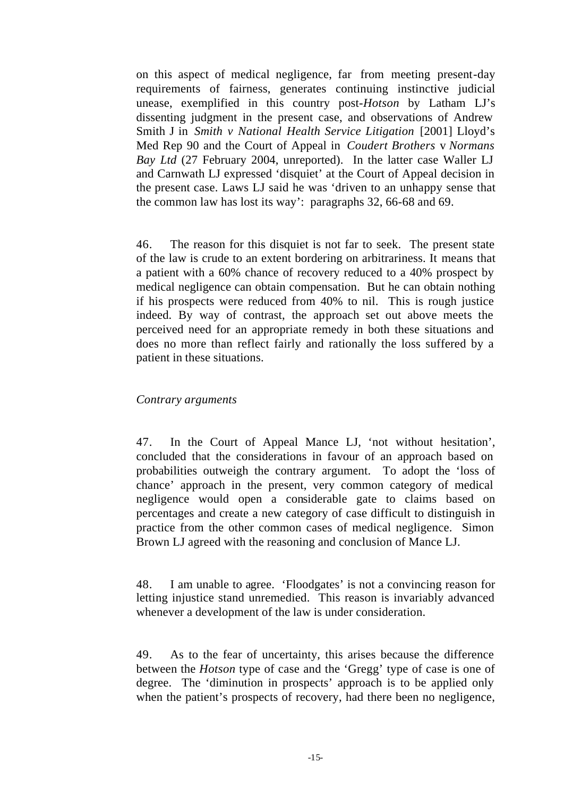on this aspect of medical negligence, far from meeting present-day requirements of fairness, generates continuing instinctive judicial unease, exemplified in this country post*-Hotson* by Latham LJ's dissenting judgment in the present case, and observations of Andrew Smith J in *Smith v National Health Service Litigation* [2001] Lloyd's Med Rep 90 and the Court of Appeal in *Coudert Brothers* v *Normans Bay Ltd* (27 February 2004, unreported). In the latter case Waller LJ and Carnwath LJ expressed 'disquiet' at the Court of Appeal decision in the present case. Laws LJ said he was 'driven to an unhappy sense that the common law has lost its way': paragraphs 32, 66-68 and 69.

46. The reason for this disquiet is not far to seek. The present state of the law is crude to an extent bordering on arbitrariness. It means that a patient with a 60% chance of recovery reduced to a 40% prospect by medical negligence can obtain compensation. But he can obtain nothing if his prospects were reduced from 40% to nil. This is rough justice indeed. By way of contrast, the approach set out above meets the perceived need for an appropriate remedy in both these situations and does no more than reflect fairly and rationally the loss suffered by a patient in these situations.

# *Contrary arguments*

47. In the Court of Appeal Mance LJ, 'not without hesitation', concluded that the considerations in favour of an approach based on probabilities outweigh the contrary argument. To adopt the 'loss of chance' approach in the present, very common category of medical negligence would open a considerable gate to claims based on percentages and create a new category of case difficult to distinguish in practice from the other common cases of medical negligence. Simon Brown LJ agreed with the reasoning and conclusion of Mance LJ.

48. I am unable to agree. 'Floodgates' is not a convincing reason for letting injustice stand unremedied. This reason is invariably advanced whenever a development of the law is under consideration.

49. As to the fear of uncertainty, this arises because the difference between the *Hotson* type of case and the 'Gregg' type of case is one of degree. The 'diminution in prospects' approach is to be applied only when the patient's prospects of recovery, had there been no negligence,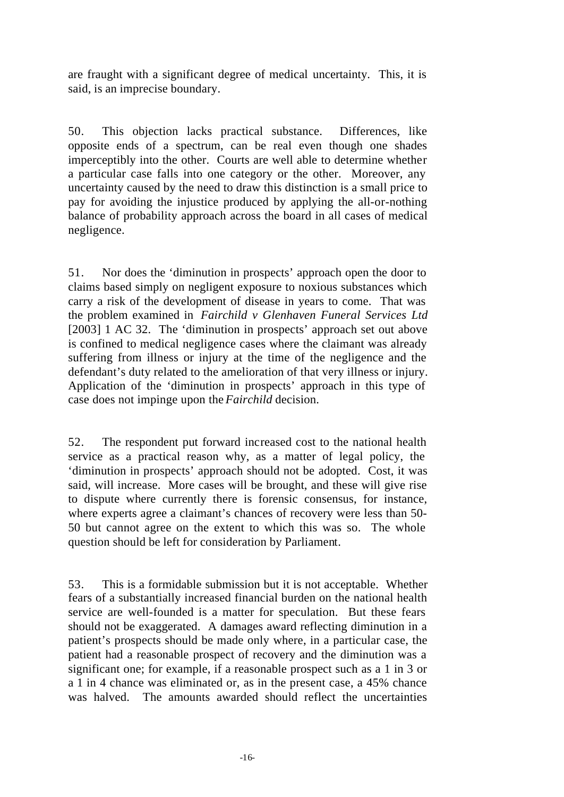are fraught with a significant degree of medical uncertainty. This, it is said, is an imprecise boundary.

50. This objection lacks practical substance. Differences, like opposite ends of a spectrum, can be real even though one shades imperceptibly into the other. Courts are well able to determine whether a particular case falls into one category or the other. Moreover, any uncertainty caused by the need to draw this distinction is a small price to pay for avoiding the injustice produced by applying the all-or-nothing balance of probability approach across the board in all cases of medical negligence.

51. Nor does the 'diminution in prospects' approach open the door to claims based simply on negligent exposure to noxious substances which carry a risk of the development of disease in years to come. That was the problem examined in *Fairchild v Glenhaven Funeral Services Ltd* [2003] 1 AC 32. The 'diminution in prospects' approach set out above is confined to medical negligence cases where the claimant was already suffering from illness or injury at the time of the negligence and the defendant's duty related to the amelioration of that very illness or injury. Application of the 'diminution in prospects' approach in this type of case does not impinge upon the *Fairchild* decision.

52. The respondent put forward increased cost to the national health service as a practical reason why, as a matter of legal policy, the 'diminution in prospects' approach should not be adopted. Cost, it was said, will increase. More cases will be brought, and these will give rise to dispute where currently there is forensic consensus, for instance, where experts agree a claimant's chances of recovery were less than 50- 50 but cannot agree on the extent to which this was so. The whole question should be left for consideration by Parliament.

53. This is a formidable submission but it is not acceptable. Whether fears of a substantially increased financial burden on the national health service are well-founded is a matter for speculation. But these fears should not be exaggerated. A damages award reflecting diminution in a patient's prospects should be made only where, in a particular case, the patient had a reasonable prospect of recovery and the diminution was a significant one; for example, if a reasonable prospect such as a 1 in 3 or a 1 in 4 chance was eliminated or, as in the present case, a 45% chance was halved. The amounts awarded should reflect the uncertainties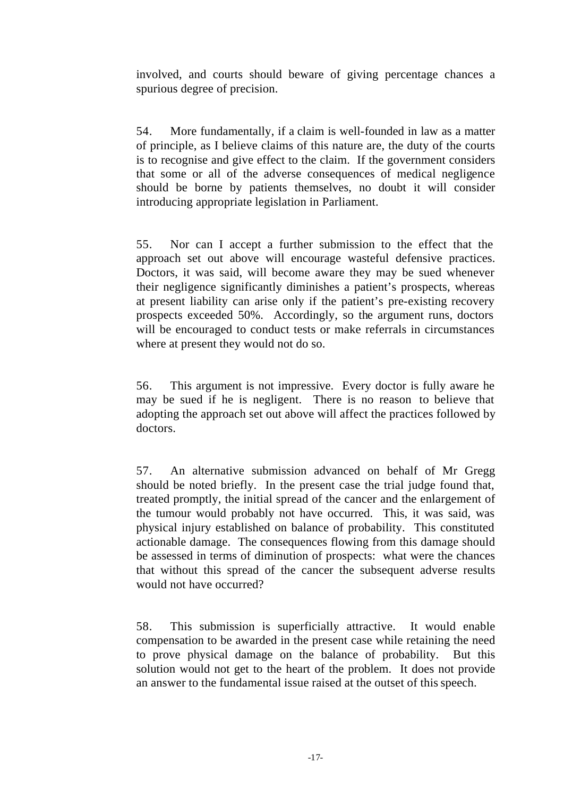involved, and courts should beware of giving percentage chances a spurious degree of precision.

54. More fundamentally, if a claim is well-founded in law as a matter of principle, as I believe claims of this nature are, the duty of the courts is to recognise and give effect to the claim. If the government considers that some or all of the adverse consequences of medical negligence should be borne by patients themselves, no doubt it will consider introducing appropriate legislation in Parliament.

55. Nor can I accept a further submission to the effect that the approach set out above will encourage wasteful defensive practices. Doctors, it was said, will become aware they may be sued whenever their negligence significantly diminishes a patient's prospects, whereas at present liability can arise only if the patient's pre-existing recovery prospects exceeded 50%. Accordingly, so the argument runs, doctors will be encouraged to conduct tests or make referrals in circumstances where at present they would not do so.

56. This argument is not impressive. Every doctor is fully aware he may be sued if he is negligent. There is no reason to believe that adopting the approach set out above will affect the practices followed by doctors.

57. An alternative submission advanced on behalf of Mr Gregg should be noted briefly. In the present case the trial judge found that, treated promptly, the initial spread of the cancer and the enlargement of the tumour would probably not have occurred. This, it was said, was physical injury established on balance of probability. This constituted actionable damage. The consequences flowing from this damage should be assessed in terms of diminution of prospects: what were the chances that without this spread of the cancer the subsequent adverse results would not have occurred?

58. This submission is superficially attractive. It would enable compensation to be awarded in the present case while retaining the need to prove physical damage on the balance of probability. But this solution would not get to the heart of the problem. It does not provide an answer to the fundamental issue raised at the outset of this speech.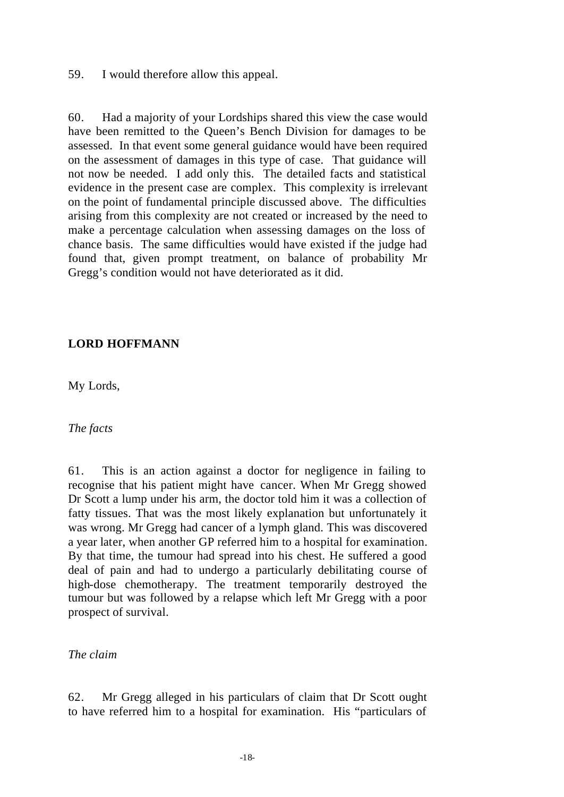59. I would therefore allow this appeal.

60. Had a majority of your Lordships shared this view the case would have been remitted to the Queen's Bench Division for damages to be assessed. In that event some general guidance would have been required on the assessment of damages in this type of case. That guidance will not now be needed. I add only this. The detailed facts and statistical evidence in the present case are complex. This complexity is irrelevant on the point of fundamental principle discussed above. The difficulties arising from this complexity are not created or increased by the need to make a percentage calculation when assessing damages on the loss of chance basis. The same difficulties would have existed if the judge had found that, given prompt treatment, on balance of probability Mr Gregg's condition would not have deteriorated as it did.

# **LORD HOFFMANN**

My Lords,

# *The facts*

61. This is an action against a doctor for negligence in failing to recognise that his patient might have cancer. When Mr Gregg showed Dr Scott a lump under his arm, the doctor told him it was a collection of fatty tissues. That was the most likely explanation but unfortunately it was wrong. Mr Gregg had cancer of a lymph gland. This was discovered a year later, when another GP referred him to a hospital for examination. By that time, the tumour had spread into his chest. He suffered a good deal of pain and had to undergo a particularly debilitating course of high-dose chemotherapy. The treatment temporarily destroyed the tumour but was followed by a relapse which left Mr Gregg with a poor prospect of survival.

*The claim*

62. Mr Gregg alleged in his particulars of claim that Dr Scott ought to have referred him to a hospital for examination. His "particulars of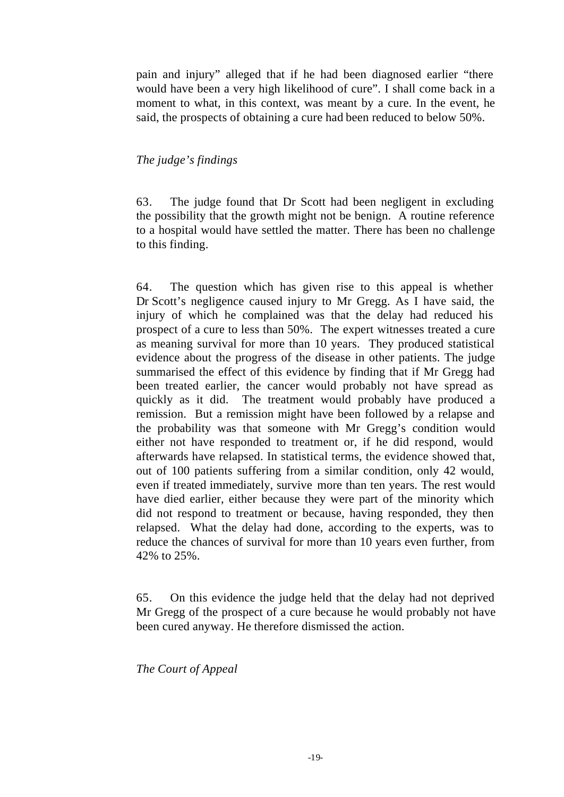pain and injury" alleged that if he had been diagnosed earlier "there would have been a very high likelihood of cure". I shall come back in a moment to what, in this context, was meant by a cure. In the event, he said, the prospects of obtaining a cure had been reduced to below 50%.

# *The judge's findings*

63. The judge found that Dr Scott had been negligent in excluding the possibility that the growth might not be benign. A routine reference to a hospital would have settled the matter. There has been no challenge to this finding.

64. The question which has given rise to this appeal is whether Dr Scott's negligence caused injury to Mr Gregg. As I have said, the injury of which he complained was that the delay had reduced his prospect of a cure to less than 50%. The expert witnesses treated a cure as meaning survival for more than 10 years. They produced statistical evidence about the progress of the disease in other patients. The judge summarised the effect of this evidence by finding that if Mr Gregg had been treated earlier, the cancer would probably not have spread as quickly as it did. The treatment would probably have produced a remission. But a remission might have been followed by a relapse and the probability was that someone with Mr Gregg's condition would either not have responded to treatment or, if he did respond, would afterwards have relapsed. In statistical terms, the evidence showed that, out of 100 patients suffering from a similar condition, only 42 would, even if treated immediately, survive more than ten years. The rest would have died earlier, either because they were part of the minority which did not respond to treatment or because, having responded, they then relapsed. What the delay had done, according to the experts, was to reduce the chances of survival for more than 10 years even further, from 42% to 25%.

65. On this evidence the judge held that the delay had not deprived Mr Gregg of the prospect of a cure because he would probably not have been cured anyway. He therefore dismissed the action.

*The Court of Appeal*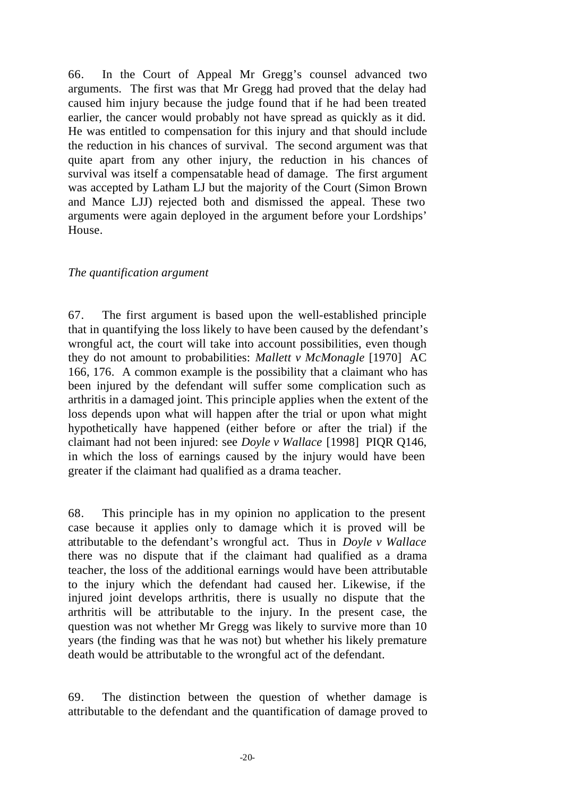66. In the Court of Appeal Mr Gregg's counsel advanced two arguments. The first was that Mr Gregg had proved that the delay had caused him injury because the judge found that if he had been treated earlier, the cancer would probably not have spread as quickly as it did. He was entitled to compensation for this injury and that should include the reduction in his chances of survival. The second argument was that quite apart from any other injury, the reduction in his chances of survival was itself a compensatable head of damage. The first argument was accepted by Latham LJ but the majority of the Court (Simon Brown and Mance LJJ) rejected both and dismissed the appeal. These two arguments were again deployed in the argument before your Lordships' House.

## *The quantification argument*

67. The first argument is based upon the well-established principle that in quantifying the loss likely to have been caused by the defendant's wrongful act, the court will take into account possibilities, even though they do not amount to probabilities: *Mallett v McMonagle* [1970] AC 166, 176. A common example is the possibility that a claimant who has been injured by the defendant will suffer some complication such as arthritis in a damaged joint. This principle applies when the extent of the loss depends upon what will happen after the trial or upon what might hypothetically have happened (either before or after the trial) if the claimant had not been injured: see *Doyle v Wallace* [1998] PIQR Q146, in which the loss of earnings caused by the injury would have been greater if the claimant had qualified as a drama teacher.

68. This principle has in my opinion no application to the present case because it applies only to damage which it is proved will be attributable to the defendant's wrongful act. Thus in *Doyle v Wallace* there was no dispute that if the claimant had qualified as a drama teacher, the loss of the additional earnings would have been attributable to the injury which the defendant had caused her. Likewise, if the injured joint develops arthritis, there is usually no dispute that the arthritis will be attributable to the injury. In the present case, the question was not whether Mr Gregg was likely to survive more than 10 years (the finding was that he was not) but whether his likely premature death would be attributable to the wrongful act of the defendant.

69. The distinction between the question of whether damage is attributable to the defendant and the quantification of damage proved to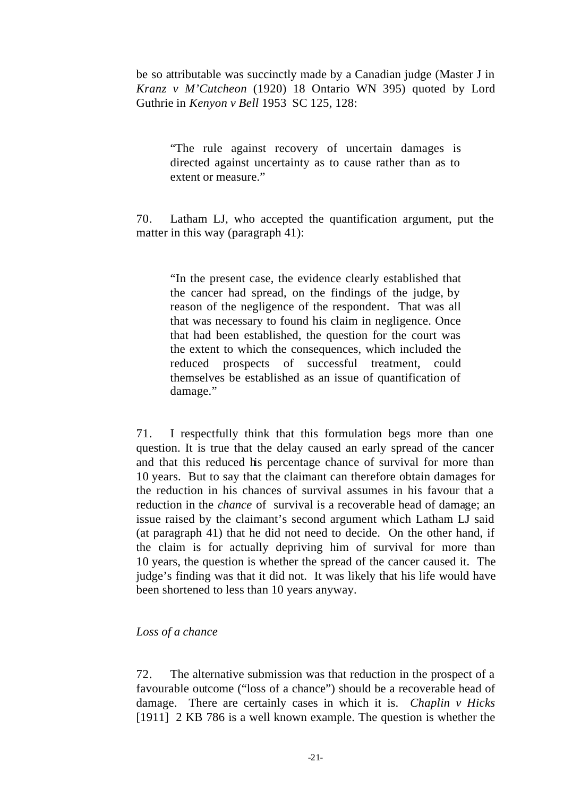be so attributable was succinctly made by a Canadian judge (Master J in *Kranz v M'Cutcheon* (1920) 18 Ontario WN 395) quoted by Lord Guthrie in *Kenyon v Bell* 1953 SC 125, 128:

"The rule against recovery of uncertain damages is directed against uncertainty as to cause rather than as to extent or measure."

70. Latham LJ, who accepted the quantification argument, put the matter in this way (paragraph 41):

"In the present case, the evidence clearly established that the cancer had spread, on the findings of the judge, by reason of the negligence of the respondent. That was all that was necessary to found his claim in negligence. Once that had been established, the question for the court was the extent to which the consequences, which included the reduced prospects of successful treatment, could themselves be established as an issue of quantification of damage."

71. I respectfully think that this formulation begs more than one question. It is true that the delay caused an early spread of the cancer and that this reduced his percentage chance of survival for more than 10 years. But to say that the claimant can therefore obtain damages for the reduction in his chances of survival assumes in his favour that a reduction in the *chance* of survival is a recoverable head of damage; an issue raised by the claimant's second argument which Latham LJ said (at paragraph 41) that he did not need to decide. On the other hand, if the claim is for actually depriving him of survival for more than 10 years, the question is whether the spread of the cancer caused it. The judge's finding was that it did not. It was likely that his life would have been shortened to less than 10 years anyway.

# *Loss of a chance*

72. The alternative submission was that reduction in the prospect of a favourable outcome ("loss of a chance") should be a recoverable head of damage. There are certainly cases in which it is. *Chaplin v Hicks* [1911] 2 KB 786 is a well known example. The question is whether the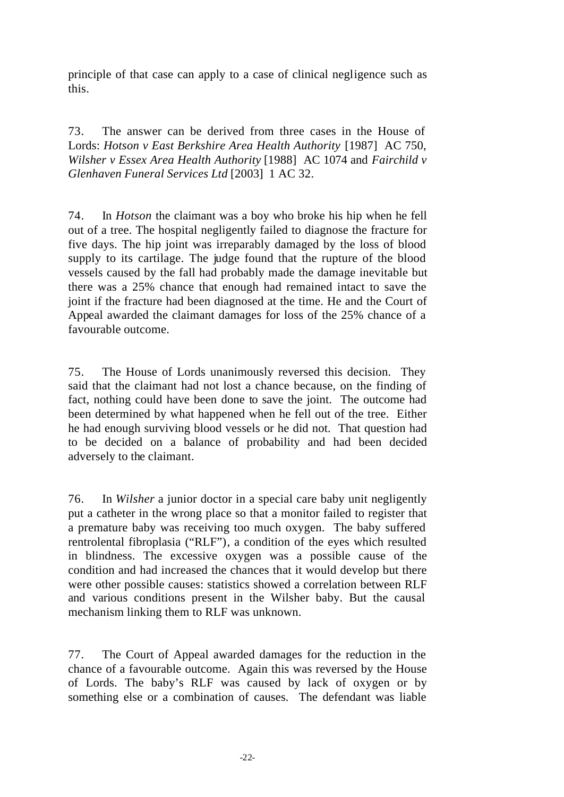principle of that case can apply to a case of clinical negligence such as this.

73. The answer can be derived from three cases in the House of Lords: *Hotson v East Berkshire Area Health Authority* [1987] AC 750, *Wilsher v Essex Area Health Authority* [1988] AC 1074 and *Fairchild v Glenhaven Funeral Services Ltd* [2003] 1 AC 32.

74. In *Hotson* the claimant was a boy who broke his hip when he fell out of a tree. The hospital negligently failed to diagnose the fracture for five days. The hip joint was irreparably damaged by the loss of blood supply to its cartilage. The judge found that the rupture of the blood vessels caused by the fall had probably made the damage inevitable but there was a 25% chance that enough had remained intact to save the joint if the fracture had been diagnosed at the time. He and the Court of Appeal awarded the claimant damages for loss of the 25% chance of a favourable outcome.

75. The House of Lords unanimously reversed this decision. They said that the claimant had not lost a chance because, on the finding of fact, nothing could have been done to save the joint. The outcome had been determined by what happened when he fell out of the tree. Either he had enough surviving blood vessels or he did not. That question had to be decided on a balance of probability and had been decided adversely to the claimant.

76. In *Wilsher* a junior doctor in a special care baby unit negligently put a catheter in the wrong place so that a monitor failed to register that a premature baby was receiving too much oxygen. The baby suffered rentrolental fibroplasia ("RLF"), a condition of the eyes which resulted in blindness. The excessive oxygen was a possible cause of the condition and had increased the chances that it would develop but there were other possible causes: statistics showed a correlation between RLF and various conditions present in the Wilsher baby. But the causal mechanism linking them to RLF was unknown.

77. The Court of Appeal awarded damages for the reduction in the chance of a favourable outcome. Again this was reversed by the House of Lords. The baby's RLF was caused by lack of oxygen or by something else or a combination of causes. The defendant was liable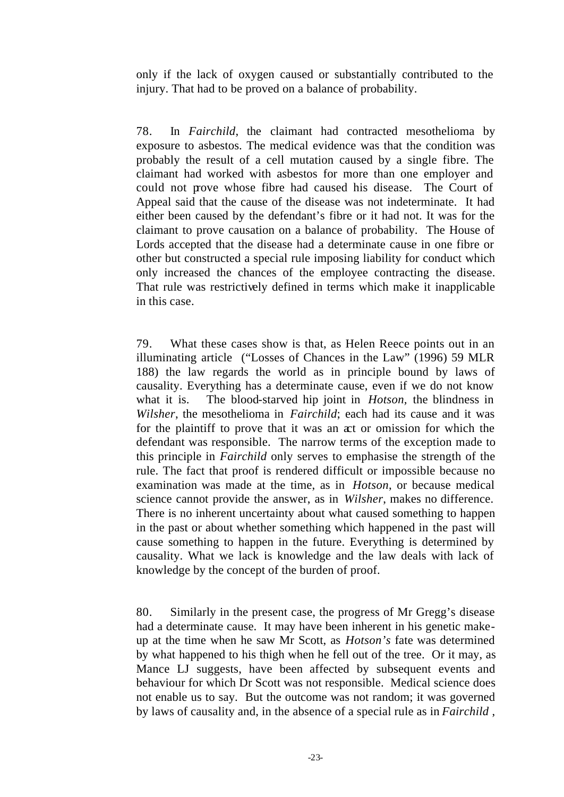only if the lack of oxygen caused or substantially contributed to the injury. That had to be proved on a balance of probability.

78. In *Fairchild*, the claimant had contracted mesothelioma by exposure to asbestos. The medical evidence was that the condition was probably the result of a cell mutation caused by a single fibre. The claimant had worked with asbestos for more than one employer and could not prove whose fibre had caused his disease. The Court of Appeal said that the cause of the disease was not indeterminate. It had either been caused by the defendant's fibre or it had not. It was for the claimant to prove causation on a balance of probability. The House of Lords accepted that the disease had a determinate cause in one fibre or other but constructed a special rule imposing liability for conduct which only increased the chances of the employee contracting the disease. That rule was restrictively defined in terms which make it inapplicable in this case.

79. What these cases show is that, as Helen Reece points out in an illuminating article ("Losses of Chances in the Law" (1996) 59 MLR 188) the law regards the world as in principle bound by laws of causality. Everything has a determinate cause, even if we do not know what it is. The blood-starved hip joint in *Hotson,* the blindness in *Wilsher*, the mesothelioma in *Fairchild*; each had its cause and it was for the plaintiff to prove that it was an act or omission for which the defendant was responsible. The narrow terms of the exception made to this principle in *Fairchild* only serves to emphasise the strength of the rule. The fact that proof is rendered difficult or impossible because no examination was made at the time, as in *Hotson*, or because medical science cannot provide the answer, as in *Wilsher*, makes no difference. There is no inherent uncertainty about what caused something to happen in the past or about whether something which happened in the past will cause something to happen in the future. Everything is determined by causality. What we lack is knowledge and the law deals with lack of knowledge by the concept of the burden of proof.

80. Similarly in the present case, the progress of Mr Gregg's disease had a determinate cause. It may have been inherent in his genetic makeup at the time when he saw Mr Scott, as *Hotson's* fate was determined by what happened to his thigh when he fell out of the tree. Or it may, as Mance LJ suggests, have been affected by subsequent events and behaviour for which Dr Scott was not responsible. Medical science does not enable us to say. But the outcome was not random; it was governed by laws of causality and, in the absence of a special rule as in *Fairchild* ,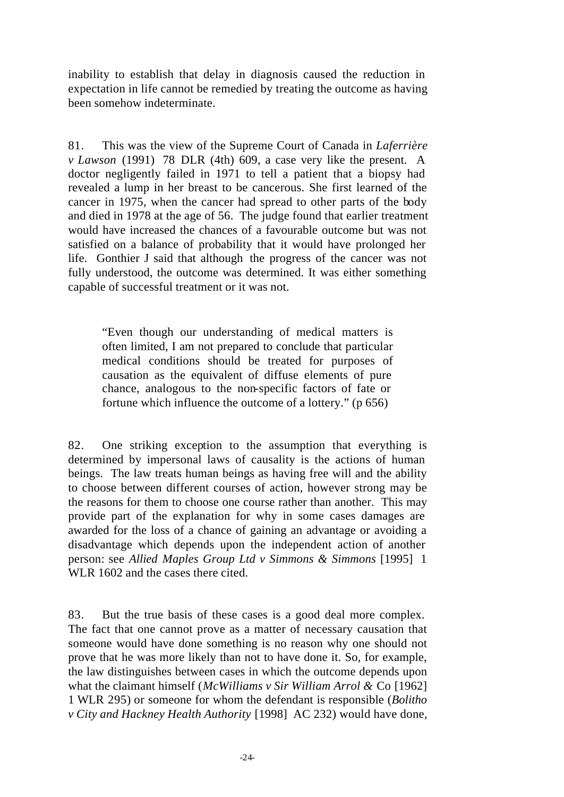inability to establish that delay in diagnosis caused the reduction in expectation in life cannot be remedied by treating the outcome as having been somehow indeterminate.

81. This was the view of the Supreme Court of Canada in *Laferrière v Lawson* (1991) 78 DLR (4th) 609, a case very like the present. A doctor negligently failed in 1971 to tell a patient that a biopsy had revealed a lump in her breast to be cancerous. She first learned of the cancer in 1975, when the cancer had spread to other parts of the body and died in 1978 at the age of 56. The judge found that earlier treatment would have increased the chances of a favourable outcome but was not satisfied on a balance of probability that it would have prolonged her life. Gonthier J said that although the progress of the cancer was not fully understood, the outcome was determined. It was either something capable of successful treatment or it was not.

"Even though our understanding of medical matters is often limited, I am not prepared to conclude that particular medical conditions should be treated for purposes of causation as the equivalent of diffuse elements of pure chance, analogous to the non-specific factors of fate or fortune which influence the outcome of a lottery." (p 656)

82. One striking exception to the assumption that everything is determined by impersonal laws of causality is the actions of human beings. The law treats human beings as having free will and the ability to choose between different courses of action, however strong may be the reasons for them to choose one course rather than another. This may provide part of the explanation for why in some cases damages are awarded for the loss of a chance of gaining an advantage or avoiding a disadvantage which depends upon the independent action of another person: see *Allied Maples Group Ltd v Simmons & Simmons* [1995] 1 WLR 1602 and the cases there cited.

83. But the true basis of these cases is a good deal more complex. The fact that one cannot prove as a matter of necessary causation that someone would have done something is no reason why one should not prove that he was more likely than not to have done it. So, for example, the law distinguishes between cases in which the outcome depends upon what the claimant himself (*McWilliams v Sir William Arrol &* Co [1962] 1 WLR 295) or someone for whom the defendant is responsible (*Bolitho v City and Hackney Health Authority* [1998] AC 232) would have done,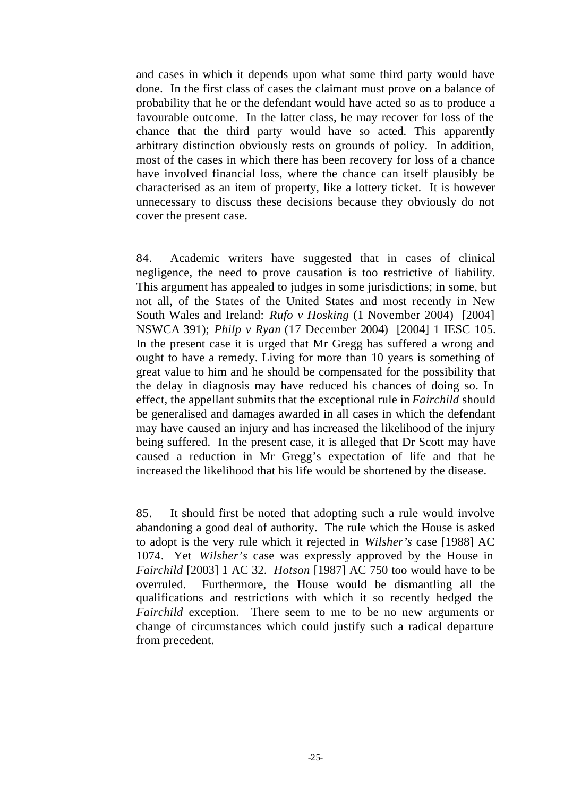and cases in which it depends upon what some third party would have done. In the first class of cases the claimant must prove on a balance of probability that he or the defendant would have acted so as to produce a favourable outcome. In the latter class, he may recover for loss of the chance that the third party would have so acted. This apparently arbitrary distinction obviously rests on grounds of policy. In addition, most of the cases in which there has been recovery for loss of a chance have involved financial loss, where the chance can itself plausibly be characterised as an item of property, like a lottery ticket. It is however unnecessary to discuss these decisions because they obviously do not cover the present case.

84. Academic writers have suggested that in cases of clinical negligence, the need to prove causation is too restrictive of liability. This argument has appealed to judges in some jurisdictions; in some, but not all, of the States of the United States and most recently in New South Wales and Ireland: *Rufo v Hosking* (1 November 2004) [2004] NSWCA 391); *Philp v Ryan* (17 December 2004) [2004] 1 IESC 105. In the present case it is urged that Mr Gregg has suffered a wrong and ought to have a remedy. Living for more than 10 years is something of great value to him and he should be compensated for the possibility that the delay in diagnosis may have reduced his chances of doing so. In effect, the appellant submits that the exceptional rule in *Fairchild* should be generalised and damages awarded in all cases in which the defendant may have caused an injury and has increased the likelihood of the injury being suffered. In the present case, it is alleged that Dr Scott may have caused a reduction in Mr Gregg's expectation of life and that he increased the likelihood that his life would be shortened by the disease.

85. It should first be noted that adopting such a rule would involve abandoning a good deal of authority. The rule which the House is asked to adopt is the very rule which it rejected in *Wilsher's* case [1988] AC 1074. Yet *Wilsher's* case was expressly approved by the House in *Fairchild* [2003] 1 AC 32. *Hotson* [1987] AC 750 too would have to be overruled. Furthermore, the House would be dismantling all the qualifications and restrictions with which it so recently hedged the *Fairchild* exception. There seem to me to be no new arguments or change of circumstances which could justify such a radical departure from precedent.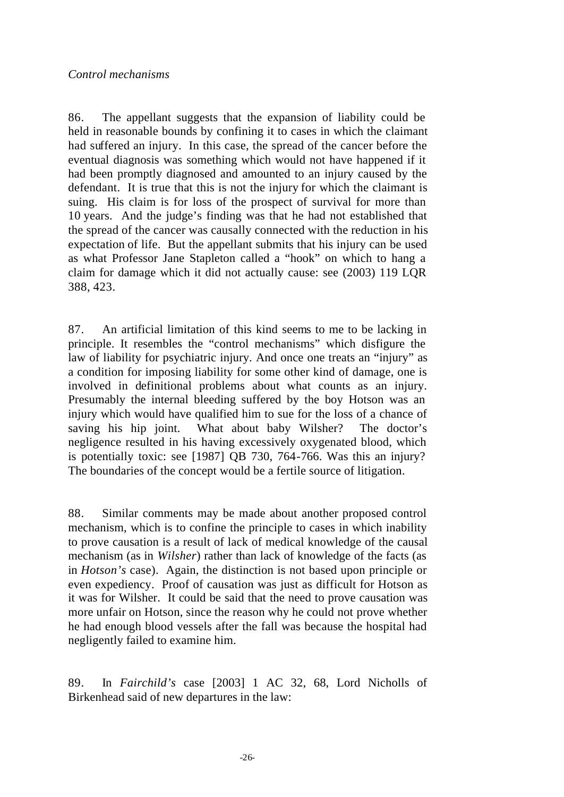## *Control mechanisms*

86. The appellant suggests that the expansion of liability could be held in reasonable bounds by confining it to cases in which the claimant had suffered an injury. In this case, the spread of the cancer before the eventual diagnosis was something which would not have happened if it had been promptly diagnosed and amounted to an injury caused by the defendant. It is true that this is not the injury for which the claimant is suing. His claim is for loss of the prospect of survival for more than 10 years. And the judge's finding was that he had not established that the spread of the cancer was causally connected with the reduction in his expectation of life. But the appellant submits that his injury can be used as what Professor Jane Stapleton called a "hook" on which to hang a claim for damage which it did not actually cause: see (2003) 119 LQR 388, 423.

87. An artificial limitation of this kind seems to me to be lacking in principle. It resembles the "control mechanisms" which disfigure the law of liability for psychiatric injury. And once one treats an "injury" as a condition for imposing liability for some other kind of damage, one is involved in definitional problems about what counts as an injury. Presumably the internal bleeding suffered by the boy Hotson was an injury which would have qualified him to sue for the loss of a chance of saving his hip joint. What about baby Wilsher? The doctor's negligence resulted in his having excessively oxygenated blood, which is potentially toxic: see [1987] QB 730, 764-766. Was this an injury? The boundaries of the concept would be a fertile source of litigation.

88. Similar comments may be made about another proposed control mechanism, which is to confine the principle to cases in which inability to prove causation is a result of lack of medical knowledge of the causal mechanism (as in *Wilsher*) rather than lack of knowledge of the facts (as in *Hotson's* case). Again, the distinction is not based upon principle or even expediency. Proof of causation was just as difficult for Hotson as it was for Wilsher. It could be said that the need to prove causation was more unfair on Hotson, since the reason why he could not prove whether he had enough blood vessels after the fall was because the hospital had negligently failed to examine him.

89. In *Fairchild's* case [2003] 1 AC 32, 68, Lord Nicholls of Birkenhead said of new departures in the law: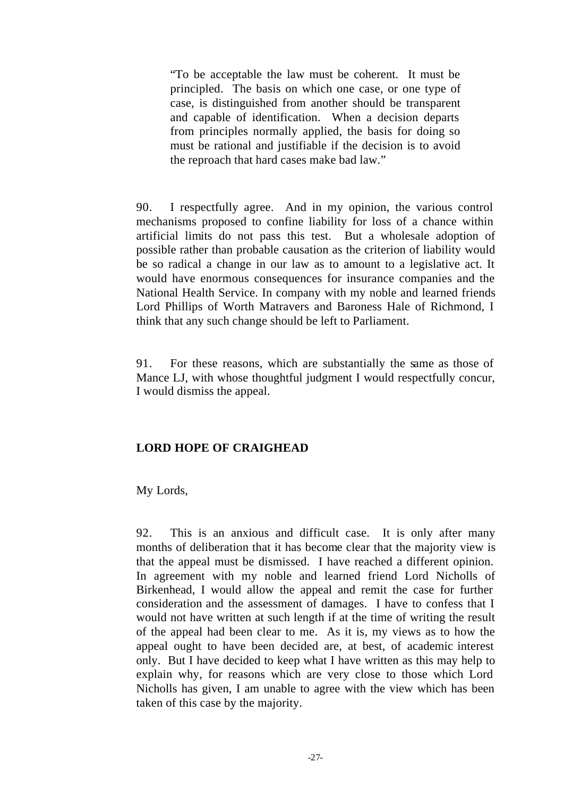"To be acceptable the law must be coherent. It must be principled. The basis on which one case, or one type of case, is distinguished from another should be transparent and capable of identification. When a decision departs from principles normally applied, the basis for doing so must be rational and justifiable if the decision is to avoid the reproach that hard cases make bad law."

90. I respectfully agree. And in my opinion, the various control mechanisms proposed to confine liability for loss of a chance within artificial limits do not pass this test. But a wholesale adoption of possible rather than probable causation as the criterion of liability would be so radical a change in our law as to amount to a legislative act. It would have enormous consequences for insurance companies and the National Health Service. In company with my noble and learned friends Lord Phillips of Worth Matravers and Baroness Hale of Richmond, I think that any such change should be left to Parliament.

91. For these reasons, which are substantially the same as those of Mance LJ, with whose thoughtful judgment I would respectfully concur, I would dismiss the appeal.

# **LORD HOPE OF CRAIGHEAD**

My Lords,

92. This is an anxious and difficult case. It is only after many months of deliberation that it has become clear that the majority view is that the appeal must be dismissed. I have reached a different opinion. In agreement with my noble and learned friend Lord Nicholls of Birkenhead, I would allow the appeal and remit the case for further consideration and the assessment of damages. I have to confess that I would not have written at such length if at the time of writing the result of the appeal had been clear to me. As it is, my views as to how the appeal ought to have been decided are, at best, of academic interest only. But I have decided to keep what I have written as this may help to explain why, for reasons which are very close to those which Lord Nicholls has given, I am unable to agree with the view which has been taken of this case by the majority.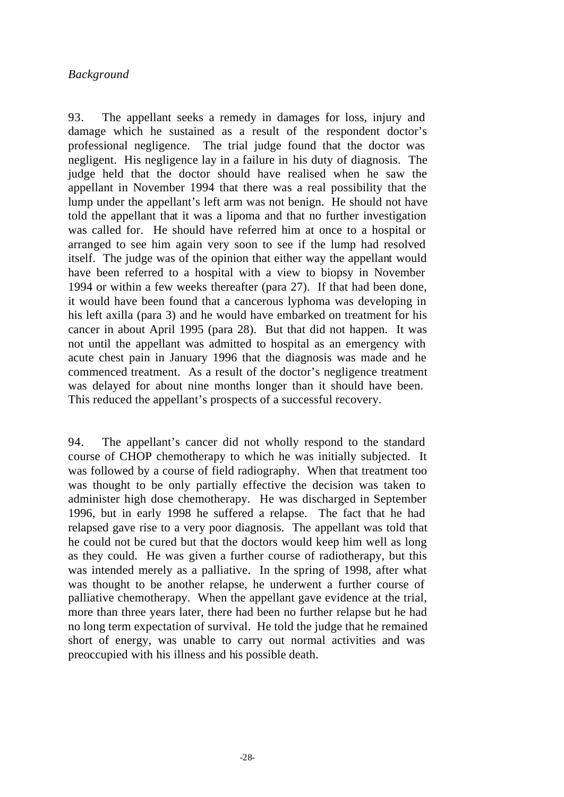# *Background*

93. The appellant seeks a remedy in damages for loss, injury and damage which he sustained as a result of the respondent doctor's professional negligence. The trial judge found that the doctor was negligent. His negligence lay in a failure in his duty of diagnosis. The judge held that the doctor should have realised when he saw the appellant in November 1994 that there was a real possibility that the lump under the appellant's left arm was not benign. He should not have told the appellant that it was a lipoma and that no further investigation was called for. He should have referred him at once to a hospital or arranged to see him again very soon to see if the lump had resolved itself. The judge was of the opinion that either way the appellant would have been referred to a hospital with a view to biopsy in November 1994 or within a few weeks thereafter (para 27). If that had been done, it would have been found that a cancerous lyphoma was developing in his left axilla (para 3) and he would have embarked on treatment for his cancer in about April 1995 (para 28). But that did not happen. It was not until the appellant was admitted to hospital as an emergency with acute chest pain in January 1996 that the diagnosis was made and he commenced treatment. As a result of the doctor's negligence treatment was delayed for about nine months longer than it should have been. This reduced the appellant's prospects of a successful recovery.

94. The appellant's cancer did not wholly respond to the standard course of CHOP chemotherapy to which he was initially subjected. It was followed by a course of field radiography. When that treatment too was thought to be only partially effective the decision was taken to administer high dose chemotherapy. He was discharged in September 1996, but in early 1998 he suffered a relapse. The fact that he had relapsed gave rise to a very poor diagnosis. The appellant was told that he could not be cured but that the doctors would keep him well as long as they could. He was given a further course of radiotherapy, but this was intended merely as a palliative. In the spring of 1998, after what was thought to be another relapse, he underwent a further course of palliative chemotherapy. When the appellant gave evidence at the trial, more than three years later, there had been no further relapse but he had no long term expectation of survival. He told the judge that he remained short of energy, was unable to carry out normal activities and was preoccupied with his illness and his possible death.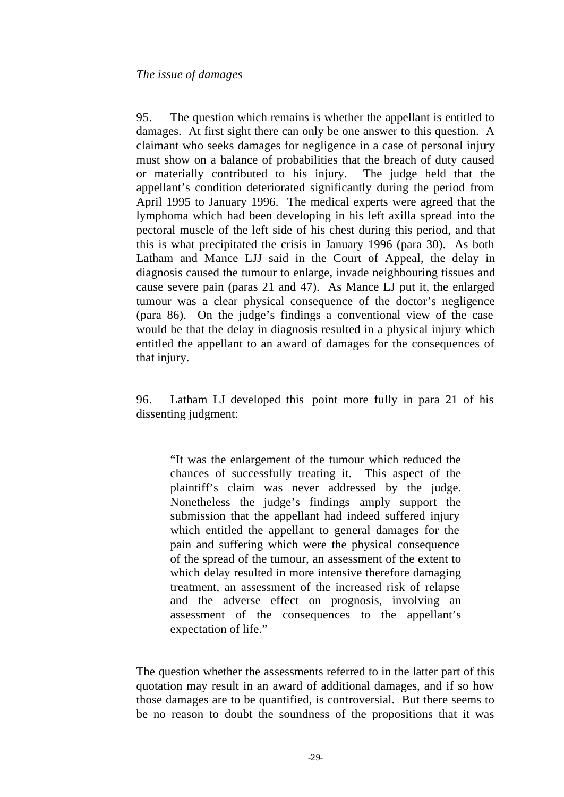# *The issue of damages*

95. The question which remains is whether the appellant is entitled to damages. At first sight there can only be one answer to this question. A claimant who seeks damages for negligence in a case of personal injury must show on a balance of probabilities that the breach of duty caused or materially contributed to his injury. The judge held that the appellant's condition deteriorated significantly during the period from April 1995 to January 1996. The medical experts were agreed that the lymphoma which had been developing in his left axilla spread into the pectoral muscle of the left side of his chest during this period, and that this is what precipitated the crisis in January 1996 (para 30). As both Latham and Mance LJJ said in the Court of Appeal, the delay in diagnosis caused the tumour to enlarge, invade neighbouring tissues and cause severe pain (paras 21 and 47). As Mance LJ put it, the enlarged tumour was a clear physical consequence of the doctor's negligence (para 86). On the judge's findings a conventional view of the case would be that the delay in diagnosis resulted in a physical injury which entitled the appellant to an award of damages for the consequences of that injury.

96. Latham LJ developed this point more fully in para 21 of his dissenting judgment:

"It was the enlargement of the tumour which reduced the chances of successfully treating it. This aspect of the plaintiff's claim was never addressed by the judge. Nonetheless the judge's findings amply support the submission that the appellant had indeed suffered injury which entitled the appellant to general damages for the pain and suffering which were the physical consequence of the spread of the tumour, an assessment of the extent to which delay resulted in more intensive therefore damaging treatment, an assessment of the increased risk of relapse and the adverse effect on prognosis, involving an assessment of the consequences to the appellant's expectation of life."

The question whether the assessments referred to in the latter part of this quotation may result in an award of additional damages, and if so how those damages are to be quantified, is controversial. But there seems to be no reason to doubt the soundness of the propositions that it was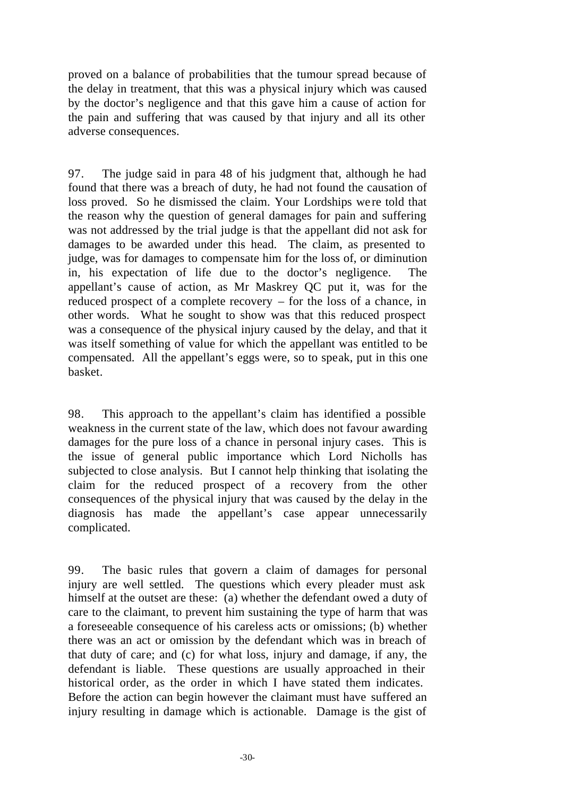proved on a balance of probabilities that the tumour spread because of the delay in treatment, that this was a physical injury which was caused by the doctor's negligence and that this gave him a cause of action for the pain and suffering that was caused by that injury and all its other adverse consequences.

97. The judge said in para 48 of his judgment that, although he had found that there was a breach of duty, he had not found the causation of loss proved. So he dismissed the claim. Your Lordships we re told that the reason why the question of general damages for pain and suffering was not addressed by the trial judge is that the appellant did not ask for damages to be awarded under this head. The claim, as presented to judge, was for damages to compensate him for the loss of, or diminution in, his expectation of life due to the doctor's negligence. The appellant's cause of action, as Mr Maskrey QC put it, was for the reduced prospect of a complete recovery – for the loss of a chance, in other words. What he sought to show was that this reduced prospect was a consequence of the physical injury caused by the delay, and that it was itself something of value for which the appellant was entitled to be compensated. All the appellant's eggs were, so to speak, put in this one basket.

98. This approach to the appellant's claim has identified a possible weakness in the current state of the law, which does not favour awarding damages for the pure loss of a chance in personal injury cases. This is the issue of general public importance which Lord Nicholls has subjected to close analysis. But I cannot help thinking that isolating the claim for the reduced prospect of a recovery from the other consequences of the physical injury that was caused by the delay in the diagnosis has made the appellant's case appear unnecessarily complicated.

99. The basic rules that govern a claim of damages for personal injury are well settled. The questions which every pleader must ask himself at the outset are these: (a) whether the defendant owed a duty of care to the claimant, to prevent him sustaining the type of harm that was a foreseeable consequence of his careless acts or omissions; (b) whether there was an act or omission by the defendant which was in breach of that duty of care; and (c) for what loss, injury and damage, if any, the defendant is liable. These questions are usually approached in their historical order, as the order in which I have stated them indicates. Before the action can begin however the claimant must have suffered an injury resulting in damage which is actionable. Damage is the gist of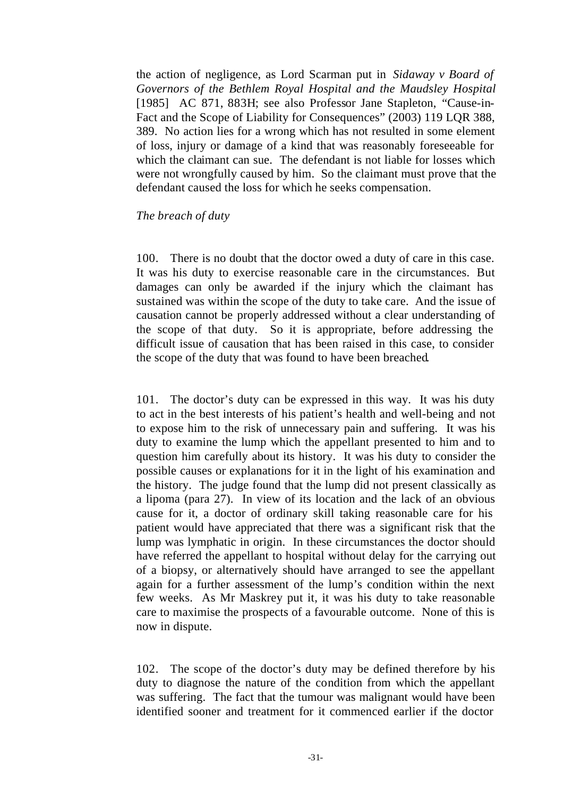the action of negligence, as Lord Scarman put in *Sidaway v Board of Governors of the Bethlem Royal Hospital and the Maudsley Hospital* [1985] AC 871, 883H; see also Professor Jane Stapleton, "Cause-in-Fact and the Scope of Liability for Consequences" (2003) 119 LQR 388, 389. No action lies for a wrong which has not resulted in some element of loss, injury or damage of a kind that was reasonably foreseeable for which the claimant can sue. The defendant is not liable for losses which were not wrongfully caused by him. So the claimant must prove that the defendant caused the loss for which he seeks compensation.

## *The breach of duty*

100. There is no doubt that the doctor owed a duty of care in this case. It was his duty to exercise reasonable care in the circumstances. But damages can only be awarded if the injury which the claimant has sustained was within the scope of the duty to take care. And the issue of causation cannot be properly addressed without a clear understanding of the scope of that duty. So it is appropriate, before addressing the difficult issue of causation that has been raised in this case, to consider the scope of the duty that was found to have been breached.

101. The doctor's duty can be expressed in this way. It was his duty to act in the best interests of his patient's health and well-being and not to expose him to the risk of unnecessary pain and suffering. It was his duty to examine the lump which the appellant presented to him and to question him carefully about its history. It was his duty to consider the possible causes or explanations for it in the light of his examination and the history. The judge found that the lump did not present classically as a lipoma (para 27). In view of its location and the lack of an obvious cause for it, a doctor of ordinary skill taking reasonable care for his patient would have appreciated that there was a significant risk that the lump was lymphatic in origin. In these circumstances the doctor should have referred the appellant to hospital without delay for the carrying out of a biopsy, or alternatively should have arranged to see the appellant again for a further assessment of the lump's condition within the next few weeks. As Mr Maskrey put it, it was his duty to take reasonable care to maximise the prospects of a favourable outcome. None of this is now in dispute.

102. The scope of the doctor's duty may be defined therefore by his duty to diagnose the nature of the condition from which the appellant was suffering. The fact that the tumour was malignant would have been identified sooner and treatment for it commenced earlier if the doctor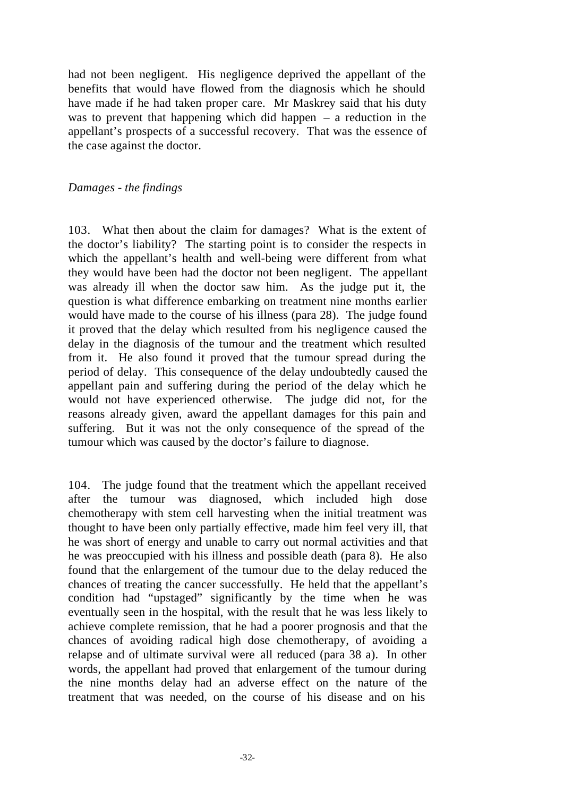had not been negligent. His negligence deprived the appellant of the benefits that would have flowed from the diagnosis which he should have made if he had taken proper care. Mr Maskrey said that his duty was to prevent that happening which did happen – a reduction in the appellant's prospects of a successful recovery. That was the essence of the case against the doctor.

#### *Damages - the findings*

103. What then about the claim for damages? What is the extent of the doctor's liability? The starting point is to consider the respects in which the appellant's health and well-being were different from what they would have been had the doctor not been negligent. The appellant was already ill when the doctor saw him. As the judge put it, the question is what difference embarking on treatment nine months earlier would have made to the course of his illness (para 28). The judge found it proved that the delay which resulted from his negligence caused the delay in the diagnosis of the tumour and the treatment which resulted from it. He also found it proved that the tumour spread during the period of delay. This consequence of the delay undoubtedly caused the appellant pain and suffering during the period of the delay which he would not have experienced otherwise. The judge did not, for the reasons already given, award the appellant damages for this pain and suffering. But it was not the only consequence of the spread of the tumour which was caused by the doctor's failure to diagnose.

104. The judge found that the treatment which the appellant received after the tumour was diagnosed, which included high dose chemotherapy with stem cell harvesting when the initial treatment was thought to have been only partially effective, made him feel very ill, that he was short of energy and unable to carry out normal activities and that he was preoccupied with his illness and possible death (para 8). He also found that the enlargement of the tumour due to the delay reduced the chances of treating the cancer successfully. He held that the appellant's condition had "upstaged" significantly by the time when he was eventually seen in the hospital, with the result that he was less likely to achieve complete remission, that he had a poorer prognosis and that the chances of avoiding radical high dose chemotherapy, of avoiding a relapse and of ultimate survival were all reduced (para 38 a). In other words, the appellant had proved that enlargement of the tumour during the nine months delay had an adverse effect on the nature of the treatment that was needed, on the course of his disease and on his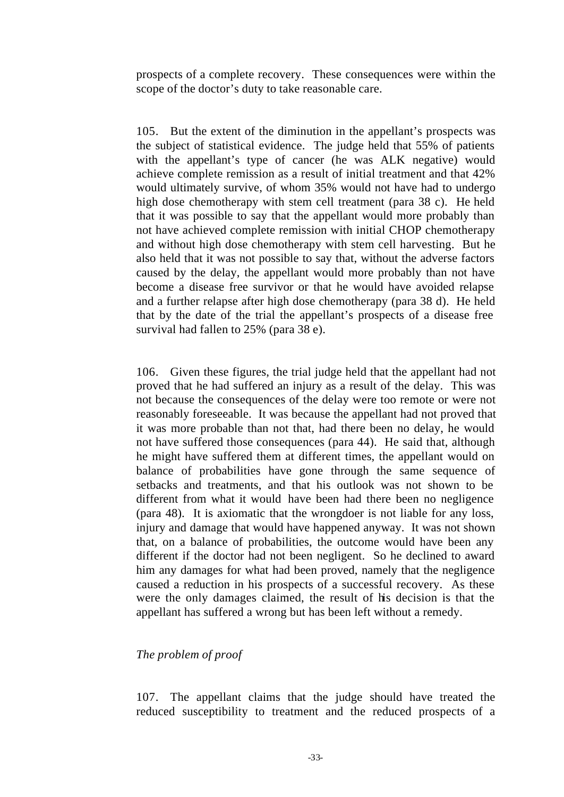prospects of a complete recovery. These consequences were within the scope of the doctor's duty to take reasonable care.

105. But the extent of the diminution in the appellant's prospects was the subject of statistical evidence. The judge held that 55% of patients with the appellant's type of cancer (he was ALK negative) would achieve complete remission as a result of initial treatment and that 42% would ultimately survive, of whom 35% would not have had to undergo high dose chemotherapy with stem cell treatment (para 38 c). He held that it was possible to say that the appellant would more probably than not have achieved complete remission with initial CHOP chemotherapy and without high dose chemotherapy with stem cell harvesting. But he also held that it was not possible to say that, without the adverse factors caused by the delay, the appellant would more probably than not have become a disease free survivor or that he would have avoided relapse and a further relapse after high dose chemotherapy (para 38 d). He held that by the date of the trial the appellant's prospects of a disease free survival had fallen to 25% (para 38 e).

106. Given these figures, the trial judge held that the appellant had not proved that he had suffered an injury as a result of the delay. This was not because the consequences of the delay were too remote or were not reasonably foreseeable. It was because the appellant had not proved that it was more probable than not that, had there been no delay, he would not have suffered those consequences (para 44). He said that, although he might have suffered them at different times, the appellant would on balance of probabilities have gone through the same sequence of setbacks and treatments, and that his outlook was not shown to be different from what it would have been had there been no negligence (para 48). It is axiomatic that the wrongdoer is not liable for any loss, injury and damage that would have happened anyway. It was not shown that, on a balance of probabilities, the outcome would have been any different if the doctor had not been negligent. So he declined to award him any damages for what had been proved, namely that the negligence caused a reduction in his prospects of a successful recovery. As these were the only damages claimed, the result of his decision is that the appellant has suffered a wrong but has been left without a remedy.

# *The problem of proof*

107. The appellant claims that the judge should have treated the reduced susceptibility to treatment and the reduced prospects of a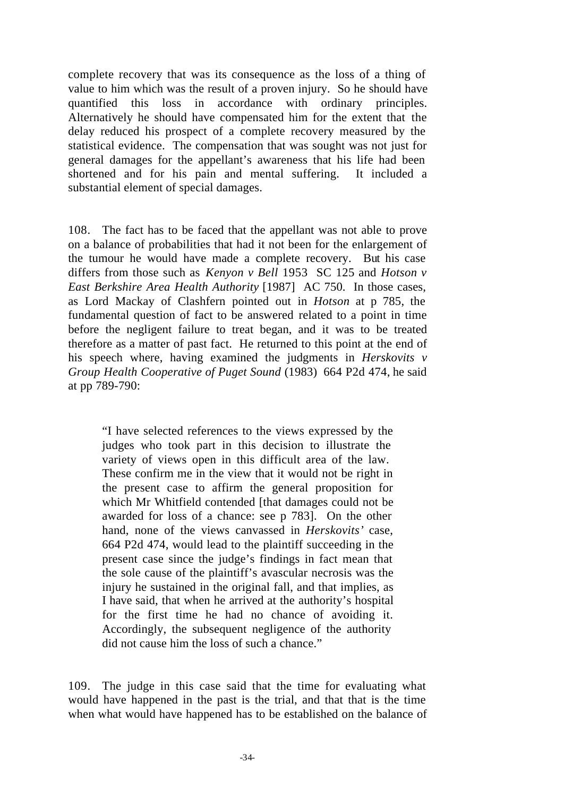complete recovery that was its consequence as the loss of a thing of value to him which was the result of a proven injury. So he should have quantified this loss in accordance with ordinary principles. Alternatively he should have compensated him for the extent that the delay reduced his prospect of a complete recovery measured by the statistical evidence. The compensation that was sought was not just for general damages for the appellant's awareness that his life had been shortened and for his pain and mental suffering. It included a substantial element of special damages.

108. The fact has to be faced that the appellant was not able to prove on a balance of probabilities that had it not been for the enlargement of the tumour he would have made a complete recovery. But his case differs from those such as *Kenyon v Bell* 1953 SC 125 and *Hotson v East Berkshire Area Health Authority* [1987] AC 750. In those cases, as Lord Mackay of Clashfern pointed out in *Hotson* at p 785, the fundamental question of fact to be answered related to a point in time before the negligent failure to treat began, and it was to be treated therefore as a matter of past fact. He returned to this point at the end of his speech where, having examined the judgments in *Herskovits v Group Health Cooperative of Puget Sound* (1983) 664 P2d 474, he said at pp 789-790:

"I have selected references to the views expressed by the judges who took part in this decision to illustrate the variety of views open in this difficult area of the law. These confirm me in the view that it would not be right in the present case to affirm the general proposition for which Mr Whitfield contended [that damages could not be awarded for loss of a chance: see p 783]. On the other hand, none of the views canvassed in *Herskovits'* case, 664 P2d 474, would lead to the plaintiff succeeding in the present case since the judge's findings in fact mean that the sole cause of the plaintiff's avascular necrosis was the injury he sustained in the original fall, and that implies, as I have said, that when he arrived at the authority's hospital for the first time he had no chance of avoiding it. Accordingly, the subsequent negligence of the authority did not cause him the loss of such a chance."

109. The judge in this case said that the time for evaluating what would have happened in the past is the trial, and that that is the time when what would have happened has to be established on the balance of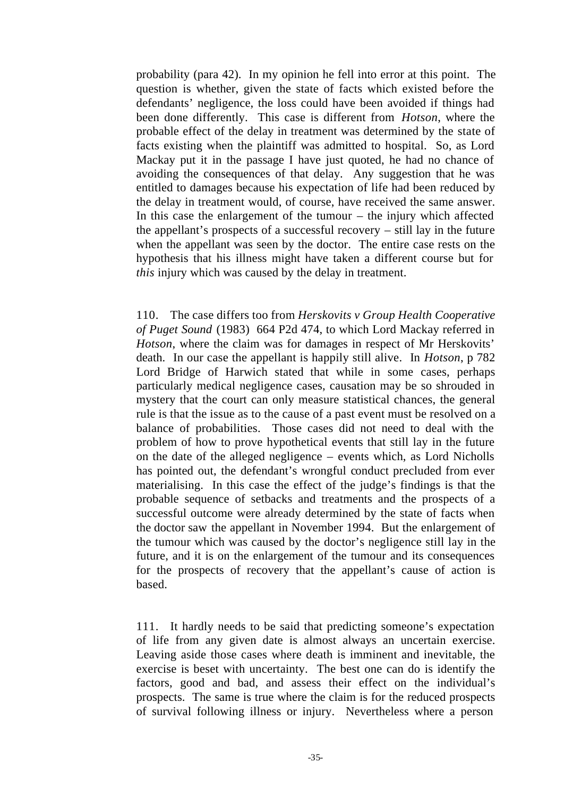probability (para 42). In my opinion he fell into error at this point. The question is whether, given the state of facts which existed before the defendants' negligence, the loss could have been avoided if things had been done differently. This case is different from *Hotson*, where the probable effect of the delay in treatment was determined by the state of facts existing when the plaintiff was admitted to hospital. So, as Lord Mackay put it in the passage I have just quoted, he had no chance of avoiding the consequences of that delay. Any suggestion that he was entitled to damages because his expectation of life had been reduced by the delay in treatment would, of course, have received the same answer. In this case the enlargement of the tumour – the injury which affected the appellant's prospects of a successful recovery – still lay in the future when the appellant was seen by the doctor. The entire case rests on the hypothesis that his illness might have taken a different course but for *this* injury which was caused by the delay in treatment.

110. The case differs too from *Herskovits v Group Health Cooperative of Puget Sound* (1983) 664 P2d 474, to which Lord Mackay referred in *Hotson*, where the claim was for damages in respect of Mr Herskovits' death. In our case the appellant is happily still alive. In *Hotson*, p 782 Lord Bridge of Harwich stated that while in some cases, perhaps particularly medical negligence cases, causation may be so shrouded in mystery that the court can only measure statistical chances, the general rule is that the issue as to the cause of a past event must be resolved on a balance of probabilities. Those cases did not need to deal with the problem of how to prove hypothetical events that still lay in the future on the date of the alleged negligence – events which, as Lord Nicholls has pointed out, the defendant's wrongful conduct precluded from ever materialising. In this case the effect of the judge's findings is that the probable sequence of setbacks and treatments and the prospects of a successful outcome were already determined by the state of facts when the doctor saw the appellant in November 1994. But the enlargement of the tumour which was caused by the doctor's negligence still lay in the future, and it is on the enlargement of the tumour and its consequences for the prospects of recovery that the appellant's cause of action is based.

111. It hardly needs to be said that predicting someone's expectation of life from any given date is almost always an uncertain exercise. Leaving aside those cases where death is imminent and inevitable, the exercise is beset with uncertainty. The best one can do is identify the factors, good and bad, and assess their effect on the individual's prospects. The same is true where the claim is for the reduced prospects of survival following illness or injury. Nevertheless where a person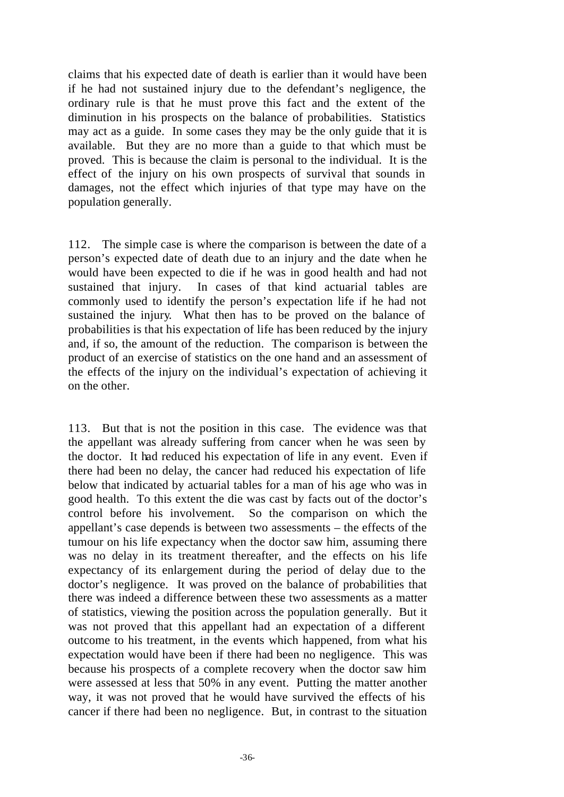claims that his expected date of death is earlier than it would have been if he had not sustained injury due to the defendant's negligence, the ordinary rule is that he must prove this fact and the extent of the diminution in his prospects on the balance of probabilities. Statistics may act as a guide. In some cases they may be the only guide that it is available. But they are no more than a guide to that which must be proved. This is because the claim is personal to the individual. It is the effect of the injury on his own prospects of survival that sounds in damages, not the effect which injuries of that type may have on the population generally.

112. The simple case is where the comparison is between the date of a person's expected date of death due to an injury and the date when he would have been expected to die if he was in good health and had not sustained that injury. In cases of that kind actuarial tables are commonly used to identify the person's expectation life if he had not sustained the injury. What then has to be proved on the balance of probabilities is that his expectation of life has been reduced by the injury and, if so, the amount of the reduction. The comparison is between the product of an exercise of statistics on the one hand and an assessment of the effects of the injury on the individual's expectation of achieving it on the other.

113. But that is not the position in this case. The evidence was that the appellant was already suffering from cancer when he was seen by the doctor. It had reduced his expectation of life in any event. Even if there had been no delay, the cancer had reduced his expectation of life below that indicated by actuarial tables for a man of his age who was in good health. To this extent the die was cast by facts out of the doctor's control before his involvement. So the comparison on which the appellant's case depends is between two assessments – the effects of the tumour on his life expectancy when the doctor saw him, assuming there was no delay in its treatment thereafter, and the effects on his life expectancy of its enlargement during the period of delay due to the doctor's negligence. It was proved on the balance of probabilities that there was indeed a difference between these two assessments as a matter of statistics, viewing the position across the population generally. But it was not proved that this appellant had an expectation of a different outcome to his treatment, in the events which happened, from what his expectation would have been if there had been no negligence. This was because his prospects of a complete recovery when the doctor saw him were assessed at less that 50% in any event. Putting the matter another way, it was not proved that he would have survived the effects of his cancer if there had been no negligence. But, in contrast to the situation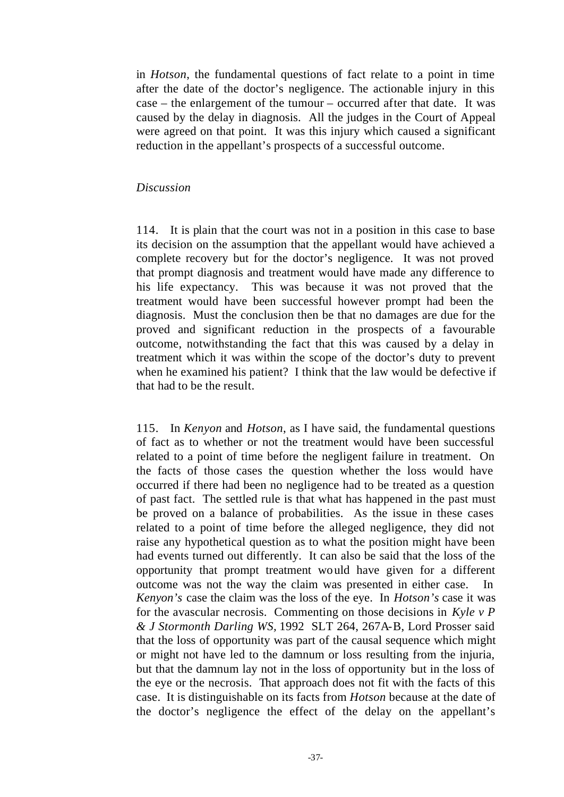in *Hotson*, the fundamental questions of fact relate to a point in time after the date of the doctor's negligence. The actionable injury in this case – the enlargement of the tumour – occurred after that date. It was caused by the delay in diagnosis. All the judges in the Court of Appeal were agreed on that point. It was this injury which caused a significant reduction in the appellant's prospects of a successful outcome.

## *Discussion*

114. It is plain that the court was not in a position in this case to base its decision on the assumption that the appellant would have achieved a complete recovery but for the doctor's negligence. It was not proved that prompt diagnosis and treatment would have made any difference to his life expectancy. This was because it was not proved that the treatment would have been successful however prompt had been the diagnosis. Must the conclusion then be that no damages are due for the proved and significant reduction in the prospects of a favourable outcome, notwithstanding the fact that this was caused by a delay in treatment which it was within the scope of the doctor's duty to prevent when he examined his patient? I think that the law would be defective if that had to be the result.

115. In *Kenyon* and *Hotson*, as I have said, the fundamental questions of fact as to whether or not the treatment would have been successful related to a point of time before the negligent failure in treatment. On the facts of those cases the question whether the loss would have occurred if there had been no negligence had to be treated as a question of past fact. The settled rule is that what has happened in the past must be proved on a balance of probabilities. As the issue in these cases related to a point of time before the alleged negligence, they did not raise any hypothetical question as to what the position might have been had events turned out differently. It can also be said that the loss of the opportunity that prompt treatment would have given for a different outcome was not the way the claim was presented in either case. In *Kenyon's* case the claim was the loss of the eye. In *Hotson's* case it was for the avascular necrosis. Commenting on those decisions in *Kyle v P & J Stormonth Darling WS,* 1992 SLT 264, 267A-B, Lord Prosser said that the loss of opportunity was part of the causal sequence which might or might not have led to the damnum or loss resulting from the injuria, but that the damnum lay not in the loss of opportunity but in the loss of the eye or the necrosis. That approach does not fit with the facts of this case. It is distinguishable on its facts from *Hotson* because at the date of the doctor's negligence the effect of the delay on the appellant's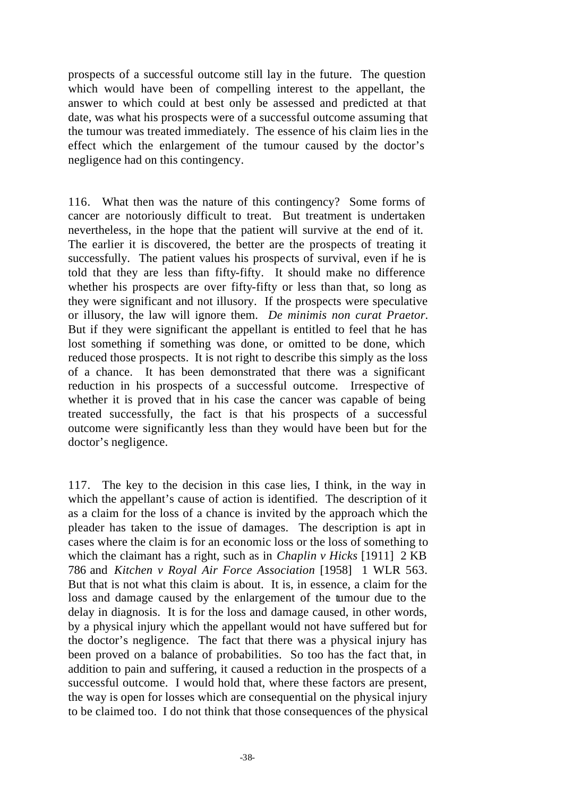prospects of a successful outcome still lay in the future. The question which would have been of compelling interest to the appellant, the answer to which could at best only be assessed and predicted at that date, was what his prospects were of a successful outcome assuming that the tumour was treated immediately. The essence of his claim lies in the effect which the enlargement of the tumour caused by the doctor's negligence had on this contingency.

116. What then was the nature of this contingency? Some forms of cancer are notoriously difficult to treat. But treatment is undertaken nevertheless, in the hope that the patient will survive at the end of it. The earlier it is discovered, the better are the prospects of treating it successfully. The patient values his prospects of survival, even if he is told that they are less than fifty-fifty. It should make no difference whether his prospects are over fifty-fifty or less than that, so long as they were significant and not illusory. If the prospects were speculative or illusory, the law will ignore them. *De minimis non curat Praetor.* But if they were significant the appellant is entitled to feel that he has lost something if something was done, or omitted to be done, which reduced those prospects. It is not right to describe this simply as the loss of a chance. It has been demonstrated that there was a significant reduction in his prospects of a successful outcome. Irrespective of whether it is proved that in his case the cancer was capable of being treated successfully, the fact is that his prospects of a successful outcome were significantly less than they would have been but for the doctor's negligence.

117. The key to the decision in this case lies, I think, in the way in which the appellant's cause of action is identified. The description of it as a claim for the loss of a chance is invited by the approach which the pleader has taken to the issue of damages. The description is apt in cases where the claim is for an economic loss or the loss of something to which the claimant has a right, such as in *Chaplin v Hicks* [1911] 2 KB 786 and *Kitchen v Royal Air Force Association* [1958] 1 WLR 563. But that is not what this claim is about. It is, in essence, a claim for the loss and damage caused by the enlargement of the tumour due to the delay in diagnosis. It is for the loss and damage caused, in other words, by a physical injury which the appellant would not have suffered but for the doctor's negligence. The fact that there was a physical injury has been proved on a balance of probabilities. So too has the fact that, in addition to pain and suffering, it caused a reduction in the prospects of a successful outcome. I would hold that, where these factors are present, the way is open for losses which are consequential on the physical injury to be claimed too. I do not think that those consequences of the physical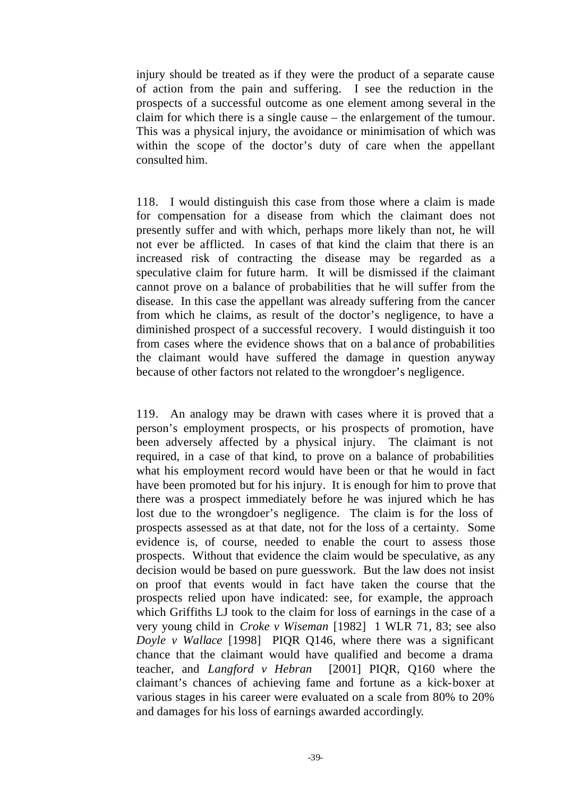injury should be treated as if they were the product of a separate cause of action from the pain and suffering. I see the reduction in the prospects of a successful outcome as one element among several in the claim for which there is a single cause – the enlargement of the tumour. This was a physical injury, the avoidance or minimisation of which was within the scope of the doctor's duty of care when the appellant consulted him.

118. I would distinguish this case from those where a claim is made for compensation for a disease from which the claimant does not presently suffer and with which, perhaps more likely than not, he will not ever be afflicted. In cases of that kind the claim that there is an increased risk of contracting the disease may be regarded as a speculative claim for future harm. It will be dismissed if the claimant cannot prove on a balance of probabilities that he will suffer from the disease. In this case the appellant was already suffering from the cancer from which he claims, as result of the doctor's negligence, to have a diminished prospect of a successful recovery. I would distinguish it too from cases where the evidence shows that on a bal ance of probabilities the claimant would have suffered the damage in question anyway because of other factors not related to the wrongdoer's negligence.

119. An analogy may be drawn with cases where it is proved that a person's employment prospects, or his prospects of promotion, have been adversely affected by a physical injury. The claimant is not required, in a case of that kind, to prove on a balance of probabilities what his employment record would have been or that he would in fact have been promoted but for his injury. It is enough for him to prove that there was a prospect immediately before he was injured which he has lost due to the wrongdoer's negligence. The claim is for the loss of prospects assessed as at that date, not for the loss of a certainty. Some evidence is, of course, needed to enable the court to assess those prospects. Without that evidence the claim would be speculative, as any decision would be based on pure guesswork. But the law does not insist on proof that events would in fact have taken the course that the prospects relied upon have indicated: see, for example, the approach which Griffiths LJ took to the claim for loss of earnings in the case of a very young child in *Croke v Wiseman* [1982] 1 WLR 71, 83; see also *Doyle v Wallace* [1998] PIQR Q146, where there was a significant chance that the claimant would have qualified and become a drama teacher, and *Langford v Hebran* [2001] PIQR, Q160 where the claimant's chances of achieving fame and fortune as a kick-boxer at various stages in his career were evaluated on a scale from 80% to 20% and damages for his loss of earnings awarded accordingly.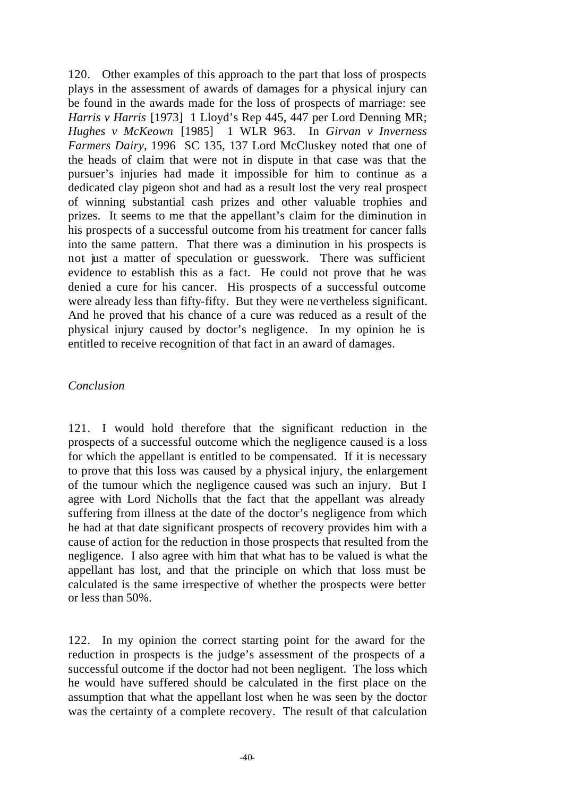120. Other examples of this approach to the part that loss of prospects plays in the assessment of awards of damages for a physical injury can be found in the awards made for the loss of prospects of marriage: see *Harris v Harris* [1973] 1 Lloyd's Rep 445, 447 per Lord Denning MR; *Hughes v McKeown* [1985] 1 WLR 963. In *Girvan v Inverness Farmers Dairy*, 1996 SC 135, 137 Lord McCluskey noted that one of the heads of claim that were not in dispute in that case was that the pursuer's injuries had made it impossible for him to continue as a dedicated clay pigeon shot and had as a result lost the very real prospect of winning substantial cash prizes and other valuable trophies and prizes. It seems to me that the appellant's claim for the diminution in his prospects of a successful outcome from his treatment for cancer falls into the same pattern. That there was a diminution in his prospects is not just a matter of speculation or guesswork. There was sufficient evidence to establish this as a fact. He could not prove that he was denied a cure for his cancer. His prospects of a successful outcome were already less than fifty-fifty. But they were nevertheless significant. And he proved that his chance of a cure was reduced as a result of the physical injury caused by doctor's negligence. In my opinion he is entitled to receive recognition of that fact in an award of damages.

## *Conclusion*

121. I would hold therefore that the significant reduction in the prospects of a successful outcome which the negligence caused is a loss for which the appellant is entitled to be compensated. If it is necessary to prove that this loss was caused by a physical injury, the enlargement of the tumour which the negligence caused was such an injury. But I agree with Lord Nicholls that the fact that the appellant was already suffering from illness at the date of the doctor's negligence from which he had at that date significant prospects of recovery provides him with a cause of action for the reduction in those prospects that resulted from the negligence. I also agree with him that what has to be valued is what the appellant has lost, and that the principle on which that loss must be calculated is the same irrespective of whether the prospects were better or less than 50%.

122. In my opinion the correct starting point for the award for the reduction in prospects is the judge's assessment of the prospects of a successful outcome if the doctor had not been negligent. The loss which he would have suffered should be calculated in the first place on the assumption that what the appellant lost when he was seen by the doctor was the certainty of a complete recovery. The result of that calculation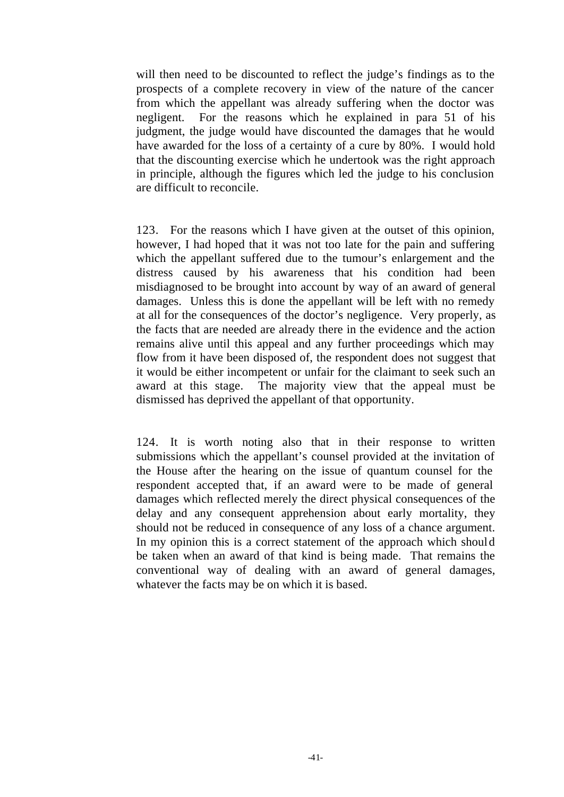will then need to be discounted to reflect the judge's findings as to the prospects of a complete recovery in view of the nature of the cancer from which the appellant was already suffering when the doctor was negligent. For the reasons which he explained in para 51 of his judgment, the judge would have discounted the damages that he would have awarded for the loss of a certainty of a cure by 80%. I would hold that the discounting exercise which he undertook was the right approach in principle, although the figures which led the judge to his conclusion are difficult to reconcile.

123. For the reasons which I have given at the outset of this opinion, however, I had hoped that it was not too late for the pain and suffering which the appellant suffered due to the tumour's enlargement and the distress caused by his awareness that his condition had been misdiagnosed to be brought into account by way of an award of general damages. Unless this is done the appellant will be left with no remedy at all for the consequences of the doctor's negligence. Very properly, as the facts that are needed are already there in the evidence and the action remains alive until this appeal and any further proceedings which may flow from it have been disposed of, the respondent does not suggest that it would be either incompetent or unfair for the claimant to seek such an award at this stage. The majority view that the appeal must be dismissed has deprived the appellant of that opportunity.

124. It is worth noting also that in their response to written submissions which the appellant's counsel provided at the invitation of the House after the hearing on the issue of quantum counsel for the respondent accepted that, if an award were to be made of general damages which reflected merely the direct physical consequences of the delay and any consequent apprehension about early mortality, they should not be reduced in consequence of any loss of a chance argument. In my opinion this is a correct statement of the approach which should be taken when an award of that kind is being made. That remains the conventional way of dealing with an award of general damages, whatever the facts may be on which it is based.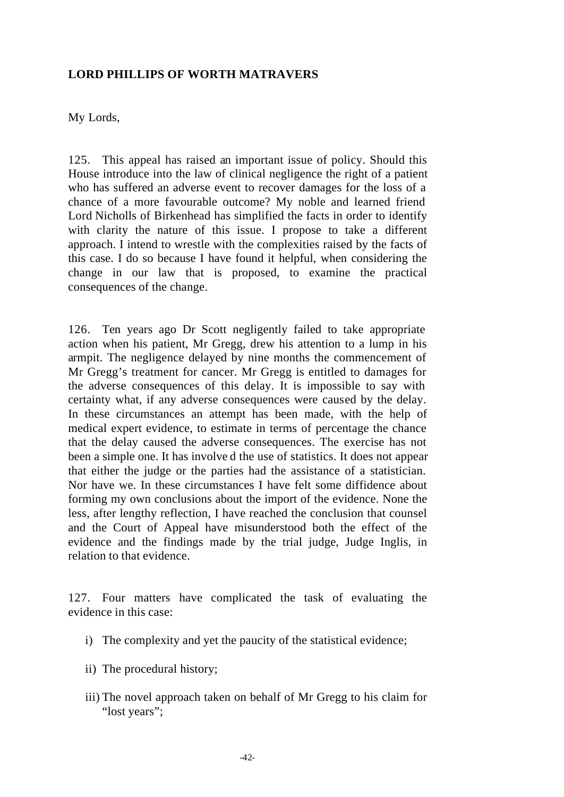# **LORD PHILLIPS OF WORTH MATRAVERS**

My Lords,

125. This appeal has raised an important issue of policy. Should this House introduce into the law of clinical negligence the right of a patient who has suffered an adverse event to recover damages for the loss of a chance of a more favourable outcome? My noble and learned friend Lord Nicholls of Birkenhead has simplified the facts in order to identify with clarity the nature of this issue. I propose to take a different approach. I intend to wrestle with the complexities raised by the facts of this case. I do so because I have found it helpful, when considering the change in our law that is proposed, to examine the practical consequences of the change.

126. Ten years ago Dr Scott negligently failed to take appropriate action when his patient, Mr Gregg, drew his attention to a lump in his armpit. The negligence delayed by nine months the commencement of Mr Gregg's treatment for cancer. Mr Gregg is entitled to damages for the adverse consequences of this delay. It is impossible to say with certainty what, if any adverse consequences were caused by the delay. In these circumstances an attempt has been made, with the help of medical expert evidence, to estimate in terms of percentage the chance that the delay caused the adverse consequences. The exercise has not been a simple one. It has involve d the use of statistics. It does not appear that either the judge or the parties had the assistance of a statistician. Nor have we. In these circumstances I have felt some diffidence about forming my own conclusions about the import of the evidence. None the less, after lengthy reflection, I have reached the conclusion that counsel and the Court of Appeal have misunderstood both the effect of the evidence and the findings made by the trial judge, Judge Inglis, in relation to that evidence.

127. Four matters have complicated the task of evaluating the evidence in this case:

- i) The complexity and yet the paucity of the statistical evidence;
- ii) The procedural history;
- iii) The novel approach taken on behalf of Mr Gregg to his claim for "lost years":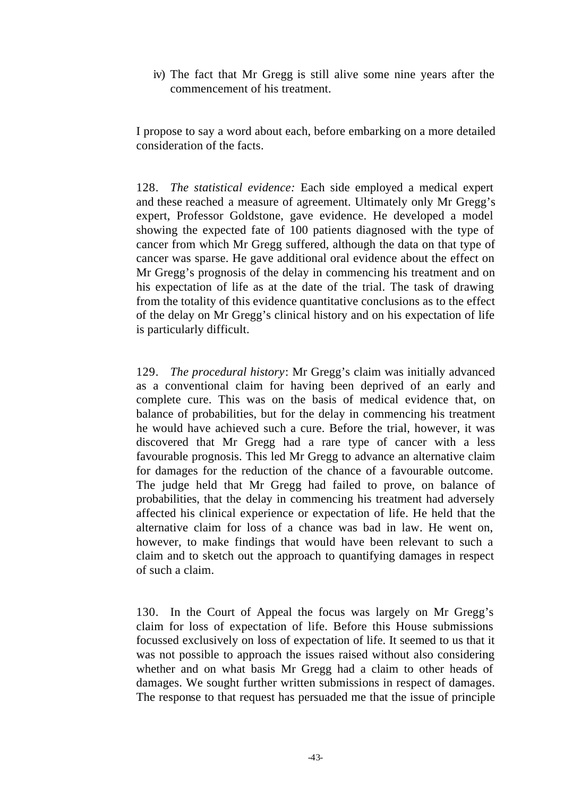iv) The fact that Mr Gregg is still alive some nine years after the commencement of his treatment.

I propose to say a word about each, before embarking on a more detailed consideration of the facts.

128. *The statistical evidence:* Each side employed a medical expert and these reached a measure of agreement. Ultimately only Mr Gregg's expert, Professor Goldstone, gave evidence. He developed a model showing the expected fate of 100 patients diagnosed with the type of cancer from which Mr Gregg suffered, although the data on that type of cancer was sparse. He gave additional oral evidence about the effect on Mr Gregg's prognosis of the delay in commencing his treatment and on his expectation of life as at the date of the trial. The task of drawing from the totality of this evidence quantitative conclusions as to the effect of the delay on Mr Gregg's clinical history and on his expectation of life is particularly difficult.

129. *The procedural history*: Mr Gregg's claim was initially advanced as a conventional claim for having been deprived of an early and complete cure. This was on the basis of medical evidence that, on balance of probabilities, but for the delay in commencing his treatment he would have achieved such a cure. Before the trial, however, it was discovered that Mr Gregg had a rare type of cancer with a less favourable prognosis. This led Mr Gregg to advance an alternative claim for damages for the reduction of the chance of a favourable outcome. The judge held that Mr Gregg had failed to prove, on balance of probabilities, that the delay in commencing his treatment had adversely affected his clinical experience or expectation of life. He held that the alternative claim for loss of a chance was bad in law. He went on, however, to make findings that would have been relevant to such a claim and to sketch out the approach to quantifying damages in respect of such a claim.

130. In the Court of Appeal the focus was largely on Mr Gregg's claim for loss of expectation of life. Before this House submissions focussed exclusively on loss of expectation of life. It seemed to us that it was not possible to approach the issues raised without also considering whether and on what basis Mr Gregg had a claim to other heads of damages. We sought further written submissions in respect of damages. The response to that request has persuaded me that the issue of principle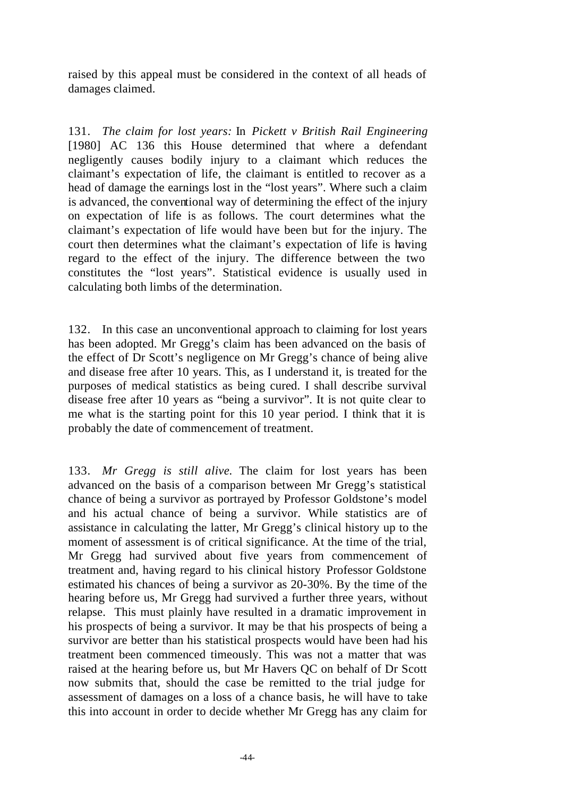raised by this appeal must be considered in the context of all heads of damages claimed.

131. *The claim for lost years:* In *Pickett v British Rail Engineering* [1980] AC 136 this House determined that where a defendant negligently causes bodily injury to a claimant which reduces the claimant's expectation of life, the claimant is entitled to recover as a head of damage the earnings lost in the "lost years". Where such a claim is advanced, the conventional way of determining the effect of the injury on expectation of life is as follows. The court determines what the claimant's expectation of life would have been but for the injury. The court then determines what the claimant's expectation of life is having regard to the effect of the injury. The difference between the two constitutes the "lost years". Statistical evidence is usually used in calculating both limbs of the determination.

132. In this case an unconventional approach to claiming for lost years has been adopted. Mr Gregg's claim has been advanced on the basis of the effect of Dr Scott's negligence on Mr Gregg's chance of being alive and disease free after 10 years. This, as I understand it, is treated for the purposes of medical statistics as being cured. I shall describe survival disease free after 10 years as "being a survivor". It is not quite clear to me what is the starting point for this 10 year period. I think that it is probably the date of commencement of treatment.

133. *Mr Gregg is still alive.* The claim for lost years has been advanced on the basis of a comparison between Mr Gregg's statistical chance of being a survivor as portrayed by Professor Goldstone's model and his actual chance of being a survivor. While statistics are of assistance in calculating the latter, Mr Gregg's clinical history up to the moment of assessment is of critical significance. At the time of the trial, Mr Gregg had survived about five years from commencement of treatment and, having regard to his clinical history Professor Goldstone estimated his chances of being a survivor as 20-30%. By the time of the hearing before us, Mr Gregg had survived a further three years, without relapse. This must plainly have resulted in a dramatic improvement in his prospects of being a survivor. It may be that his prospects of being a survivor are better than his statistical prospects would have been had his treatment been commenced timeously. This was not a matter that was raised at the hearing before us, but Mr Havers QC on behalf of Dr Scott now submits that, should the case be remitted to the trial judge for assessment of damages on a loss of a chance basis, he will have to take this into account in order to decide whether Mr Gregg has any claim for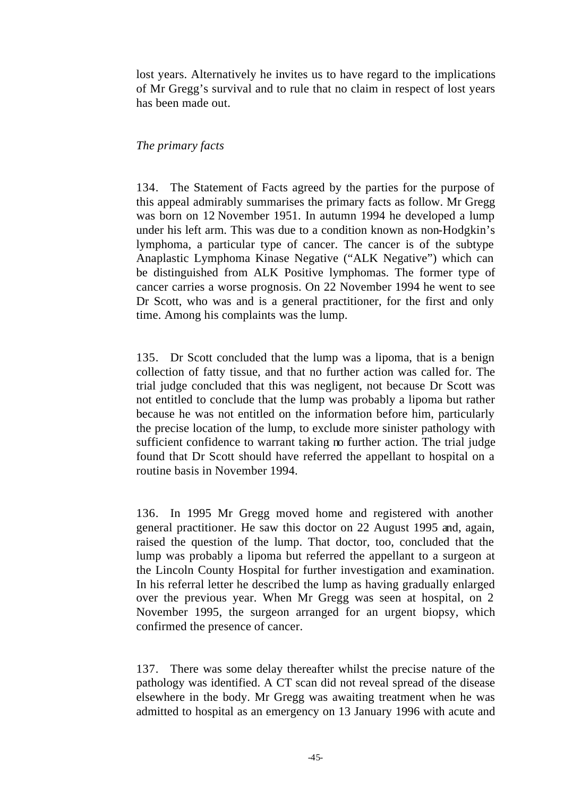lost years. Alternatively he invites us to have regard to the implications of Mr Gregg's survival and to rule that no claim in respect of lost years has been made out.

## *The primary facts*

134. The Statement of Facts agreed by the parties for the purpose of this appeal admirably summarises the primary facts as follow. Mr Gregg was born on 12 November 1951. In autumn 1994 he developed a lump under his left arm. This was due to a condition known as non-Hodgkin's lymphoma, a particular type of cancer. The cancer is of the subtype Anaplastic Lymphoma Kinase Negative ("ALK Negative") which can be distinguished from ALK Positive lymphomas. The former type of cancer carries a worse prognosis. On 22 November 1994 he went to see Dr Scott, who was and is a general practitioner, for the first and only time. Among his complaints was the lump.

135. Dr Scott concluded that the lump was a lipoma, that is a benign collection of fatty tissue, and that no further action was called for. The trial judge concluded that this was negligent, not because Dr Scott was not entitled to conclude that the lump was probably a lipoma but rather because he was not entitled on the information before him, particularly the precise location of the lump, to exclude more sinister pathology with sufficient confidence to warrant taking no further action. The trial judge found that Dr Scott should have referred the appellant to hospital on a routine basis in November 1994.

136. In 1995 Mr Gregg moved home and registered with another general practitioner. He saw this doctor on 22 August 1995 and, again, raised the question of the lump. That doctor, too, concluded that the lump was probably a lipoma but referred the appellant to a surgeon at the Lincoln County Hospital for further investigation and examination. In his referral letter he described the lump as having gradually enlarged over the previous year. When Mr Gregg was seen at hospital, on 2 November 1995, the surgeon arranged for an urgent biopsy, which confirmed the presence of cancer.

137. There was some delay thereafter whilst the precise nature of the pathology was identified. A CT scan did not reveal spread of the disease elsewhere in the body. Mr Gregg was awaiting treatment when he was admitted to hospital as an emergency on 13 January 1996 with acute and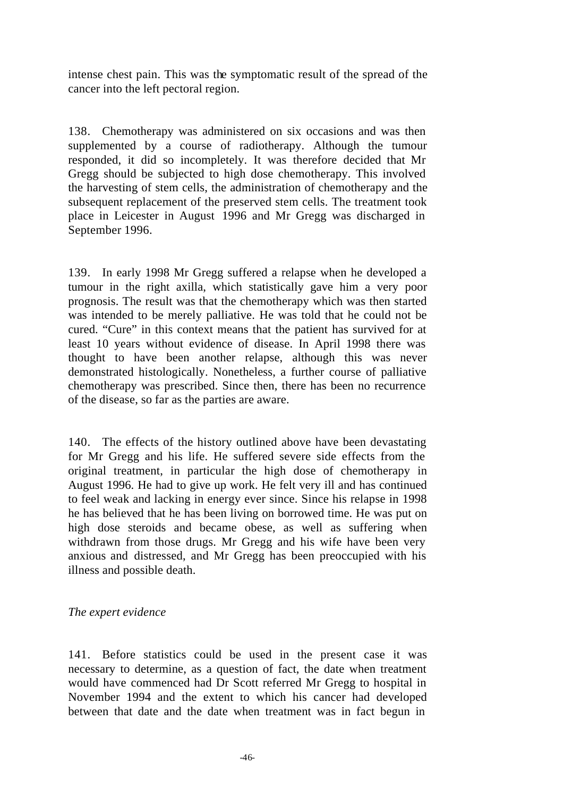intense chest pain. This was the symptomatic result of the spread of the cancer into the left pectoral region.

138. Chemotherapy was administered on six occasions and was then supplemented by a course of radiotherapy. Although the tumour responded, it did so incompletely. It was therefore decided that Mr Gregg should be subjected to high dose chemotherapy. This involved the harvesting of stem cells, the administration of chemotherapy and the subsequent replacement of the preserved stem cells. The treatment took place in Leicester in August 1996 and Mr Gregg was discharged in September 1996.

139. In early 1998 Mr Gregg suffered a relapse when he developed a tumour in the right axilla, which statistically gave him a very poor prognosis. The result was that the chemotherapy which was then started was intended to be merely palliative. He was told that he could not be cured. "Cure" in this context means that the patient has survived for at least 10 years without evidence of disease. In April 1998 there was thought to have been another relapse, although this was never demonstrated histologically. Nonetheless, a further course of palliative chemotherapy was prescribed. Since then, there has been no recurrence of the disease, so far as the parties are aware.

140. The effects of the history outlined above have been devastating for Mr Gregg and his life. He suffered severe side effects from the original treatment, in particular the high dose of chemotherapy in August 1996. He had to give up work. He felt very ill and has continued to feel weak and lacking in energy ever since. Since his relapse in 1998 he has believed that he has been living on borrowed time. He was put on high dose steroids and became obese, as well as suffering when withdrawn from those drugs. Mr Gregg and his wife have been very anxious and distressed, and Mr Gregg has been preoccupied with his illness and possible death.

## *The expert evidence*

141. Before statistics could be used in the present case it was necessary to determine, as a question of fact, the date when treatment would have commenced had Dr Scott referred Mr Gregg to hospital in November 1994 and the extent to which his cancer had developed between that date and the date when treatment was in fact begun in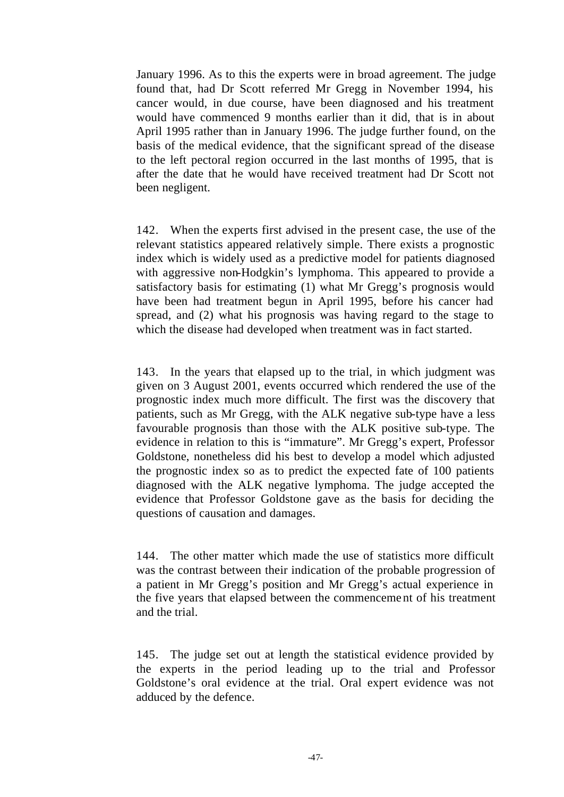January 1996. As to this the experts were in broad agreement. The judge found that, had Dr Scott referred Mr Gregg in November 1994, his cancer would, in due course, have been diagnosed and his treatment would have commenced 9 months earlier than it did, that is in about April 1995 rather than in January 1996. The judge further found, on the basis of the medical evidence, that the significant spread of the disease to the left pectoral region occurred in the last months of 1995, that is after the date that he would have received treatment had Dr Scott not been negligent.

142. When the experts first advised in the present case, the use of the relevant statistics appeared relatively simple. There exists a prognostic index which is widely used as a predictive model for patients diagnosed with aggressive non-Hodgkin's lymphoma. This appeared to provide a satisfactory basis for estimating (1) what Mr Gregg's prognosis would have been had treatment begun in April 1995, before his cancer had spread, and (2) what his prognosis was having regard to the stage to which the disease had developed when treatment was in fact started.

143. In the years that elapsed up to the trial, in which judgment was given on 3 August 2001, events occurred which rendered the use of the prognostic index much more difficult. The first was the discovery that patients, such as Mr Gregg, with the ALK negative sub-type have a less favourable prognosis than those with the ALK positive sub-type. The evidence in relation to this is "immature". Mr Gregg's expert, Professor Goldstone, nonetheless did his best to develop a model which adjusted the prognostic index so as to predict the expected fate of 100 patients diagnosed with the ALK negative lymphoma. The judge accepted the evidence that Professor Goldstone gave as the basis for deciding the questions of causation and damages.

144. The other matter which made the use of statistics more difficult was the contrast between their indication of the probable progression of a patient in Mr Gregg's position and Mr Gregg's actual experience in the five years that elapsed between the commenceme nt of his treatment and the trial.

145. The judge set out at length the statistical evidence provided by the experts in the period leading up to the trial and Professor Goldstone's oral evidence at the trial. Oral expert evidence was not adduced by the defence.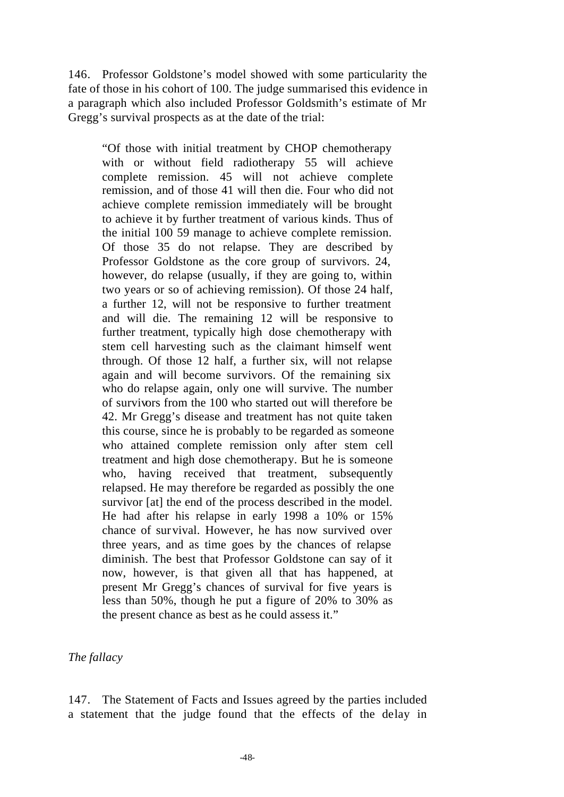146. Professor Goldstone's model showed with some particularity the fate of those in his cohort of 100. The judge summarised this evidence in a paragraph which also included Professor Goldsmith's estimate of Mr Gregg's survival prospects as at the date of the trial:

"Of those with initial treatment by CHOP chemotherapy with or without field radiotherapy 55 will achieve complete remission. 45 will not achieve complete remission, and of those 41 will then die. Four who did not achieve complete remission immediately will be brought to achieve it by further treatment of various kinds. Thus of the initial 100 59 manage to achieve complete remission. Of those 35 do not relapse. They are described by Professor Goldstone as the core group of survivors. 24, however, do relapse (usually, if they are going to, within two years or so of achieving remission). Of those 24 half, a further 12, will not be responsive to further treatment and will die. The remaining 12 will be responsive to further treatment, typically high dose chemotherapy with stem cell harvesting such as the claimant himself went through. Of those 12 half, a further six, will not relapse again and will become survivors. Of the remaining six who do relapse again, only one will survive. The number of survivors from the 100 who started out will therefore be 42. Mr Gregg's disease and treatment has not quite taken this course, since he is probably to be regarded as someone who attained complete remission only after stem cell treatment and high dose chemotherapy. But he is someone who, having received that treatment, subsequently relapsed. He may therefore be regarded as possibly the one survivor [at] the end of the process described in the model. He had after his relapse in early 1998 a 10% or 15% chance of survival. However, he has now survived over three years, and as time goes by the chances of relapse diminish. The best that Professor Goldstone can say of it now, however, is that given all that has happened, at present Mr Gregg's chances of survival for five years is less than 50%, though he put a figure of 20% to 30% as the present chance as best as he could assess it."

# *The fallacy*

147. The Statement of Facts and Issues agreed by the parties included a statement that the judge found that the effects of the delay in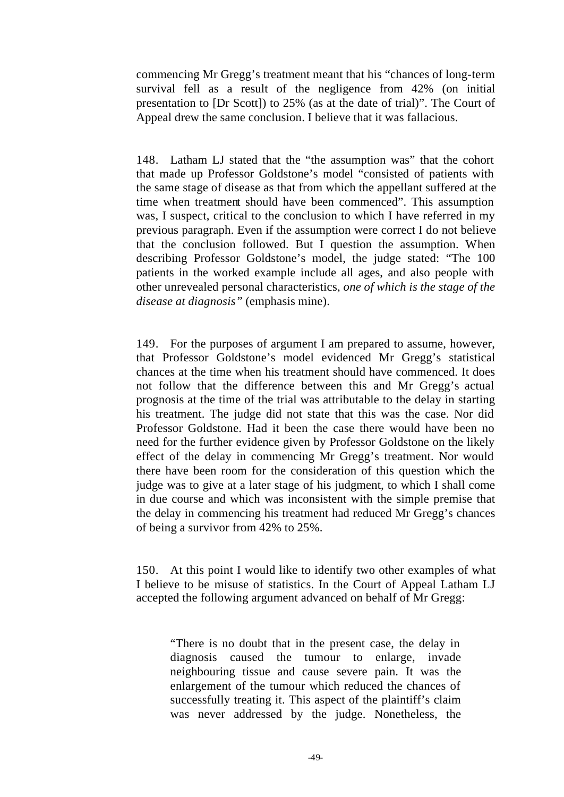commencing Mr Gregg's treatment meant that his "chances of long-term survival fell as a result of the negligence from 42% (on initial presentation to [Dr Scott]) to 25% (as at the date of trial)". The Court of Appeal drew the same conclusion. I believe that it was fallacious.

148. Latham LJ stated that the "the assumption was" that the cohort that made up Professor Goldstone's model "consisted of patients with the same stage of disease as that from which the appellant suffered at the time when treatment should have been commenced". This assumption was, I suspect, critical to the conclusion to which I have referred in my previous paragraph. Even if the assumption were correct I do not believe that the conclusion followed. But I question the assumption. When describing Professor Goldstone's model, the judge stated: "The 100 patients in the worked example include all ages, and also people with other unrevealed personal characteristics, *one of which is the stage of the disease at diagnosis"* (emphasis mine).

149. For the purposes of argument I am prepared to assume, however, that Professor Goldstone's model evidenced Mr Gregg's statistical chances at the time when his treatment should have commenced. It does not follow that the difference between this and Mr Gregg's actual prognosis at the time of the trial was attributable to the delay in starting his treatment. The judge did not state that this was the case. Nor did Professor Goldstone. Had it been the case there would have been no need for the further evidence given by Professor Goldstone on the likely effect of the delay in commencing Mr Gregg's treatment. Nor would there have been room for the consideration of this question which the judge was to give at a later stage of his judgment, to which I shall come in due course and which was inconsistent with the simple premise that the delay in commencing his treatment had reduced Mr Gregg's chances of being a survivor from 42% to 25%.

150. At this point I would like to identify two other examples of what I believe to be misuse of statistics. In the Court of Appeal Latham LJ accepted the following argument advanced on behalf of Mr Gregg:

"There is no doubt that in the present case, the delay in diagnosis caused the tumour to enlarge, invade neighbouring tissue and cause severe pain. It was the enlargement of the tumour which reduced the chances of successfully treating it. This aspect of the plaintiff's claim was never addressed by the judge. Nonetheless, the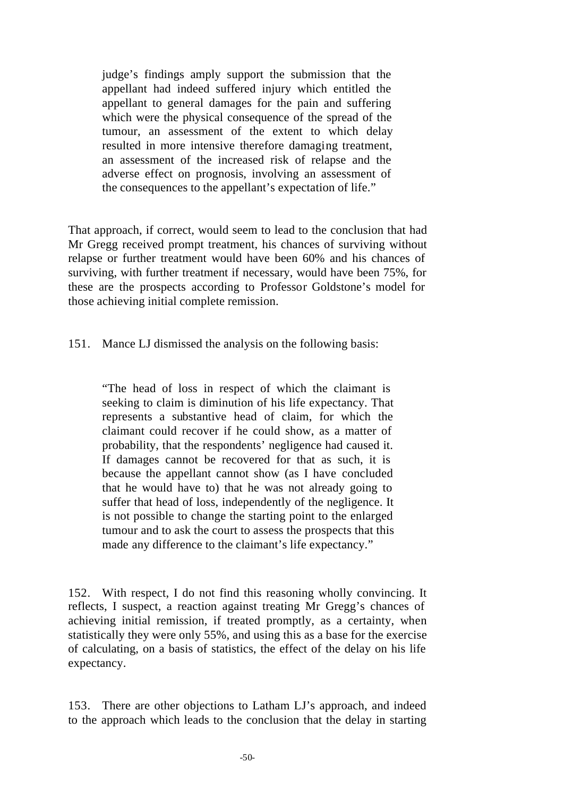judge's findings amply support the submission that the appellant had indeed suffered injury which entitled the appellant to general damages for the pain and suffering which were the physical consequence of the spread of the tumour, an assessment of the extent to which delay resulted in more intensive therefore damaging treatment, an assessment of the increased risk of relapse and the adverse effect on prognosis, involving an assessment of the consequences to the appellant's expectation of life."

That approach, if correct, would seem to lead to the conclusion that had Mr Gregg received prompt treatment, his chances of surviving without relapse or further treatment would have been 60% and his chances of surviving, with further treatment if necessary, would have been 75%, for these are the prospects according to Professor Goldstone's model for those achieving initial complete remission.

151. Mance LJ dismissed the analysis on the following basis:

"The head of loss in respect of which the claimant is seeking to claim is diminution of his life expectancy. That represents a substantive head of claim, for which the claimant could recover if he could show, as a matter of probability, that the respondents' negligence had caused it. If damages cannot be recovered for that as such, it is because the appellant cannot show (as I have concluded that he would have to) that he was not already going to suffer that head of loss, independently of the negligence. It is not possible to change the starting point to the enlarged tumour and to ask the court to assess the prospects that this made any difference to the claimant's life expectancy."

152. With respect, I do not find this reasoning wholly convincing. It reflects, I suspect, a reaction against treating Mr Gregg's chances of achieving initial remission, if treated promptly, as a certainty, when statistically they were only 55%, and using this as a base for the exercise of calculating, on a basis of statistics, the effect of the delay on his life expectancy.

153. There are other objections to Latham LJ's approach, and indeed to the approach which leads to the conclusion that the delay in starting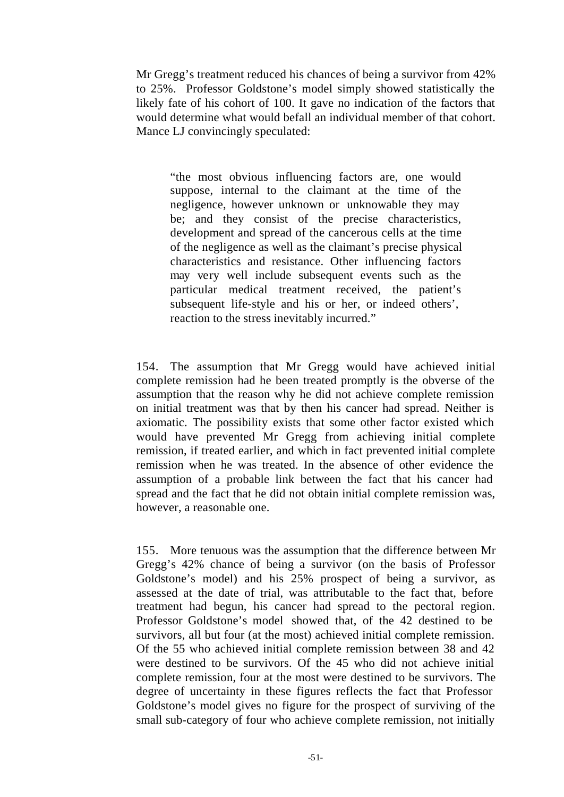Mr Gregg's treatment reduced his chances of being a survivor from 42% to 25%. Professor Goldstone's model simply showed statistically the likely fate of his cohort of 100. It gave no indication of the factors that would determine what would befall an individual member of that cohort. Mance LJ convincingly speculated:

"the most obvious influencing factors are, one would suppose, internal to the claimant at the time of the negligence, however unknown or unknowable they may be; and they consist of the precise characteristics, development and spread of the cancerous cells at the time of the negligence as well as the claimant's precise physical characteristics and resistance. Other influencing factors may very well include subsequent events such as the particular medical treatment received, the patient's subsequent life-style and his or her, or indeed others', reaction to the stress inevitably incurred."

154. The assumption that Mr Gregg would have achieved initial complete remission had he been treated promptly is the obverse of the assumption that the reason why he did not achieve complete remission on initial treatment was that by then his cancer had spread. Neither is axiomatic. The possibility exists that some other factor existed which would have prevented Mr Gregg from achieving initial complete remission, if treated earlier, and which in fact prevented initial complete remission when he was treated. In the absence of other evidence the assumption of a probable link between the fact that his cancer had spread and the fact that he did not obtain initial complete remission was, however, a reasonable one.

155. More tenuous was the assumption that the difference between Mr Gregg's 42% chance of being a survivor (on the basis of Professor Goldstone's model) and his 25% prospect of being a survivor, as assessed at the date of trial, was attributable to the fact that, before treatment had begun, his cancer had spread to the pectoral region. Professor Goldstone's model showed that, of the 42 destined to be survivors, all but four (at the most) achieved initial complete remission. Of the 55 who achieved initial complete remission between 38 and 42 were destined to be survivors. Of the 45 who did not achieve initial complete remission, four at the most were destined to be survivors. The degree of uncertainty in these figures reflects the fact that Professor Goldstone's model gives no figure for the prospect of surviving of the small sub-category of four who achieve complete remission, not initially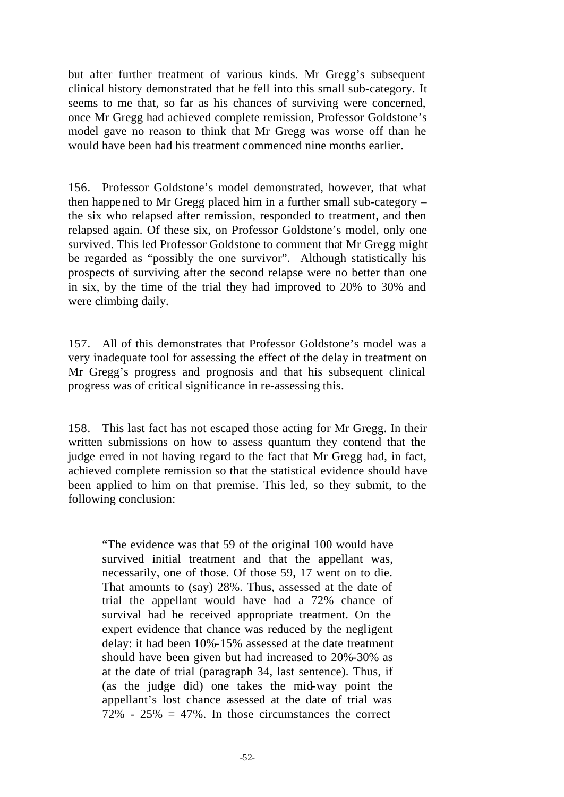but after further treatment of various kinds. Mr Gregg's subsequent clinical history demonstrated that he fell into this small sub-category. It seems to me that, so far as his chances of surviving were concerned, once Mr Gregg had achieved complete remission, Professor Goldstone's model gave no reason to think that Mr Gregg was worse off than he would have been had his treatment commenced nine months earlier.

156. Professor Goldstone's model demonstrated, however, that what then happened to Mr Gregg placed him in a further small sub-category – the six who relapsed after remission, responded to treatment, and then relapsed again. Of these six, on Professor Goldstone's model, only one survived. This led Professor Goldstone to comment that Mr Gregg might be regarded as "possibly the one survivor". Although statistically his prospects of surviving after the second relapse were no better than one in six, by the time of the trial they had improved to 20% to 30% and were climbing daily.

157. All of this demonstrates that Professor Goldstone's model was a very inadequate tool for assessing the effect of the delay in treatment on Mr Gregg's progress and prognosis and that his subsequent clinical progress was of critical significance in re-assessing this.

158. This last fact has not escaped those acting for Mr Gregg. In their written submissions on how to assess quantum they contend that the judge erred in not having regard to the fact that Mr Gregg had, in fact, achieved complete remission so that the statistical evidence should have been applied to him on that premise. This led, so they submit, to the following conclusion:

"The evidence was that 59 of the original 100 would have survived initial treatment and that the appellant was, necessarily, one of those. Of those 59, 17 went on to die. That amounts to (say) 28%. Thus, assessed at the date of trial the appellant would have had a 72% chance of survival had he received appropriate treatment. On the expert evidence that chance was reduced by the negligent delay: it had been 10%-15% assessed at the date treatment should have been given but had increased to 20%-30% as at the date of trial (paragraph 34, last sentence). Thus, if (as the judge did) one takes the mid-way point the appellant's lost chance assessed at the date of trial was  $72\%$  -  $25\%$  = 47%. In those circumstances the correct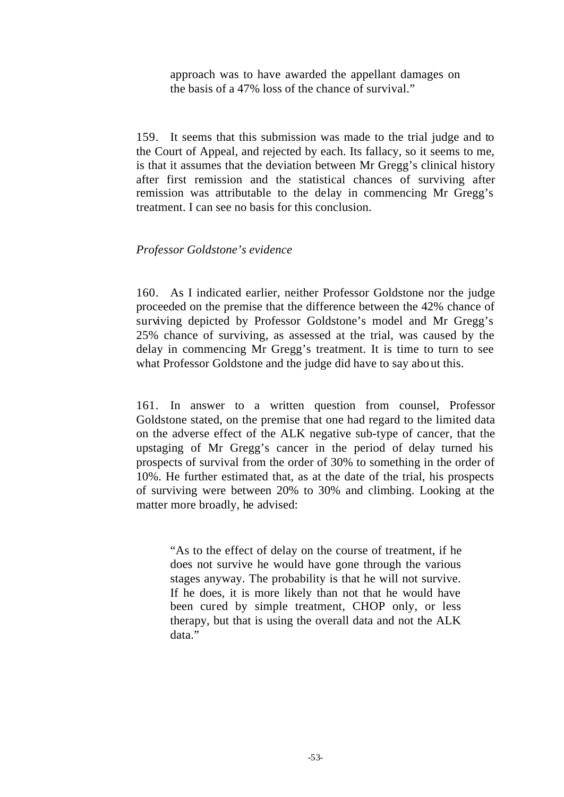approach was to have awarded the appellant damages on the basis of a 47% loss of the chance of survival."

159. It seems that this submission was made to the trial judge and to the Court of Appeal, and rejected by each. Its fallacy, so it seems to me, is that it assumes that the deviation between Mr Gregg's clinical history after first remission and the statistical chances of surviving after remission was attributable to the delay in commencing Mr Gregg's treatment. I can see no basis for this conclusion.

### *Professor Goldstone's evidence*

160. As I indicated earlier, neither Professor Goldstone nor the judge proceeded on the premise that the difference between the 42% chance of surviving depicted by Professor Goldstone's model and Mr Gregg's 25% chance of surviving, as assessed at the trial, was caused by the delay in commencing Mr Gregg's treatment. It is time to turn to see what Professor Goldstone and the judge did have to say abo ut this.

161. In answer to a written question from counsel, Professor Goldstone stated, on the premise that one had regard to the limited data on the adverse effect of the ALK negative sub-type of cancer, that the upstaging of Mr Gregg's cancer in the period of delay turned his prospects of survival from the order of 30% to something in the order of 10%. He further estimated that, as at the date of the trial, his prospects of surviving were between 20% to 30% and climbing. Looking at the matter more broadly, he advised:

"As to the effect of delay on the course of treatment, if he does not survive he would have gone through the various stages anyway. The probability is that he will not survive. If he does, it is more likely than not that he would have been cured by simple treatment, CHOP only, or less therapy, but that is using the overall data and not the ALK data."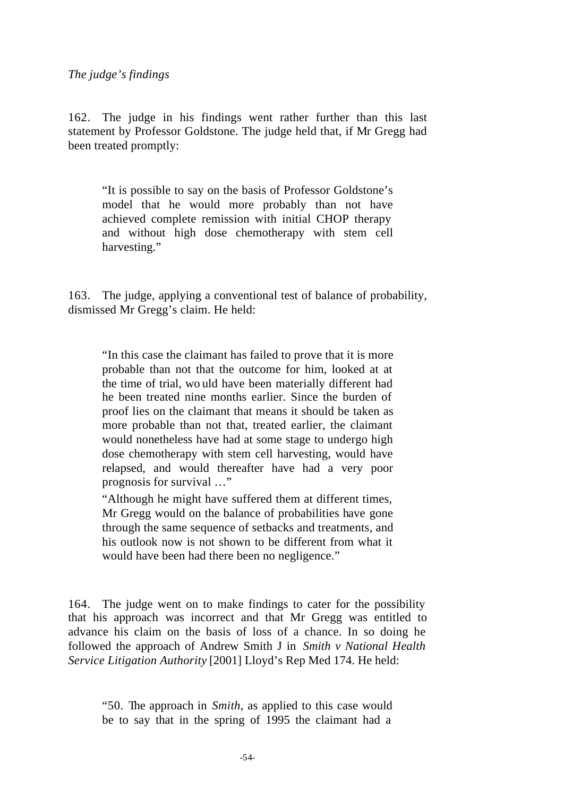162. The judge in his findings went rather further than this last statement by Professor Goldstone. The judge held that, if Mr Gregg had been treated promptly:

"It is possible to say on the basis of Professor Goldstone's model that he would more probably than not have achieved complete remission with initial CHOP therapy and without high dose chemotherapy with stem cell harvesting."

163. The judge, applying a conventional test of balance of probability, dismissed Mr Gregg's claim. He held:

"In this case the claimant has failed to prove that it is more probable than not that the outcome for him, looked at at the time of trial, wo uld have been materially different had he been treated nine months earlier. Since the burden of proof lies on the claimant that means it should be taken as more probable than not that, treated earlier, the claimant would nonetheless have had at some stage to undergo high dose chemotherapy with stem cell harvesting, would have relapsed, and would thereafter have had a very poor prognosis for survival …"

"Although he might have suffered them at different times, Mr Gregg would on the balance of probabilities have gone through the same sequence of setbacks and treatments, and his outlook now is not shown to be different from what it would have been had there been no negligence."

164. The judge went on to make findings to cater for the possibility that his approach was incorrect and that Mr Gregg was entitled to advance his claim on the basis of loss of a chance. In so doing he followed the approach of Andrew Smith J in *Smith v National Health Service Litigation Authority* [2001] Lloyd's Rep Med 174. He held:

"50. The approach in *Smith*, as applied to this case would be to say that in the spring of 1995 the claimant had a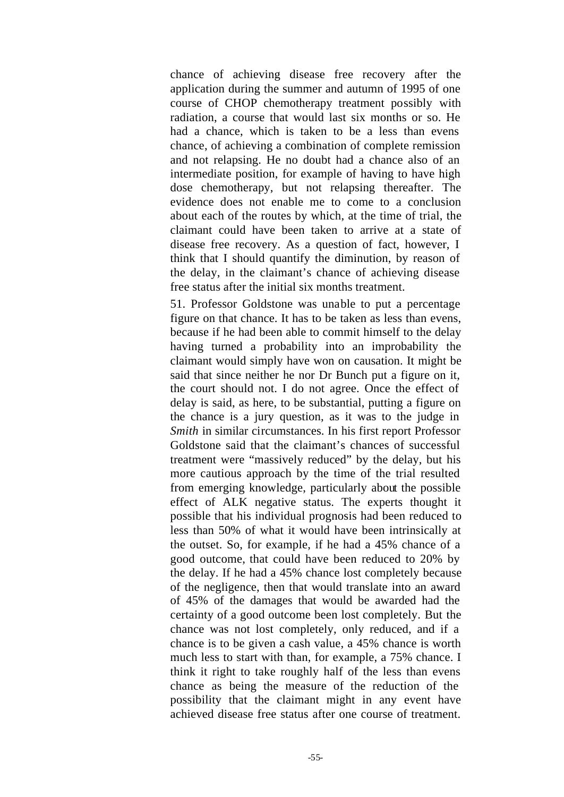chance of achieving disease free recovery after the application during the summer and autumn of 1995 of one course of CHOP chemotherapy treatment possibly with radiation, a course that would last six months or so. He had a chance, which is taken to be a less than evens chance, of achieving a combination of complete remission and not relapsing. He no doubt had a chance also of an intermediate position, for example of having to have high dose chemotherapy, but not relapsing thereafter. The evidence does not enable me to come to a conclusion about each of the routes by which, at the time of trial, the claimant could have been taken to arrive at a state of disease free recovery. As a question of fact, however, I think that I should quantify the diminution, by reason of the delay, in the claimant's chance of achieving disease free status after the initial six months treatment.

51. Professor Goldstone was unable to put a percentage figure on that chance. It has to be taken as less than evens, because if he had been able to commit himself to the delay having turned a probability into an improbability the claimant would simply have won on causation. It might be said that since neither he nor Dr Bunch put a figure on it, the court should not. I do not agree. Once the effect of delay is said, as here, to be substantial, putting a figure on the chance is a jury question, as it was to the judge in *Smith* in similar circumstances. In his first report Professor Goldstone said that the claimant's chances of successful treatment were "massively reduced" by the delay, but his more cautious approach by the time of the trial resulted from emerging knowledge, particularly about the possible effect of ALK negative status. The experts thought it possible that his individual prognosis had been reduced to less than 50% of what it would have been intrinsically at the outset. So, for example, if he had a 45% chance of a good outcome, that could have been reduced to 20% by the delay. If he had a 45% chance lost completely because of the negligence, then that would translate into an award of 45% of the damages that would be awarded had the certainty of a good outcome been lost completely. But the chance was not lost completely, only reduced, and if a chance is to be given a cash value, a 45% chance is worth much less to start with than, for example, a 75% chance. I think it right to take roughly half of the less than evens chance as being the measure of the reduction of the possibility that the claimant might in any event have achieved disease free status after one course of treatment.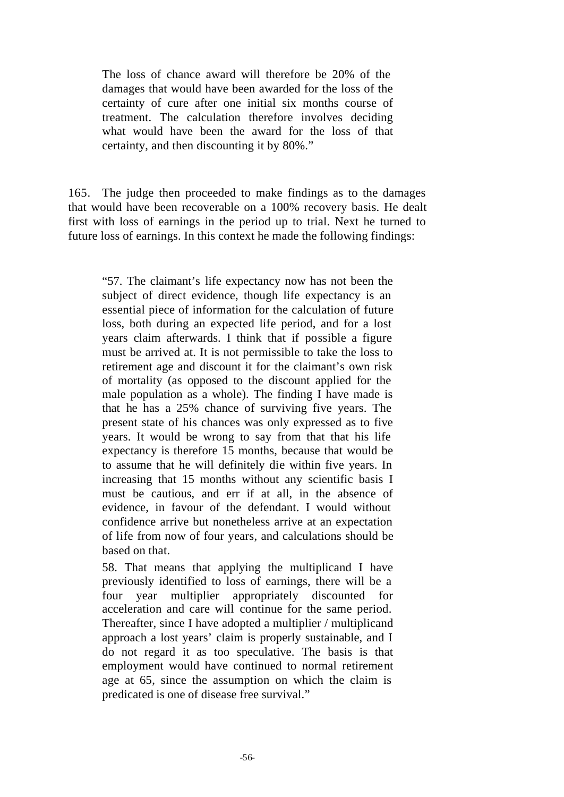The loss of chance award will therefore be 20% of the damages that would have been awarded for the loss of the certainty of cure after one initial six months course of treatment. The calculation therefore involves deciding what would have been the award for the loss of that certainty, and then discounting it by 80%."

165. The judge then proceeded to make findings as to the damages that would have been recoverable on a 100% recovery basis. He dealt first with loss of earnings in the period up to trial. Next he turned to future loss of earnings. In this context he made the following findings:

"57. The claimant's life expectancy now has not been the subject of direct evidence, though life expectancy is an essential piece of information for the calculation of future loss, both during an expected life period, and for a lost years claim afterwards. I think that if possible a figure must be arrived at. It is not permissible to take the loss to retirement age and discount it for the claimant's own risk of mortality (as opposed to the discount applied for the male population as a whole). The finding I have made is that he has a 25% chance of surviving five years. The present state of his chances was only expressed as to five years. It would be wrong to say from that that his life expectancy is therefore 15 months, because that would be to assume that he will definitely die within five years. In increasing that 15 months without any scientific basis I must be cautious, and err if at all, in the absence of evidence, in favour of the defendant. I would without confidence arrive but nonetheless arrive at an expectation of life from now of four years, and calculations should be based on that.

58. That means that applying the multiplicand I have previously identified to loss of earnings, there will be a four year multiplier appropriately discounted for acceleration and care will continue for the same period. Thereafter, since I have adopted a multiplier / multiplicand approach a lost years' claim is properly sustainable, and I do not regard it as too speculative. The basis is that employment would have continued to normal retirement age at 65, since the assumption on which the claim is predicated is one of disease free survival."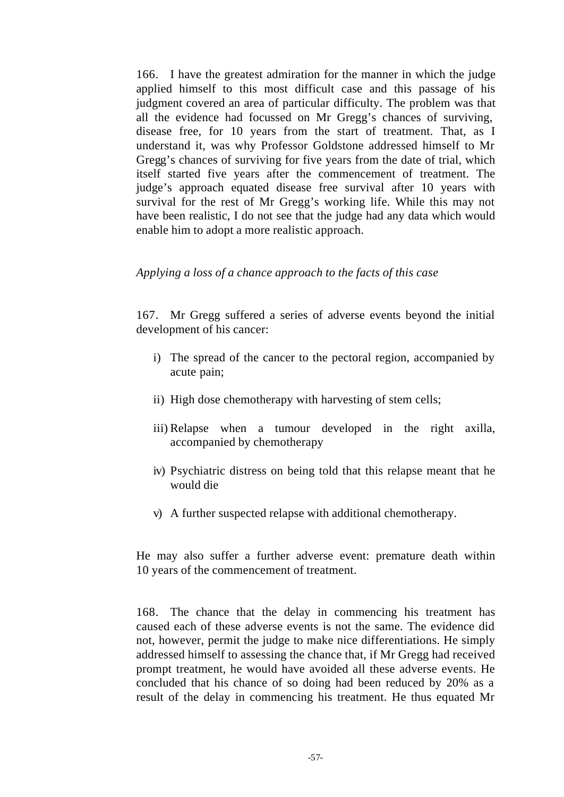166. I have the greatest admiration for the manner in which the judge applied himself to this most difficult case and this passage of his judgment covered an area of particular difficulty. The problem was that all the evidence had focussed on Mr Gregg's chances of surviving, disease free, for 10 years from the start of treatment. That, as I understand it, was why Professor Goldstone addressed himself to Mr Gregg's chances of surviving for five years from the date of trial, which itself started five years after the commencement of treatment. The judge's approach equated disease free survival after 10 years with survival for the rest of Mr Gregg's working life. While this may not have been realistic, I do not see that the judge had any data which would enable him to adopt a more realistic approach.

## *Applying a loss of a chance approach to the facts of this case*

167. Mr Gregg suffered a series of adverse events beyond the initial development of his cancer:

- i) The spread of the cancer to the pectoral region, accompanied by acute pain;
- ii) High dose chemotherapy with harvesting of stem cells;
- iii) Relapse when a tumour developed in the right axilla, accompanied by chemotherapy
- iv) Psychiatric distress on being told that this relapse meant that he would die
- v) A further suspected relapse with additional chemotherapy.

He may also suffer a further adverse event: premature death within 10 years of the commencement of treatment.

168. The chance that the delay in commencing his treatment has caused each of these adverse events is not the same. The evidence did not, however, permit the judge to make nice differentiations. He simply addressed himself to assessing the chance that, if Mr Gregg had received prompt treatment, he would have avoided all these adverse events. He concluded that his chance of so doing had been reduced by 20% as a result of the delay in commencing his treatment. He thus equated Mr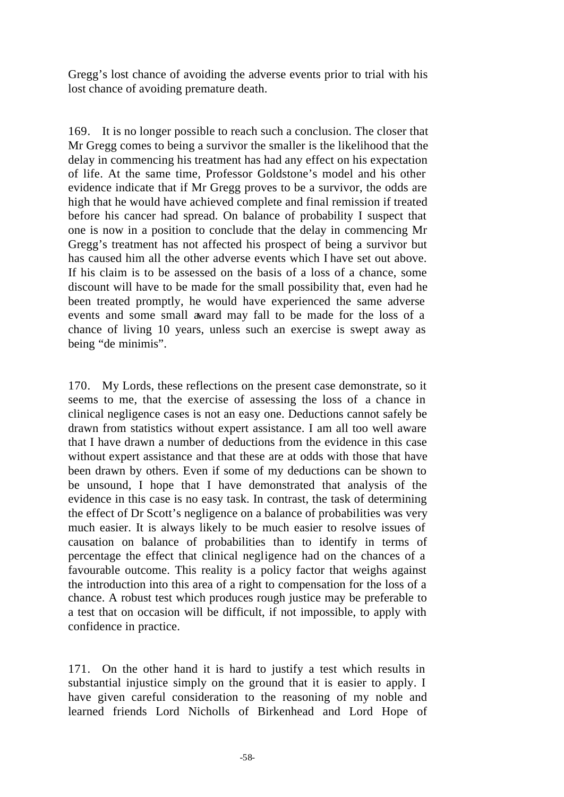Gregg's lost chance of avoiding the adverse events prior to trial with his lost chance of avoiding premature death.

169. It is no longer possible to reach such a conclusion. The closer that Mr Gregg comes to being a survivor the smaller is the likelihood that the delay in commencing his treatment has had any effect on his expectation of life. At the same time, Professor Goldstone's model and his other evidence indicate that if Mr Gregg proves to be a survivor, the odds are high that he would have achieved complete and final remission if treated before his cancer had spread. On balance of probability I suspect that one is now in a position to conclude that the delay in commencing Mr Gregg's treatment has not affected his prospect of being a survivor but has caused him all the other adverse events which I have set out above. If his claim is to be assessed on the basis of a loss of a chance, some discount will have to be made for the small possibility that, even had he been treated promptly, he would have experienced the same adverse events and some small award may fall to be made for the loss of a chance of living 10 years, unless such an exercise is swept away as being "de minimis".

170. My Lords, these reflections on the present case demonstrate, so it seems to me, that the exercise of assessing the loss of a chance in clinical negligence cases is not an easy one. Deductions cannot safely be drawn from statistics without expert assistance. I am all too well aware that I have drawn a number of deductions from the evidence in this case without expert assistance and that these are at odds with those that have been drawn by others. Even if some of my deductions can be shown to be unsound, I hope that I have demonstrated that analysis of the evidence in this case is no easy task. In contrast, the task of determining the effect of Dr Scott's negligence on a balance of probabilities was very much easier. It is always likely to be much easier to resolve issues of causation on balance of probabilities than to identify in terms of percentage the effect that clinical negligence had on the chances of a favourable outcome. This reality is a policy factor that weighs against the introduction into this area of a right to compensation for the loss of a chance. A robust test which produces rough justice may be preferable to a test that on occasion will be difficult, if not impossible, to apply with confidence in practice.

171. On the other hand it is hard to justify a test which results in substantial injustice simply on the ground that it is easier to apply. I have given careful consideration to the reasoning of my noble and learned friends Lord Nicholls of Birkenhead and Lord Hope of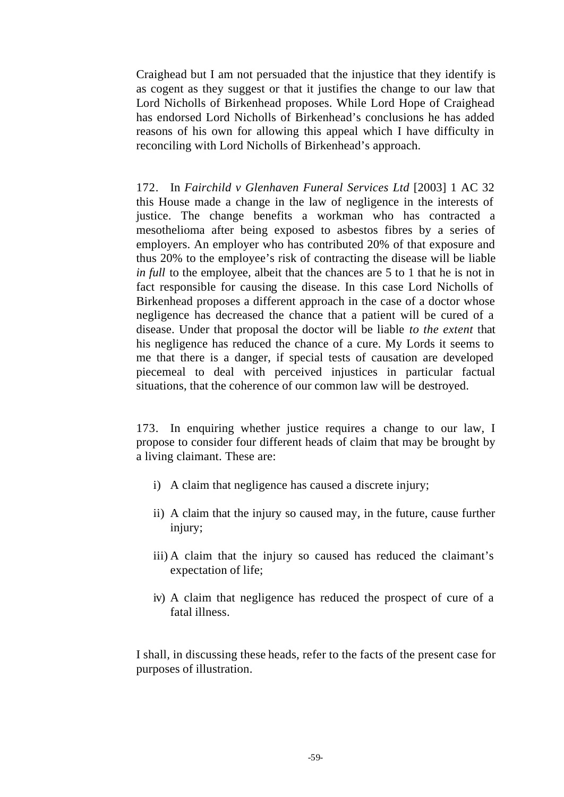Craighead but I am not persuaded that the injustice that they identify is as cogent as they suggest or that it justifies the change to our law that Lord Nicholls of Birkenhead proposes. While Lord Hope of Craighead has endorsed Lord Nicholls of Birkenhead's conclusions he has added reasons of his own for allowing this appeal which I have difficulty in reconciling with Lord Nicholls of Birkenhead's approach.

172. In *Fairchild v Glenhaven Funeral Services Ltd* [2003] 1 AC 32 this House made a change in the law of negligence in the interests of justice. The change benefits a workman who has contracted a mesothelioma after being exposed to asbestos fibres by a series of employers. An employer who has contributed 20% of that exposure and thus 20% to the employee's risk of contracting the disease will be liable *in full* to the employee, albeit that the chances are 5 to 1 that he is not in fact responsible for causing the disease. In this case Lord Nicholls of Birkenhead proposes a different approach in the case of a doctor whose negligence has decreased the chance that a patient will be cured of a disease. Under that proposal the doctor will be liable *to the extent* that his negligence has reduced the chance of a cure. My Lords it seems to me that there is a danger, if special tests of causation are developed piecemeal to deal with perceived injustices in particular factual situations, that the coherence of our common law will be destroyed.

173. In enquiring whether justice requires a change to our law, I propose to consider four different heads of claim that may be brought by a living claimant. These are:

- i) A claim that negligence has caused a discrete injury;
- ii) A claim that the injury so caused may, in the future, cause further injury;
- iii) A claim that the injury so caused has reduced the claimant's expectation of life;
- iv) A claim that negligence has reduced the prospect of cure of a fatal illness.

I shall, in discussing these heads, refer to the facts of the present case for purposes of illustration.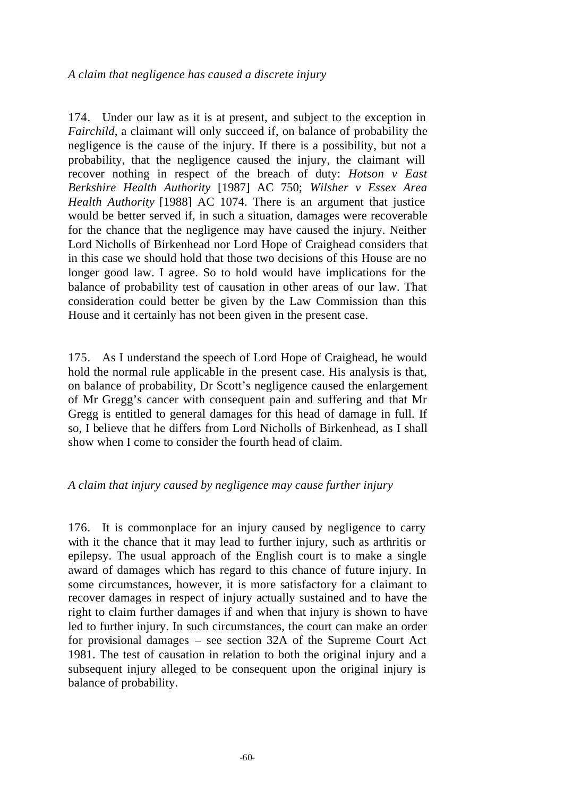174. Under our law as it is at present, and subject to the exception in *Fairchild,* a claimant will only succeed if, on balance of probability the negligence is the cause of the injury. If there is a possibility, but not a probability, that the negligence caused the injury, the claimant will recover nothing in respect of the breach of duty: *Hotson v East Berkshire Health Authority* [1987] AC 750; *Wilsher v Essex Area Health Authority* [1988] AC 1074. There is an argument that justice would be better served if, in such a situation, damages were recoverable for the chance that the negligence may have caused the injury. Neither Lord Nicholls of Birkenhead nor Lord Hope of Craighead considers that in this case we should hold that those two decisions of this House are no longer good law. I agree. So to hold would have implications for the balance of probability test of causation in other areas of our law. That consideration could better be given by the Law Commission than this House and it certainly has not been given in the present case.

175. As I understand the speech of Lord Hope of Craighead, he would hold the normal rule applicable in the present case. His analysis is that, on balance of probability, Dr Scott's negligence caused the enlargement of Mr Gregg's cancer with consequent pain and suffering and that Mr Gregg is entitled to general damages for this head of damage in full. If so, I believe that he differs from Lord Nicholls of Birkenhead, as I shall show when I come to consider the fourth head of claim.

# *A claim that injury caused by negligence may cause further injury*

176. It is commonplace for an injury caused by negligence to carry with it the chance that it may lead to further injury, such as arthritis or epilepsy. The usual approach of the English court is to make a single award of damages which has regard to this chance of future injury. In some circumstances, however, it is more satisfactory for a claimant to recover damages in respect of injury actually sustained and to have the right to claim further damages if and when that injury is shown to have led to further injury. In such circumstances, the court can make an order for provisional damages – see section 32A of the Supreme Court Act 1981. The test of causation in relation to both the original injury and a subsequent injury alleged to be consequent upon the original injury is balance of probability.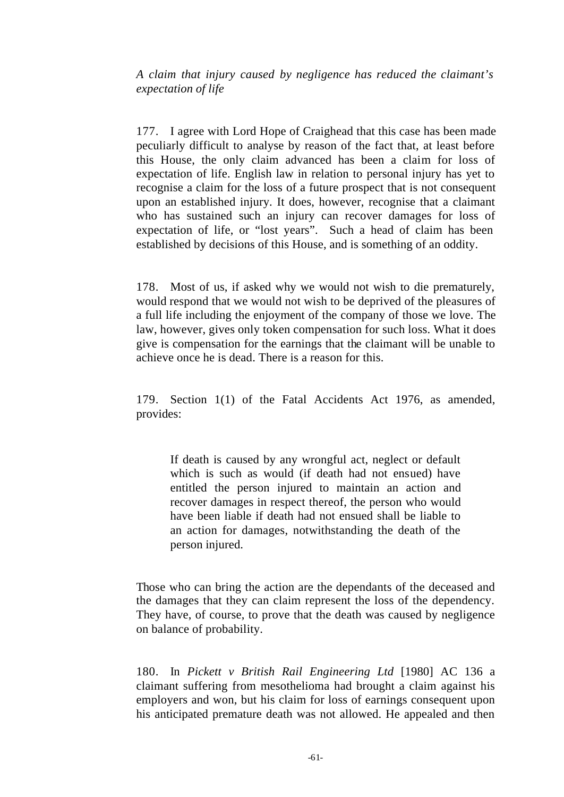*A claim that injury caused by negligence has reduced the claimant's expectation of life*

177. I agree with Lord Hope of Craighead that this case has been made peculiarly difficult to analyse by reason of the fact that, at least before this House, the only claim advanced has been a claim for loss of expectation of life. English law in relation to personal injury has yet to recognise a claim for the loss of a future prospect that is not consequent upon an established injury. It does, however, recognise that a claimant who has sustained such an injury can recover damages for loss of expectation of life, or "lost years". Such a head of claim has been established by decisions of this House, and is something of an oddity.

178. Most of us, if asked why we would not wish to die prematurely, would respond that we would not wish to be deprived of the pleasures of a full life including the enjoyment of the company of those we love. The law, however, gives only token compensation for such loss. What it does give is compensation for the earnings that the claimant will be unable to achieve once he is dead. There is a reason for this.

179. Section 1(1) of the Fatal Accidents Act 1976, as amended, provides:

If death is caused by any wrongful act, neglect or default which is such as would (if death had not ensued) have entitled the person injured to maintain an action and recover damages in respect thereof, the person who would have been liable if death had not ensued shall be liable to an action for damages, notwithstanding the death of the person injured.

Those who can bring the action are the dependants of the deceased and the damages that they can claim represent the loss of the dependency. They have, of course, to prove that the death was caused by negligence on balance of probability.

180. In *Pickett v British Rail Engineering Ltd* [1980] AC 136 a claimant suffering from mesothelioma had brought a claim against his employers and won, but his claim for loss of earnings consequent upon his anticipated premature death was not allowed. He appealed and then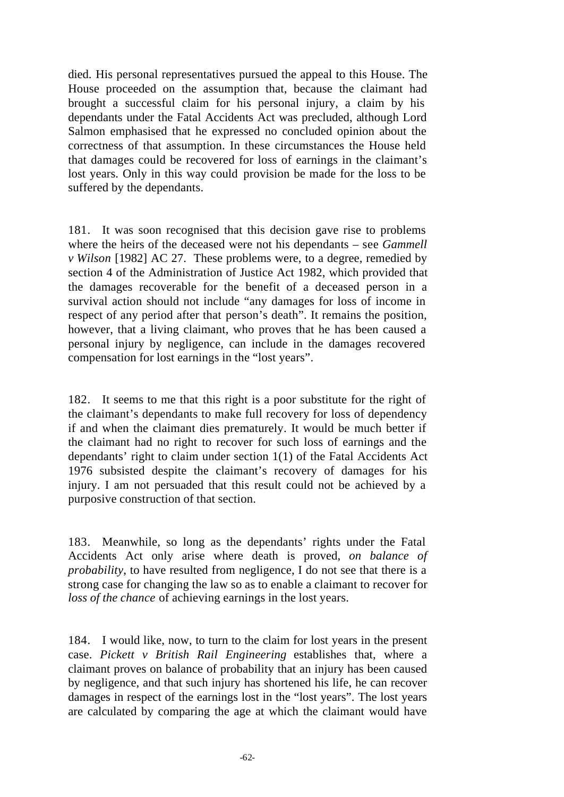died. His personal representatives pursued the appeal to this House. The House proceeded on the assumption that, because the claimant had brought a successful claim for his personal injury, a claim by his dependants under the Fatal Accidents Act was precluded, although Lord Salmon emphasised that he expressed no concluded opinion about the correctness of that assumption. In these circumstances the House held that damages could be recovered for loss of earnings in the claimant's lost years. Only in this way could provision be made for the loss to be suffered by the dependants.

181. It was soon recognised that this decision gave rise to problems where the heirs of the deceased were not his dependants – see *Gammell v Wilson* [1982] AC 27. These problems were, to a degree, remedied by section 4 of the Administration of Justice Act 1982, which provided that the damages recoverable for the benefit of a deceased person in a survival action should not include "any damages for loss of income in respect of any period after that person's death". It remains the position, however, that a living claimant, who proves that he has been caused a personal injury by negligence, can include in the damages recovered compensation for lost earnings in the "lost years".

182. It seems to me that this right is a poor substitute for the right of the claimant's dependants to make full recovery for loss of dependency if and when the claimant dies prematurely. It would be much better if the claimant had no right to recover for such loss of earnings and the dependants' right to claim under section 1(1) of the Fatal Accidents Act 1976 subsisted despite the claimant's recovery of damages for his injury. I am not persuaded that this result could not be achieved by a purposive construction of that section.

183. Meanwhile, so long as the dependants' rights under the Fatal Accidents Act only arise where death is proved, *on balance of probability*, to have resulted from negligence, I do not see that there is a strong case for changing the law so as to enable a claimant to recover for *loss of the chance* of achieving earnings in the lost years.

184. I would like, now, to turn to the claim for lost years in the present case. *Pickett v British Rail Engineering* establishes that, where a claimant proves on balance of probability that an injury has been caused by negligence, and that such injury has shortened his life, he can recover damages in respect of the earnings lost in the "lost years". The lost years are calculated by comparing the age at which the claimant would have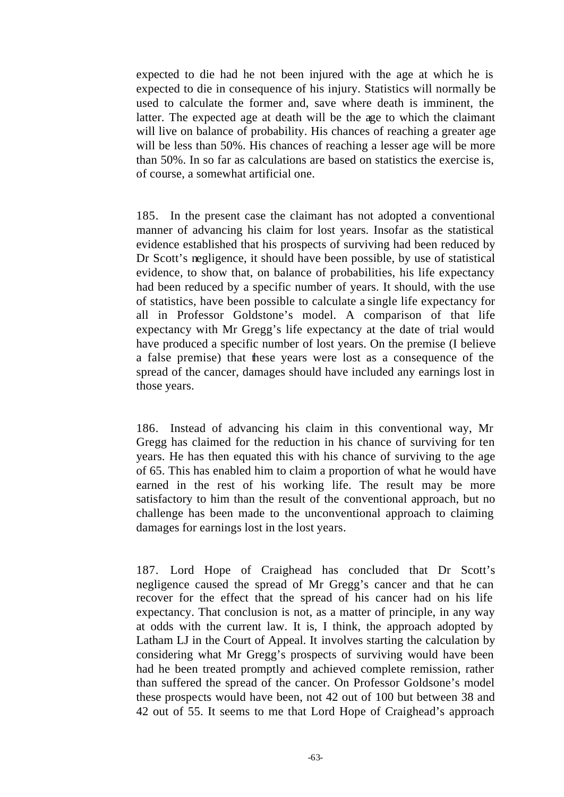expected to die had he not been injured with the age at which he is expected to die in consequence of his injury. Statistics will normally be used to calculate the former and, save where death is imminent, the latter. The expected age at death will be the age to which the claimant will live on balance of probability. His chances of reaching a greater age will be less than 50%. His chances of reaching a lesser age will be more than 50%. In so far as calculations are based on statistics the exercise is, of course, a somewhat artificial one.

185. In the present case the claimant has not adopted a conventional manner of advancing his claim for lost years. Insofar as the statistical evidence established that his prospects of surviving had been reduced by Dr Scott's negligence, it should have been possible, by use of statistical evidence, to show that, on balance of probabilities, his life expectancy had been reduced by a specific number of years. It should, with the use of statistics, have been possible to calculate a single life expectancy for all in Professor Goldstone's model. A comparison of that life expectancy with Mr Gregg's life expectancy at the date of trial would have produced a specific number of lost years. On the premise (I believe a false premise) that these years were lost as a consequence of the spread of the cancer, damages should have included any earnings lost in those years.

186. Instead of advancing his claim in this conventional way, Mr Gregg has claimed for the reduction in his chance of surviving for ten years. He has then equated this with his chance of surviving to the age of 65. This has enabled him to claim a proportion of what he would have earned in the rest of his working life. The result may be more satisfactory to him than the result of the conventional approach, but no challenge has been made to the unconventional approach to claiming damages for earnings lost in the lost years.

187. Lord Hope of Craighead has concluded that Dr Scott's negligence caused the spread of Mr Gregg's cancer and that he can recover for the effect that the spread of his cancer had on his life expectancy. That conclusion is not, as a matter of principle, in any way at odds with the current law. It is, I think, the approach adopted by Latham LJ in the Court of Appeal. It involves starting the calculation by considering what Mr Gregg's prospects of surviving would have been had he been treated promptly and achieved complete remission, rather than suffered the spread of the cancer. On Professor Goldsone's model these prospects would have been, not 42 out of 100 but between 38 and 42 out of 55. It seems to me that Lord Hope of Craighead's approach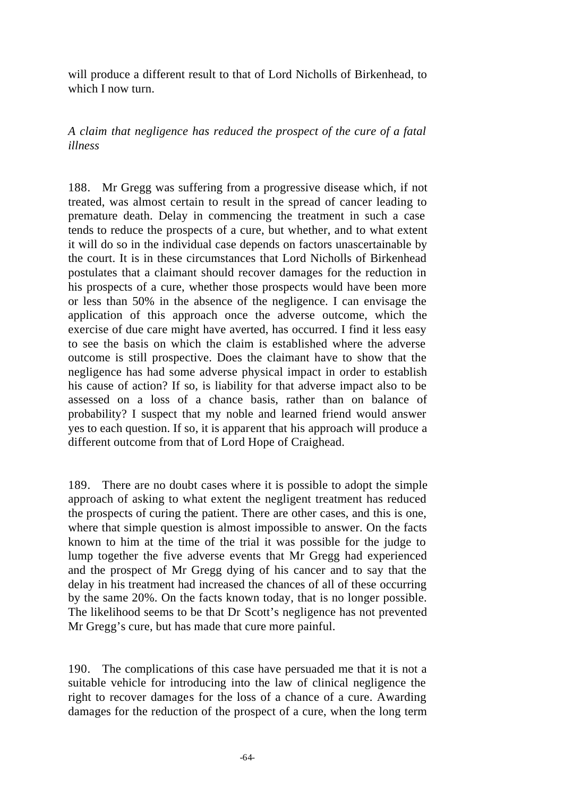will produce a different result to that of Lord Nicholls of Birkenhead, to which I now turn.

*A claim that negligence has reduced the prospect of the cure of a fatal illness*

188. Mr Gregg was suffering from a progressive disease which, if not treated, was almost certain to result in the spread of cancer leading to premature death. Delay in commencing the treatment in such a case tends to reduce the prospects of a cure, but whether, and to what extent it will do so in the individual case depends on factors unascertainable by the court. It is in these circumstances that Lord Nicholls of Birkenhead postulates that a claimant should recover damages for the reduction in his prospects of a cure, whether those prospects would have been more or less than 50% in the absence of the negligence. I can envisage the application of this approach once the adverse outcome, which the exercise of due care might have averted, has occurred. I find it less easy to see the basis on which the claim is established where the adverse outcome is still prospective. Does the claimant have to show that the negligence has had some adverse physical impact in order to establish his cause of action? If so, is liability for that adverse impact also to be assessed on a loss of a chance basis, rather than on balance of probability? I suspect that my noble and learned friend would answer yes to each question. If so, it is apparent that his approach will produce a different outcome from that of Lord Hope of Craighead.

189. There are no doubt cases where it is possible to adopt the simple approach of asking to what extent the negligent treatment has reduced the prospects of curing the patient. There are other cases, and this is one, where that simple question is almost impossible to answer. On the facts known to him at the time of the trial it was possible for the judge to lump together the five adverse events that Mr Gregg had experienced and the prospect of Mr Gregg dying of his cancer and to say that the delay in his treatment had increased the chances of all of these occurring by the same 20%. On the facts known today, that is no longer possible. The likelihood seems to be that Dr Scott's negligence has not prevented Mr Gregg's cure, but has made that cure more painful.

190. The complications of this case have persuaded me that it is not a suitable vehicle for introducing into the law of clinical negligence the right to recover damages for the loss of a chance of a cure. Awarding damages for the reduction of the prospect of a cure, when the long term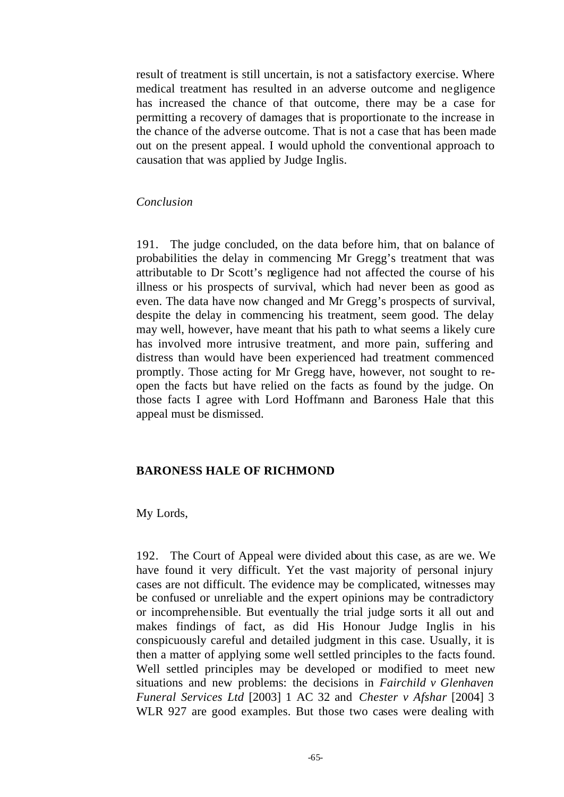result of treatment is still uncertain, is not a satisfactory exercise. Where medical treatment has resulted in an adverse outcome and negligence has increased the chance of that outcome, there may be a case for permitting a recovery of damages that is proportionate to the increase in the chance of the adverse outcome. That is not a case that has been made out on the present appeal. I would uphold the conventional approach to causation that was applied by Judge Inglis.

## *Conclusion*

191. The judge concluded, on the data before him, that on balance of probabilities the delay in commencing Mr Gregg's treatment that was attributable to Dr Scott's negligence had not affected the course of his illness or his prospects of survival, which had never been as good as even. The data have now changed and Mr Gregg's prospects of survival, despite the delay in commencing his treatment, seem good. The delay may well, however, have meant that his path to what seems a likely cure has involved more intrusive treatment, and more pain, suffering and distress than would have been experienced had treatment commenced promptly. Those acting for Mr Gregg have, however, not sought to reopen the facts but have relied on the facts as found by the judge. On those facts I agree with Lord Hoffmann and Baroness Hale that this appeal must be dismissed.

## **BARONESS HALE OF RICHMOND**

## My Lords,

192. The Court of Appeal were divided about this case, as are we. We have found it very difficult. Yet the vast majority of personal injury cases are not difficult. The evidence may be complicated, witnesses may be confused or unreliable and the expert opinions may be contradictory or incomprehensible. But eventually the trial judge sorts it all out and makes findings of fact, as did His Honour Judge Inglis in his conspicuously careful and detailed judgment in this case. Usually, it is then a matter of applying some well settled principles to the facts found. Well settled principles may be developed or modified to meet new situations and new problems: the decisions in *Fairchild v Glenhaven Funeral Services Ltd* [2003] 1 AC 32 and *Chester v Afshar* [2004] 3 WLR 927 are good examples. But those two cases were dealing with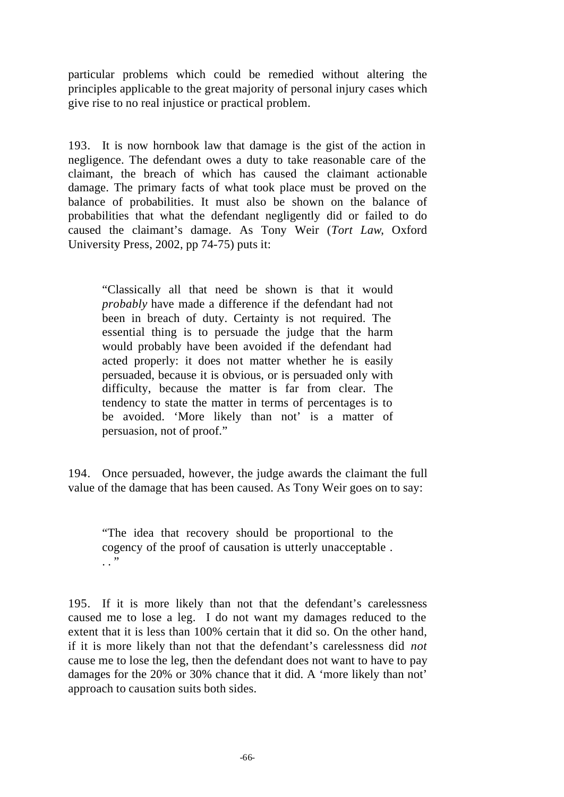particular problems which could be remedied without altering the principles applicable to the great majority of personal injury cases which give rise to no real injustice or practical problem.

193. It is now hornbook law that damage is the gist of the action in negligence. The defendant owes a duty to take reasonable care of the claimant, the breach of which has caused the claimant actionable damage. The primary facts of what took place must be proved on the balance of probabilities. It must also be shown on the balance of probabilities that what the defendant negligently did or failed to do caused the claimant's damage. As Tony Weir (*Tort Law*, Oxford University Press, 2002, pp 74-75) puts it:

"Classically all that need be shown is that it would *probably* have made a difference if the defendant had not been in breach of duty. Certainty is not required. The essential thing is to persuade the judge that the harm would probably have been avoided if the defendant had acted properly: it does not matter whether he is easily persuaded, because it is obvious, or is persuaded only with difficulty, because the matter is far from clear. The tendency to state the matter in terms of percentages is to be avoided. 'More likely than not' is a matter of persuasion, not of proof."

194. Once persuaded, however, the judge awards the claimant the full value of the damage that has been caused. As Tony Weir goes on to say:

"The idea that recovery should be proportional to the cogency of the proof of causation is utterly unacceptable .  $\cdot$  .  $\cdot$ 

195. If it is more likely than not that the defendant's carelessness caused me to lose a leg. I do not want my damages reduced to the extent that it is less than 100% certain that it did so. On the other hand, if it is more likely than not that the defendant's carelessness did *not* cause me to lose the leg, then the defendant does not want to have to pay damages for the 20% or 30% chance that it did. A 'more likely than not' approach to causation suits both sides.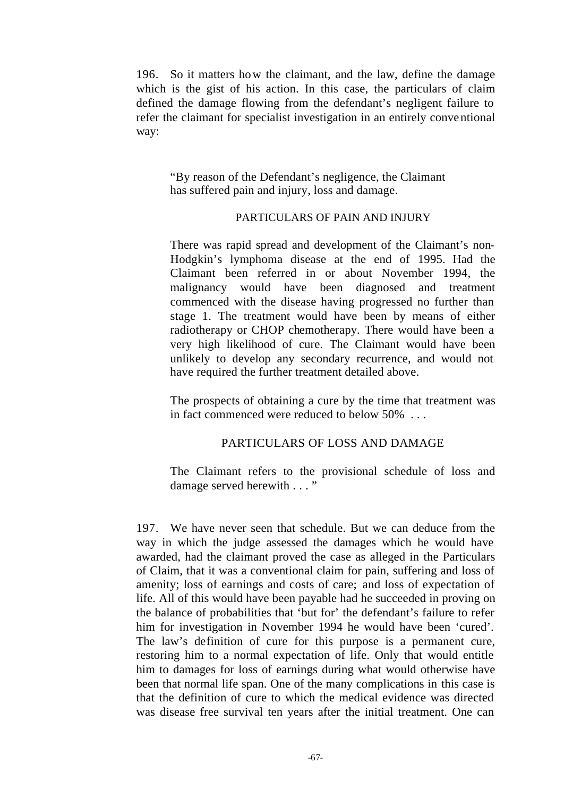196. So it matters how the claimant, and the law, define the damage which is the gist of his action. In this case, the particulars of claim defined the damage flowing from the defendant's negligent failure to refer the claimant for specialist investigation in an entirely conventional way:

"By reason of the Defendant's negligence, the Claimant has suffered pain and injury, loss and damage.

### PARTICULARS OF PAIN AND INJURY

There was rapid spread and development of the Claimant's non-Hodgkin's lymphoma disease at the end of 1995. Had the Claimant been referred in or about November 1994, the malignancy would have been diagnosed and treatment commenced with the disease having progressed no further than stage 1. The treatment would have been by means of either radiotherapy or CHOP chemotherapy. There would have been a very high likelihood of cure. The Claimant would have been unlikely to develop any secondary recurrence, and would not have required the further treatment detailed above.

The prospects of obtaining a cure by the time that treatment was in fact commenced were reduced to below 50% . . .

# PARTICULARS OF LOSS AND DAMAGE

The Claimant refers to the provisional schedule of loss and damage served herewith . . . "

197. We have never seen that schedule. But we can deduce from the way in which the judge assessed the damages which he would have awarded, had the claimant proved the case as alleged in the Particulars of Claim, that it was a conventional claim for pain, suffering and loss of amenity; loss of earnings and costs of care; and loss of expectation of life. All of this would have been payable had he succeeded in proving on the balance of probabilities that 'but for' the defendant's failure to refer him for investigation in November 1994 he would have been 'cured'. The law's definition of cure for this purpose is a permanent cure, restoring him to a normal expectation of life. Only that would entitle him to damages for loss of earnings during what would otherwise have been that normal life span. One of the many complications in this case is that the definition of cure to which the medical evidence was directed was disease free survival ten years after the initial treatment. One can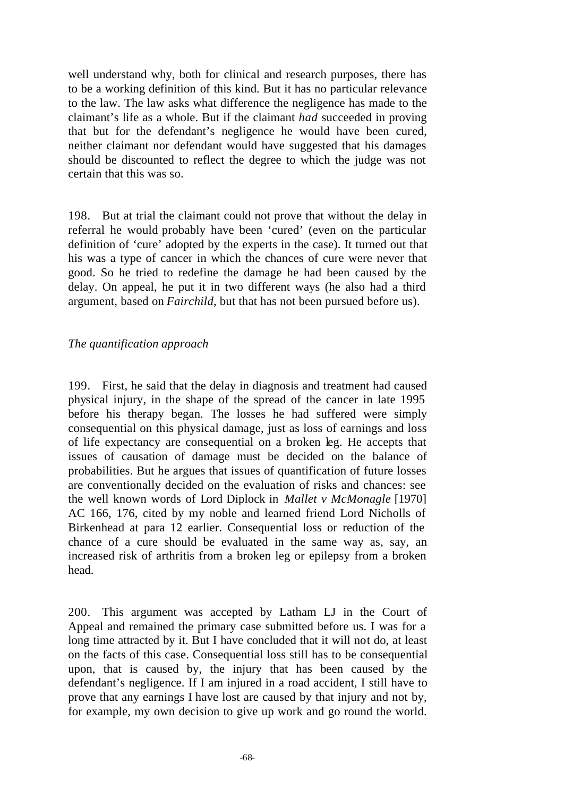well understand why, both for clinical and research purposes, there has to be a working definition of this kind. But it has no particular relevance to the law. The law asks what difference the negligence has made to the claimant's life as a whole. But if the claimant *had* succeeded in proving that but for the defendant's negligence he would have been cured, neither claimant nor defendant would have suggested that his damages should be discounted to reflect the degree to which the judge was not certain that this was so.

198. But at trial the claimant could not prove that without the delay in referral he would probably have been 'cured' (even on the particular definition of 'cure' adopted by the experts in the case). It turned out that his was a type of cancer in which the chances of cure were never that good. So he tried to redefine the damage he had been caused by the delay. On appeal, he put it in two different ways (he also had a third argument, based on *Fairchild*, but that has not been pursued before us).

## *The quantification approach*

199. First, he said that the delay in diagnosis and treatment had caused physical injury, in the shape of the spread of the cancer in late 1995 before his therapy began. The losses he had suffered were simply consequential on this physical damage, just as loss of earnings and loss of life expectancy are consequential on a broken leg. He accepts that issues of causation of damage must be decided on the balance of probabilities. But he argues that issues of quantification of future losses are conventionally decided on the evaluation of risks and chances: see the well known words of Lord Diplock in *Mallet v McMonagle* [1970] AC 166, 176, cited by my noble and learned friend Lord Nicholls of Birkenhead at para 12 earlier. Consequential loss or reduction of the chance of a cure should be evaluated in the same way as, say, an increased risk of arthritis from a broken leg or epilepsy from a broken head.

200. This argument was accepted by Latham LJ in the Court of Appeal and remained the primary case submitted before us. I was for a long time attracted by it. But I have concluded that it will not do, at least on the facts of this case. Consequential loss still has to be consequential upon, that is caused by, the injury that has been caused by the defendant's negligence. If I am injured in a road accident, I still have to prove that any earnings I have lost are caused by that injury and not by, for example, my own decision to give up work and go round the world.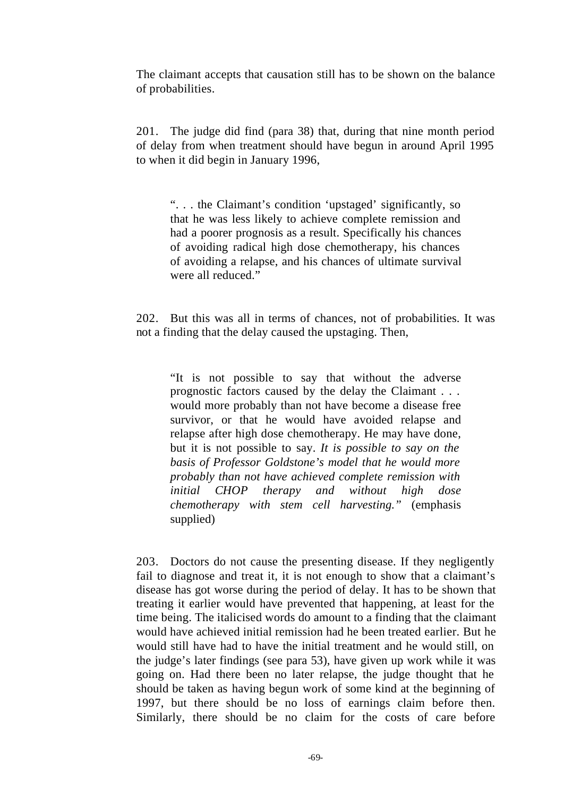The claimant accepts that causation still has to be shown on the balance of probabilities.

201. The judge did find (para 38) that, during that nine month period of delay from when treatment should have begun in around April 1995 to when it did begin in January 1996,

". . . the Claimant's condition 'upstaged' significantly, so that he was less likely to achieve complete remission and had a poorer prognosis as a result. Specifically his chances of avoiding radical high dose chemotherapy, his chances of avoiding a relapse, and his chances of ultimate survival were all reduced."

202. But this was all in terms of chances, not of probabilities. It was not a finding that the delay caused the upstaging. Then,

"It is not possible to say that without the adverse prognostic factors caused by the delay the Claimant . . . would more probably than not have become a disease free survivor, or that he would have avoided relapse and relapse after high dose chemotherapy. He may have done, but it is not possible to say. *It is possible to say on the basis of Professor Goldstone's model that he would more probably than not have achieved complete remission with initial CHOP therapy and without high dose chemotherapy with stem cell harvesting."* (emphasis supplied)

203. Doctors do not cause the presenting disease. If they negligently fail to diagnose and treat it, it is not enough to show that a claimant's disease has got worse during the period of delay. It has to be shown that treating it earlier would have prevented that happening, at least for the time being. The italicised words do amount to a finding that the claimant would have achieved initial remission had he been treated earlier. But he would still have had to have the initial treatment and he would still, on the judge's later findings (see para 53), have given up work while it was going on. Had there been no later relapse, the judge thought that he should be taken as having begun work of some kind at the beginning of 1997, but there should be no loss of earnings claim before then. Similarly, there should be no claim for the costs of care before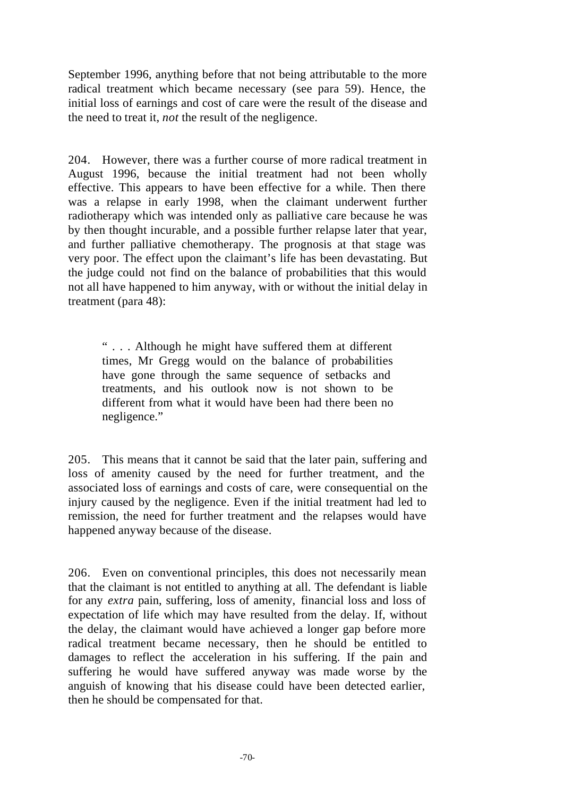September 1996, anything before that not being attributable to the more radical treatment which became necessary (see para 59). Hence, the initial loss of earnings and cost of care were the result of the disease and the need to treat it, *not* the result of the negligence.

204. However, there was a further course of more radical treatment in August 1996, because the initial treatment had not been wholly effective. This appears to have been effective for a while. Then there was a relapse in early 1998, when the claimant underwent further radiotherapy which was intended only as palliative care because he was by then thought incurable, and a possible further relapse later that year, and further palliative chemotherapy. The prognosis at that stage was very poor. The effect upon the claimant's life has been devastating. But the judge could not find on the balance of probabilities that this would not all have happened to him anyway, with or without the initial delay in treatment (para 48):

" . . . Although he might have suffered them at different times, Mr Gregg would on the balance of probabilities have gone through the same sequence of setbacks and treatments, and his outlook now is not shown to be different from what it would have been had there been no negligence."

205. This means that it cannot be said that the later pain, suffering and loss of amenity caused by the need for further treatment, and the associated loss of earnings and costs of care, were consequential on the injury caused by the negligence. Even if the initial treatment had led to remission, the need for further treatment and the relapses would have happened anyway because of the disease.

206. Even on conventional principles, this does not necessarily mean that the claimant is not entitled to anything at all. The defendant is liable for any *extra* pain, suffering, loss of amenity, financial loss and loss of expectation of life which may have resulted from the delay. If, without the delay, the claimant would have achieved a longer gap before more radical treatment became necessary, then he should be entitled to damages to reflect the acceleration in his suffering. If the pain and suffering he would have suffered anyway was made worse by the anguish of knowing that his disease could have been detected earlier, then he should be compensated for that.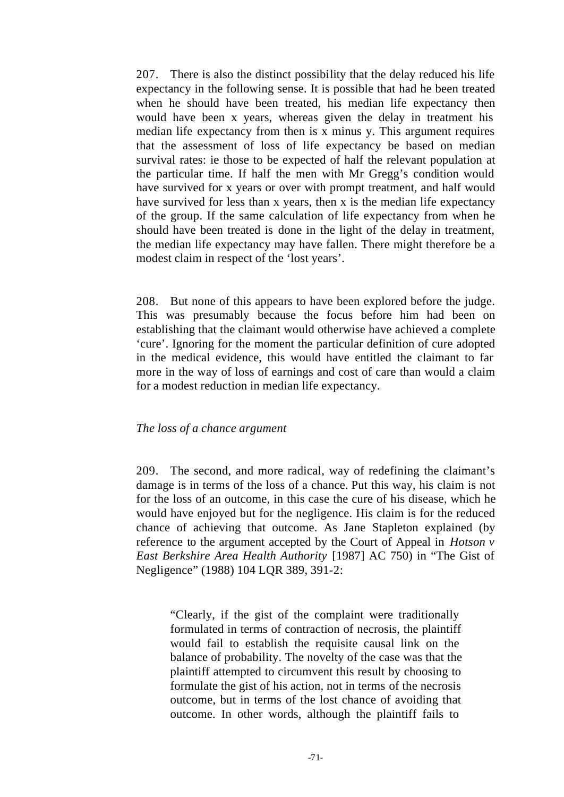207. There is also the distinct possibility that the delay reduced his life expectancy in the following sense. It is possible that had he been treated when he should have been treated, his median life expectancy then would have been x years, whereas given the delay in treatment his median life expectancy from then is x minus y. This argument requires that the assessment of loss of life expectancy be based on median survival rates: ie those to be expected of half the relevant population at the particular time. If half the men with Mr Gregg's condition would have survived for x years or over with prompt treatment, and half would have survived for less than x years, then x is the median life expectancy of the group. If the same calculation of life expectancy from when he should have been treated is done in the light of the delay in treatment, the median life expectancy may have fallen. There might therefore be a modest claim in respect of the 'lost years'.

208. But none of this appears to have been explored before the judge. This was presumably because the focus before him had been on establishing that the claimant would otherwise have achieved a complete 'cure'. Ignoring for the moment the particular definition of cure adopted in the medical evidence, this would have entitled the claimant to far more in the way of loss of earnings and cost of care than would a claim for a modest reduction in median life expectancy.

## *The loss of a chance argument*

209. The second, and more radical, way of redefining the claimant's damage is in terms of the loss of a chance. Put this way, his claim is not for the loss of an outcome, in this case the cure of his disease, which he would have enjoyed but for the negligence. His claim is for the reduced chance of achieving that outcome. As Jane Stapleton explained (by reference to the argument accepted by the Court of Appeal in *Hotson v East Berkshire Area Health Authority* [1987] AC 750) in "The Gist of Negligence" (1988) 104 LQR 389, 391-2:

"Clearly, if the gist of the complaint were traditionally formulated in terms of contraction of necrosis, the plaintiff would fail to establish the requisite causal link on the balance of probability. The novelty of the case was that the plaintiff attempted to circumvent this result by choosing to formulate the gist of his action, not in terms of the necrosis outcome, but in terms of the lost chance of avoiding that outcome. In other words, although the plaintiff fails to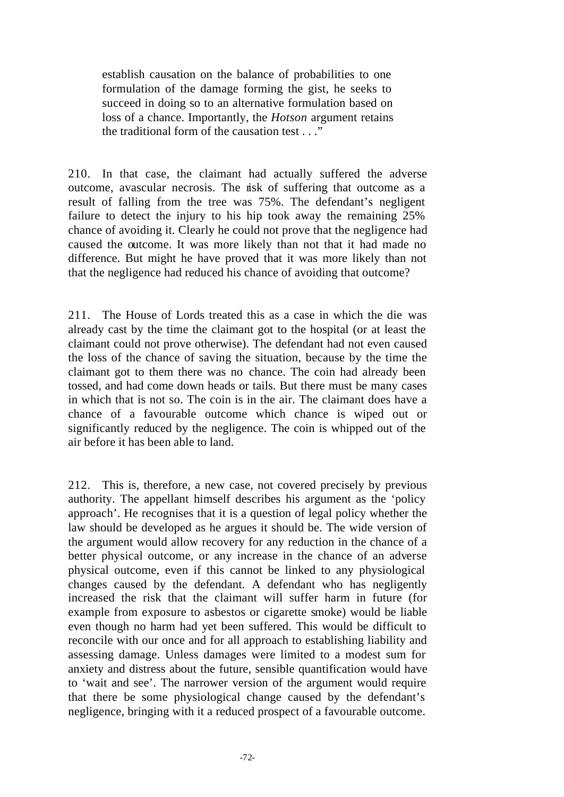establish causation on the balance of probabilities to one formulation of the damage forming the gist, he seeks to succeed in doing so to an alternative formulation based on loss of a chance. Importantly, the *Hotson* argument retains the traditional form of the causation test . . ."

210. In that case, the claimant had actually suffered the adverse outcome, avascular necrosis. The risk of suffering that outcome as a result of falling from the tree was 75%. The defendant's negligent failure to detect the injury to his hip took away the remaining 25% chance of avoiding it. Clearly he could not prove that the negligence had caused the outcome. It was more likely than not that it had made no difference. But might he have proved that it was more likely than not that the negligence had reduced his chance of avoiding that outcome?

211. The House of Lords treated this as a case in which the die was already cast by the time the claimant got to the hospital (or at least the claimant could not prove otherwise). The defendant had not even caused the loss of the chance of saving the situation, because by the time the claimant got to them there was no chance. The coin had already been tossed, and had come down heads or tails. But there must be many cases in which that is not so. The coin is in the air. The claimant does have a chance of a favourable outcome which chance is wiped out or significantly reduced by the negligence. The coin is whipped out of the air before it has been able to land.

212. This is, therefore, a new case, not covered precisely by previous authority. The appellant himself describes his argument as the 'policy approach'. He recognises that it is a question of legal policy whether the law should be developed as he argues it should be. The wide version of the argument would allow recovery for any reduction in the chance of a better physical outcome, or any increase in the chance of an adverse physical outcome, even if this cannot be linked to any physiological changes caused by the defendant. A defendant who has negligently increased the risk that the claimant will suffer harm in future (for example from exposure to asbestos or cigarette smoke) would be liable even though no harm had yet been suffered. This would be difficult to reconcile with our once and for all approach to establishing liability and assessing damage. Unless damages were limited to a modest sum for anxiety and distress about the future, sensible quantification would have to 'wait and see'. The narrower version of the argument would require that there be some physiological change caused by the defendant's negligence, bringing with it a reduced prospect of a favourable outcome.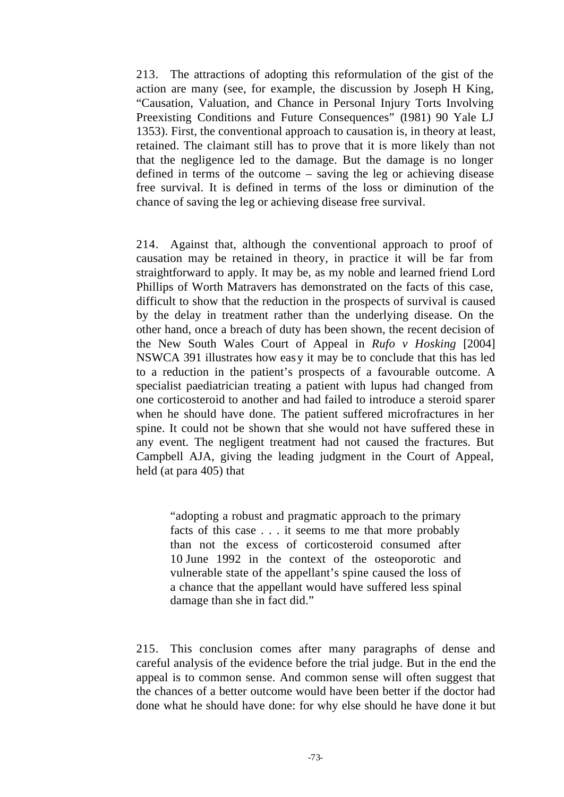213. The attractions of adopting this reformulation of the gist of the action are many (see, for example, the discussion by Joseph H King, "Causation, Valuation, and Chance in Personal Injury Torts Involving Preexisting Conditions and Future Consequences" (1981) 90 Yale LJ 1353). First, the conventional approach to causation is, in theory at least, retained. The claimant still has to prove that it is more likely than not that the negligence led to the damage. But the damage is no longer defined in terms of the outcome – saving the leg or achieving disease free survival. It is defined in terms of the loss or diminution of the chance of saving the leg or achieving disease free survival.

214. Against that, although the conventional approach to proof of causation may be retained in theory, in practice it will be far from straightforward to apply. It may be, as my noble and learned friend Lord Phillips of Worth Matravers has demonstrated on the facts of this case, difficult to show that the reduction in the prospects of survival is caused by the delay in treatment rather than the underlying disease. On the other hand, once a breach of duty has been shown, the recent decision of the New South Wales Court of Appeal in *Rufo v Hosking* [2004] NSWCA 391 illustrates how easy it may be to conclude that this has led to a reduction in the patient's prospects of a favourable outcome. A specialist paediatrician treating a patient with lupus had changed from one corticosteroid to another and had failed to introduce a steroid sparer when he should have done. The patient suffered microfractures in her spine. It could not be shown that she would not have suffered these in any event. The negligent treatment had not caused the fractures. But Campbell AJA, giving the leading judgment in the Court of Appeal, held (at para 405) that

"adopting a robust and pragmatic approach to the primary facts of this case . . . it seems to me that more probably than not the excess of corticosteroid consumed after 10 June 1992 in the context of the osteoporotic and vulnerable state of the appellant's spine caused the loss of a chance that the appellant would have suffered less spinal damage than she in fact did."

215. This conclusion comes after many paragraphs of dense and careful analysis of the evidence before the trial judge. But in the end the appeal is to common sense. And common sense will often suggest that the chances of a better outcome would have been better if the doctor had done what he should have done: for why else should he have done it but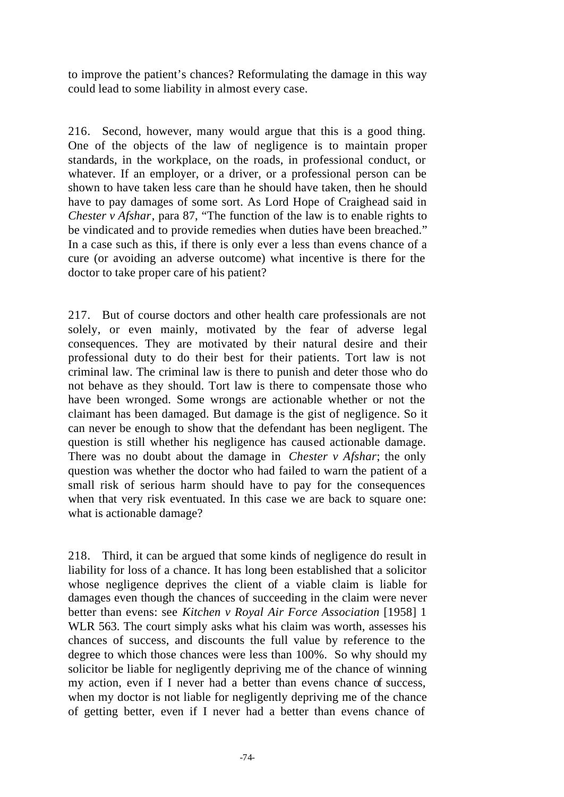to improve the patient's chances? Reformulating the damage in this way could lead to some liability in almost every case.

216. Second, however, many would argue that this is a good thing. One of the objects of the law of negligence is to maintain proper standards, in the workplace, on the roads, in professional conduct, or whatever. If an employer, or a driver, or a professional person can be shown to have taken less care than he should have taken, then he should have to pay damages of some sort. As Lord Hope of Craighead said in *Chester v Afshar*, para 87, "The function of the law is to enable rights to be vindicated and to provide remedies when duties have been breached." In a case such as this, if there is only ever a less than evens chance of a cure (or avoiding an adverse outcome) what incentive is there for the doctor to take proper care of his patient?

217. But of course doctors and other health care professionals are not solely, or even mainly, motivated by the fear of adverse legal consequences. They are motivated by their natural desire and their professional duty to do their best for their patients. Tort law is not criminal law. The criminal law is there to punish and deter those who do not behave as they should. Tort law is there to compensate those who have been wronged. Some wrongs are actionable whether or not the claimant has been damaged. But damage is the gist of negligence. So it can never be enough to show that the defendant has been negligent. The question is still whether his negligence has caused actionable damage. There was no doubt about the damage in *Chester v Afshar*; the only question was whether the doctor who had failed to warn the patient of a small risk of serious harm should have to pay for the consequences when that very risk eventuated. In this case we are back to square one: what is actionable damage?

218. Third, it can be argued that some kinds of negligence do result in liability for loss of a chance. It has long been established that a solicitor whose negligence deprives the client of a viable claim is liable for damages even though the chances of succeeding in the claim were never better than evens: see *Kitchen v Royal Air Force Association* [1958] 1 WLR 563. The court simply asks what his claim was worth, assesses his chances of success, and discounts the full value by reference to the degree to which those chances were less than 100%. So why should my solicitor be liable for negligently depriving me of the chance of winning my action, even if I never had a better than evens chance of success, when my doctor is not liable for negligently depriving me of the chance of getting better, even if I never had a better than evens chance of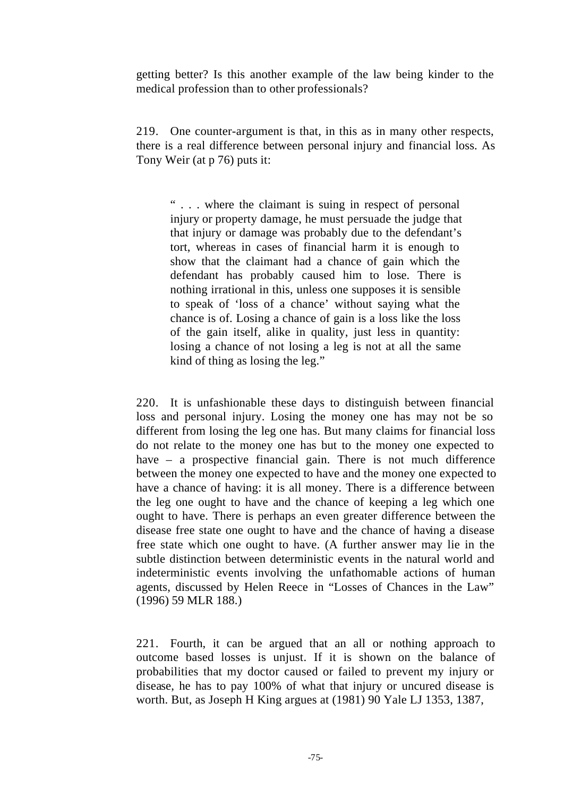getting better? Is this another example of the law being kinder to the medical profession than to other professionals?

219. One counter-argument is that, in this as in many other respects, there is a real difference between personal injury and financial loss. As Tony Weir (at p 76) puts it:

" . . . where the claimant is suing in respect of personal injury or property damage, he must persuade the judge that that injury or damage was probably due to the defendant's tort, whereas in cases of financial harm it is enough to show that the claimant had a chance of gain which the defendant has probably caused him to lose. There is nothing irrational in this, unless one supposes it is sensible to speak of 'loss of a chance' without saying what the chance is of. Losing a chance of gain is a loss like the loss of the gain itself, alike in quality, just less in quantity: losing a chance of not losing a leg is not at all the same kind of thing as losing the leg."

220. It is unfashionable these days to distinguish between financial loss and personal injury. Losing the money one has may not be so different from losing the leg one has. But many claims for financial loss do not relate to the money one has but to the money one expected to have – a prospective financial gain. There is not much difference between the money one expected to have and the money one expected to have a chance of having: it is all money. There is a difference between the leg one ought to have and the chance of keeping a leg which one ought to have. There is perhaps an even greater difference between the disease free state one ought to have and the chance of having a disease free state which one ought to have. (A further answer may lie in the subtle distinction between deterministic events in the natural world and indeterministic events involving the unfathomable actions of human agents, discussed by Helen Reece in "Losses of Chances in the Law" (1996) 59 MLR 188.)

221. Fourth, it can be argued that an all or nothing approach to outcome based losses is unjust. If it is shown on the balance of probabilities that my doctor caused or failed to prevent my injury or disease, he has to pay 100% of what that injury or uncured disease is worth. But, as Joseph H King argues at (1981) 90 Yale LJ 1353, 1387,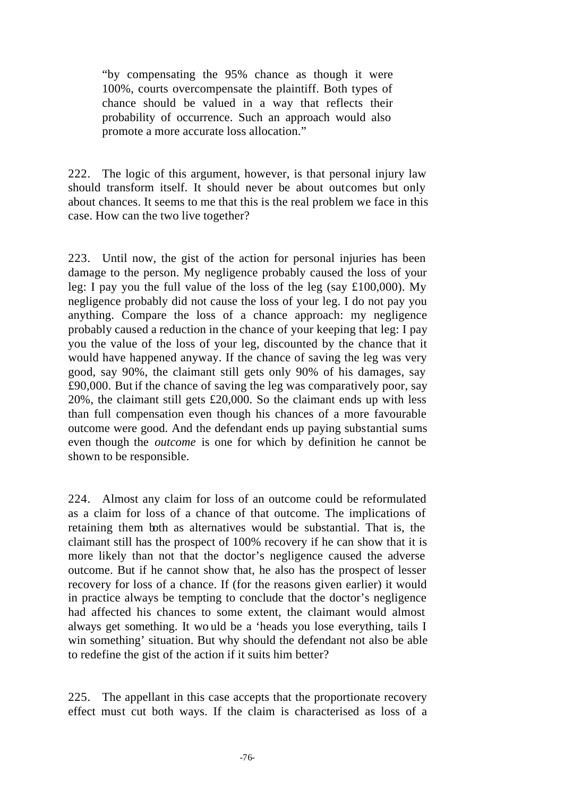"by compensating the 95% chance as though it were 100%, courts overcompensate the plaintiff. Both types of chance should be valued in a way that reflects their probability of occurrence. Such an approach would also promote a more accurate loss allocation."

222. The logic of this argument, however, is that personal injury law should transform itself. It should never be about outcomes but only about chances. It seems to me that this is the real problem we face in this case. How can the two live together?

223. Until now, the gist of the action for personal injuries has been damage to the person. My negligence probably caused the loss of your leg: I pay you the full value of the loss of the leg (say £100,000). My negligence probably did not cause the loss of your leg. I do not pay you anything. Compare the loss of a chance approach: my negligence probably caused a reduction in the chance of your keeping that leg: I pay you the value of the loss of your leg, discounted by the chance that it would have happened anyway. If the chance of saving the leg was very good, say 90%, the claimant still gets only 90% of his damages, say £90,000. But if the chance of saving the leg was comparatively poor, say 20%, the claimant still gets £20,000. So the claimant ends up with less than full compensation even though his chances of a more favourable outcome were good. And the defendant ends up paying substantial sums even though the *outcome* is one for which by definition he cannot be shown to be responsible.

224. Almost any claim for loss of an outcome could be reformulated as a claim for loss of a chance of that outcome. The implications of retaining them both as alternatives would be substantial. That is, the claimant still has the prospect of 100% recovery if he can show that it is more likely than not that the doctor's negligence caused the adverse outcome. But if he cannot show that, he also has the prospect of lesser recovery for loss of a chance. If (for the reasons given earlier) it would in practice always be tempting to conclude that the doctor's negligence had affected his chances to some extent, the claimant would almost always get something. It wo uld be a 'heads you lose everything, tails I win something' situation. But why should the defendant not also be able to redefine the gist of the action if it suits him better?

225. The appellant in this case accepts that the proportionate recovery effect must cut both ways. If the claim is characterised as loss of a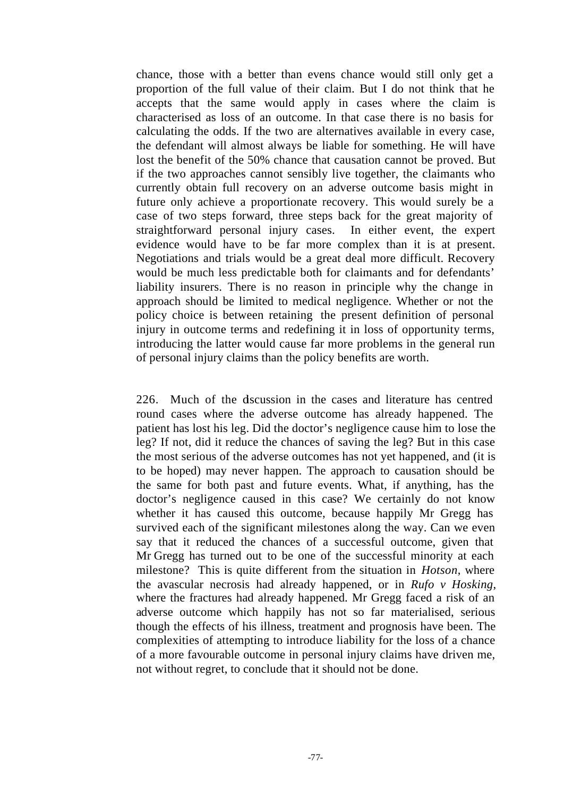chance, those with a better than evens chance would still only get a proportion of the full value of their claim. But I do not think that he accepts that the same would apply in cases where the claim is characterised as loss of an outcome. In that case there is no basis for calculating the odds. If the two are alternatives available in every case, the defendant will almost always be liable for something. He will have lost the benefit of the 50% chance that causation cannot be proved. But if the two approaches cannot sensibly live together, the claimants who currently obtain full recovery on an adverse outcome basis might in future only achieve a proportionate recovery. This would surely be a case of two steps forward, three steps back for the great majority of straightforward personal injury cases. In either event, the expert evidence would have to be far more complex than it is at present. Negotiations and trials would be a great deal more difficult. Recovery would be much less predictable both for claimants and for defendants' liability insurers. There is no reason in principle why the change in approach should be limited to medical negligence. Whether or not the policy choice is between retaining the present definition of personal injury in outcome terms and redefining it in loss of opportunity terms, introducing the latter would cause far more problems in the general run of personal injury claims than the policy benefits are worth.

226. Much of the discussion in the cases and literature has centred round cases where the adverse outcome has already happened. The patient has lost his leg. Did the doctor's negligence cause him to lose the leg? If not, did it reduce the chances of saving the leg? But in this case the most serious of the adverse outcomes has not yet happened, and (it is to be hoped) may never happen. The approach to causation should be the same for both past and future events. What, if anything, has the doctor's negligence caused in this case? We certainly do not know whether it has caused this outcome, because happily Mr Gregg has survived each of the significant milestones along the way. Can we even say that it reduced the chances of a successful outcome, given that Mr Gregg has turned out to be one of the successful minority at each milestone? This is quite different from the situation in *Hotson*, where the avascular necrosis had already happened, or in *Rufo v Hosking*, where the fractures had already happened. Mr Gregg faced a risk of an adverse outcome which happily has not so far materialised, serious though the effects of his illness, treatment and prognosis have been. The complexities of attempting to introduce liability for the loss of a chance of a more favourable outcome in personal injury claims have driven me, not without regret, to conclude that it should not be done.